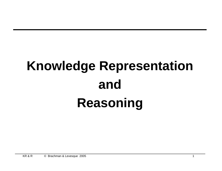### **Knowledge Representation and Reasoning**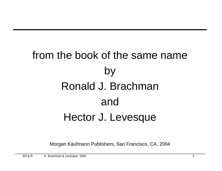### from the book of the same name by Ronald J. Brachman and Hector J. Levesque

Morgan Kaufmann Publishers, San Francisco, CA, 2004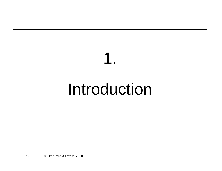# Introduction

1.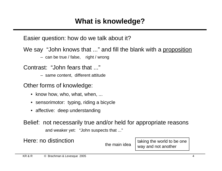Easier question: how do we talk about it?

We say "John knows that ..." and fill the blank with a proposition

– can be true / false, right / wrong

Contrast: "John fears that ..."

– same content, different attitude

Other forms of knowledge:

- know how, who, what, when, ...
- sensorimotor: typing, riding a bicycle
- affective: deep understanding

Belief: not necessarily true and/or held for appropriate reasons and weaker yet: "John suspects that ..."

Here: no distinction  $\left\{\begin{array}{c} \text{the main idea} \\ \text{the main idea} \end{array}\right\}$  taking the world to be one way and not another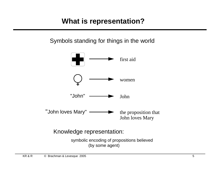### **What is representation?**

Symbols standing for things in the world



Knowledge representation:

symbolic encoding of propositions believed (by some agent)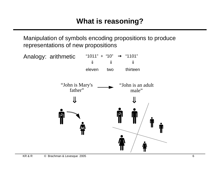Manipulation of symbols encoding propositions to produce representations of new propositions

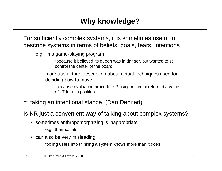For sufficiently complex systems, it is sometimes useful to describe systems in terms of beliefs, goals, fears, intentions

e.g. in a game-playing program

"because it believed its queen was in danger, but wanted to still control the center of the board."

more useful than description about actual techniques used for deciding how to move

"because evaluation procedure P using minimax returned a value of +7 for this position

= taking an intentional stance (Dan Dennett)

Is KR just a convenient way of talking about complex systems?

- sometimes anthropomorphizing is inappropriate
	- e.g. thermostats
- can also be very misleading!

fooling users into thinking a system knows more than it does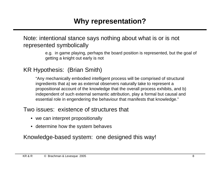### Note: intentional stance says nothing about what is or is not represented symbolically

e.g. in game playing, perhaps the board position is represented, but the goal of getting a knight out early is not

### KR Hypothesis: (Brian Smith)

"Any mechanically embodied intelligent process will be comprised of structural ingredients that a) we as external observers naturally take to represent a propositional account of the knowledge that the overall process exhibits, and b) independent of such external semantic attribution, play a formal but causal and essential role in engendering the behaviour that manifests that knowledge."

### Two issues: existence of structures that

- we can interpret propositionally
- determine how the system behaves

Knowledge-based system: one designed this way!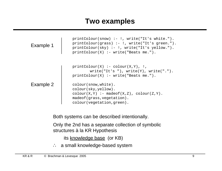### **Two examples**

| Example 1 | $printColor(snow) :- !$ , write("It's white.").<br>$printColor(qrass) :- !$ , write("It's green.").<br>$printColor(sky) :- !$ , write("It's yellow.").<br>$printColor(X) :- write("Beats me."$ ). |
|-----------|---------------------------------------------------------------------------------------------------------------------------------------------------------------------------------------------------|
|           | $printColor(X) :- colour(X,Y), !$ ,<br>$write("It's"), write(Y), write("")$ .<br>$printColor(X) :- write("Beats me."$ ).                                                                          |
| Example 2 | colour(snow, white).<br>colour(sky, yellow).<br>$\text{colour}(X, Y) \text{ :-} \text{madeof}(X, Z), \text{colour}(Z, Y).$<br>madeof (grass, vegetation).<br>colour(vegetation, green).           |

Both systems can be described intentionally.

Only the 2nd has a separate collection of symbolic structures à la KR Hypothesis

its knowledge base (or KB)

∴ a small knowledge-based system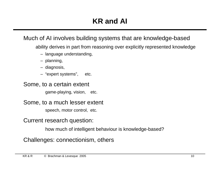### Much of AI involves building systems that are knowledge-based

ability derives in part from reasoning over explicitly represented knowledge

- language understanding,
- planning,
- diagnosis,
- "expert systems", etc.

### Some, to a certain extent

game-playing, vision, etc.

### Some, to a much lesser extent

speech, motor control, etc.

### Current research question:

how much of intelligent behaviour is knowledge-based?

### Challenges: connectionism, others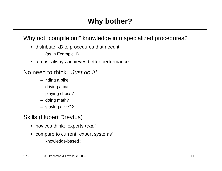Why not "compile out" knowledge into specialized procedures?

• distribute KB to procedures that need it

(as in Example 1)

• almost always achieves better performance

### No need to think. Just do it!

- riding a bike
- driving a car
- playing chess?
- doing math?
- staying alive??

### Skills (Hubert Dreyfus)

- novices think; experts react
- compare to current "expert systems":
	- knowledge-based !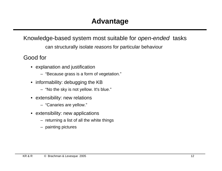### Knowledge-based system most suitable for open-ended tasks

can structurally isolate reasons for particular behaviour

Good for

- explanation and justification
	- "Because grass is a form of vegetation."
- informability: debugging the KB
	- "No the sky is not yellow. It's blue."
- extensibility: new relations
	- "Canaries are yellow."
- extensibility: new applications
	- returning a list of all the white things
	- painting pictures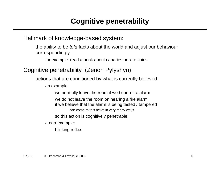### **Cognitive penetrability**

### Hallmark of knowledge-based system:

the ability to be told facts about the world and adjust our behaviour correspondingly

for example: read a book about canaries or rare coins

### Cognitive penetrability (Zenon Pylyshyn)

actions that are conditioned by what is currently believed

an example:

we normally leave the room if we hear a fire alarm we do not leave the room on hearing a fire alarm if we believe that the alarm is being tested / tampered can come to this belief in very many ways so this action is cognitively penetrable

a non-example:

blinking reflex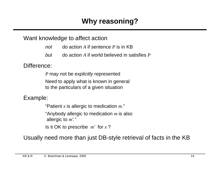### **Why reasoning?**

### Want knowledge to affect action

- not do action *A* if sentence *P* is in KB
- but do action *A* if world believed in satisfies *P*

#### Difference:

*P* may not be *explicitly* represented Need to apply what is known in general to the particulars of a given situation

Example:

"Patient *x* is allergic to medication *m*."

"Anybody allergic to medication *m* is also allergic to *m*'."

Is it OK to prescribe *m*' for *x* ?

Usually need more than just DB-style retrieval of facts in the KB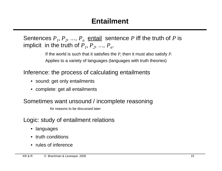Sentences  $P_1, P_2, ..., P_n$  entail sentence *P* iff the truth of *P* is implicit in the truth of  $P_1$ ,  $P_2$ , ...,  $P_n$ .

> If the world is such that it satisfies the  $P_i$  then it must also satisfy  $P$ . Applies to a variety of languages (languages with truth theories)

Inference: the process of calculating entailments

- sound: get only entailments
- complete: get all entailments

Sometimes want unsound / incomplete reasoning

for reasons to be discussed later

Logic: study of entailment relations

- languages
- truth conditions
- rules of inference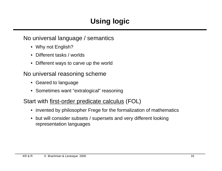### **Using logic**

### No universal language / semantics

- Why not English?
- Different tasks / worlds
- Different ways to carve up the world

### No universal reasoning scheme

- Geared to language
- Sometimes want "extralogical" reasoning

### Start with first-order predicate calculus (FOL)

- invented by philosopher Frege for the formalization of mathematics
- but will consider subsets / supersets and very different looking representation languages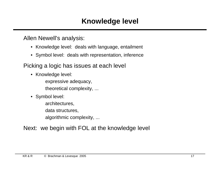Allen Newell's analysis:

- Knowledge level: deals with language, entailment
- Symbol level: deals with representation, inference

Picking a logic has issues at each level

• Knowledge level:

expressive adequacy, theoretical complexity, ...

• Symbol level:

architectures, data structures, algorithmic complexity, ...

### Next: we begin with FOL at the knowledge level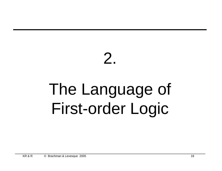## 2. The Language of First-order Logic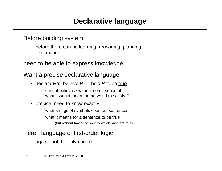### Before building system

before there can be learning, reasoning, planning, explanation ...

need to be able to express knowledge

### Want a precise declarative language

• declarative: believe  $P =$  hold P to be true

cannot believe P without some sense of what it would mean for the world to satisfy P

• precise: need to know exactly

what strings of symbols count as sentences what it means for a sentence to be true (but without having to specify which ones are true)

### Here: language of first-order logic

again: not the only choice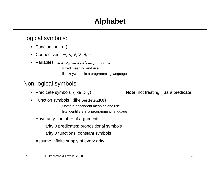### **Alphabet**

### Logical symbols:

- Punctuation: (, ), .
- Connectives: ¬, ∧, ∨, ∀, ∃, =
- Variables: *x*, *x*<sub>1</sub>, *x*<sub>2</sub>, ..., *x'*, *x''*, ..., *y*, ..., *z*, ... Fixed meaning and use

like keywords in a programming language

### Non-logical symbols

- 
- Function symbols (like bestFriendOf)

Domain-dependent meaning and use like identifiers in a programming language

Have arity: number of arguments

arity 0 predicates: propositional symbols

arity 0 functions: constant symbols

Assume infinite supply of every arity

KR & R © Brachman & Levesque 2005 20

• Predicate symbols (like Dog) **Note**: not treating = as a predicate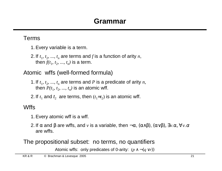### Terms

- 1. Every variable is a term.
- 2. If  $t_1$ ,  $t_2$ , ...,  $t_n$  are terms and  $f$  is a function of arity  $n$ , then  $f(t_1, t_2, ..., t_n)$  is a term.

Atomic wffs (well-formed formula)

1. If  $t_1$ ,  $t_2$ , ...,  $t_n$  are terms and *P* is a predicate of arity *n*, then  $P(t_1, t_2, ..., t_n)$  is an atomic wff.

2. If  $t_1$  and  $t_2$  are terms, then  $(t_1=t_2)$  is an atomic wff.

### **Wffs**

- 1. Every atomic wff is a wff.
- 2. If  $\alpha$  and  $\beta$  are wffs, and  $\nu$  is a variable, then  $\neg \alpha$ ,  $(\alpha \land \beta)$ ,  $(\alpha \lor \beta)$ ,  $\exists \nu \alpha$ ,  $\forall \nu \alpha$ are wffs.

### The propositional subset: no terms, no quantifiers

Atomic wffs: only predicates of 0-arity:  $(p \land \neg (q \lor r))$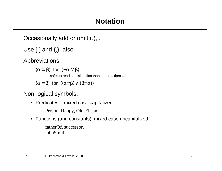Occasionally add or omit (,), .

Use  $[,]$  and  $\{,\}$  also.

Abbreviations:

(α ⊃ β) for  $(¬α ∨ β)$ 

safer to read as disjunction than as "if ... then ..."

 $(\alpha \equiv \beta)$  for  $((\alpha \supset \beta) \wedge (\beta \supset \alpha))$ 

Non-logical symbols:

• Predicates: mixed case capitalized

Person, Happy, OlderThan

• Functions (and constants): mixed case uncapitalized

fatherOf, successor, johnSmith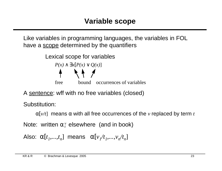Like variables in programming languages, the variables in FOL have a scope determined by the quantifiers



A sentence: wff with no free variables (closed)

Substitution:

α[*v/t*] means α with all free occurrences of the *v* replaced by term *t*

Note: written  $\alpha_t^v$  elsewhere (and in book) *t*

Also:  $\alpha[t_1,...,t_n]$  means  $\alpha[v_1/t_1,...,v_n/t_n]$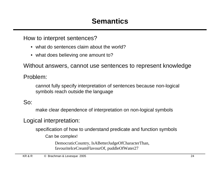How to interpret sentences?

- what do sentences claim about the world?
- what does believing one amount to?

Without answers, cannot use sentences to represent knowledge

### Problem:

cannot fully specify interpretation of sentences because non-logical symbols reach outside the language

### So:

make clear dependence of interpretation on non-logical symbols

### Logical interpretation:

specification of how to understand predicate and function symbols

Can be complex!

DemocraticCountry, IsABetterJudgeOfCharacterThan, favouriteIceCreamFlavourOf, puddleOfWater27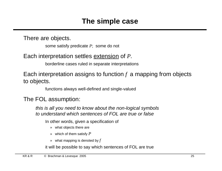There are objects.

some satisfy predicate *P*; some do not

### Each interpretation settles extension of *P*.

borderline cases ruled in separate interpretations

Each interpretation assigns to function *f* a mapping from objects to objects.

functions always well-defined and single-valued

### The FOL assumption:

this is all you need to know about the non-logical symbols to understand which sentences of FOL are true or false

In other words, given a specification of

- » what objects there are
- » which of them satisfy *P*
- » what mapping is denoted by *f*

it will be possible to say which sentences of FOL are true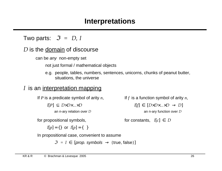### **Interpretations**

Two parts:  $\mathcal{S} = \langle D, I \rangle$ 

### $D$  is the domain of discourse

can be any non-empty set

not just formal / mathematical objects

e.g. people, tables, numbers, sentences, unicorns, chunks of peanut butter, situations, the universe

### I is an interpretation mapping

If *P* is a predicate symbol of arity *n*,

 $I[P] \subset D \times D \times ... \times D$ 

an n-ary relation over D

for propositional symbols,

 $I[p] = \{\}$  or  $I[p] = \{\langle\rangle\}$ 

In propositional case, convenient to assume

 $\mathcal{I} = I \in [prop.$  symbols  $\rightarrow$  {true, false}]

If *f* is a function symbol of arity *n*,

 $I[f] \in [D \times D \times ... \times D \rightarrow D]$ 

an n-ary function over D

for constants,  $I[c] \in D$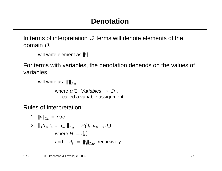In terms of interpretation  $\mathcal{I}$ , terms will denote elements of the domain D.

```
will write element as ||t||_{\mathcal{F}}
```
For terms with variables, the denotation depends on the values of variables

```
will write as ||t||_{\mathcal{I},\mu}
```
where  $\mu \in$  [*Variables*  $\rightarrow$  *D*], called a variable assignment

Rules of interpretation:

1. 
$$
||v||_{\mathcal{S},\mu} = \mu(v)
$$
.  
\n2.  $||f(t_1, t_2, ..., t_n)||_{\mathcal{S},\mu} = H(d_1, d_2, ..., d_n)$   
\nwhere  $H = I[f]$   
\nand  $d_i = ||t_i||_{\mathcal{S},\mu}$ , recursively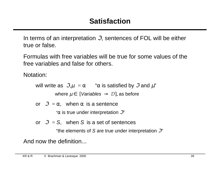In terms of an interpretation  $\mathcal{I}$ , sentences of FOL will be either true or false.

Formulas with free variables will be true for some values of the free variables and false for others.

Notation:

will write as  $\mathfrak{I}, \mu \models \alpha$  " $\alpha$  is satisfied by  $\mathfrak I$  and  $\mu$ "

where  $\mu \in [Variables \rightarrow D]$ , as before

or  $\mathfrak{I} \models \alpha$ , when  $\alpha$  is a sentence

" $\alpha$  is true under interpretation  $\mathcal{S}$ "

or  $\mathcal{I} = S$ , when S is a set of sentences

"the elements of S are true under interpretation  $\mathcal{F}$ "

And now the definition...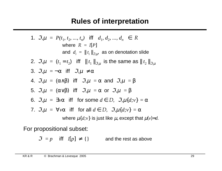### **Rules of interpretation**

\n- \n
$$
\mathcal{S}, \mu \models P(t_1, t_2, \ldots, t_n)
$$
 iff  $\langle d_1, d_2, \ldots, d_n \rangle \in R$  where  $R = I[P]$  and  $d_i = ||t_i||_{\mathcal{S}, \mu}$  as on denotation slide.\n
\n- \n $\mathcal{S}, \mu \models (t_1 = t_2)$  iff  $||t_1||_{\mathcal{S}, \mu}$  is the same as  $||t_2||_{\mathcal{S}, \mu}$ .\n
\n- \n $\mathcal{S}, \mu \models \neg \alpha$  iff  $\mathcal{S}, \mu \models \alpha$  and  $\mathcal{S}, \mu \models \beta$ .\n
\n- \n $\mathcal{S}, \mu \models (\alpha \land \beta)$  iff  $\mathcal{S}, \mu \models \alpha$  and  $\mathcal{S}, \mu \models \beta$ .\n
\n- \n $\mathcal{S}, \mu \models (\alpha \lor \beta)$  iff  $\mathcal{S}, \mu \models \alpha$  or  $\mathcal{S}, \mu \models \beta$ .\n
\n- \n $\mathcal{S}, \mu \models \exists v\alpha$  iff for some  $d \in D$ ,  $\mathcal{S}, \mu\{d;v\} \models \alpha$ .\n
\n- \n $\mathcal{S}, \mu \models \forall v\alpha$  iff for all  $d \in D$ ,  $\mathcal{S}, \mu\{d;v\} \models \alpha$  where  $\mu\{d;v\}$  is just like  $\mu$ , except that  $\mu(v) = d$ .\n
\n

For propositional subset:

 $\mathcal{F} = p$  iff  $I[p] \neq \{\}$  and the rest as above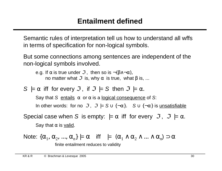Semantic rules of interpretation tell us how to understand all wffs in terms of specification for non-logical symbols.

But some connections among sentences are independent of the non-logical symbols involved.

e.g. If  $\alpha$  is true under  $\Im$ , then so is  $\neg(\beta \land \neg \alpha)$ , no matter what  $\mathfrak I$  is, why  $\alpha$  is true, what  $\beta$  is, ...

$$
S \models \alpha
$$
 iff for every  $\Im$ , if  $\Im \models S$  then  $\Im \models \alpha$ .

Say that S entails  $\alpha$  or  $\alpha$  is a logical consequence of S: In other words: for no  $\mathcal{I}$ ,  $\mathcal{I}$  =  $S \cup \{\neg \alpha\}$ .  $S \cup \{\neg \alpha\}$  is unsatisfiable

Special case when S is empty:  $= \alpha$  iff for every  $\mathcal{I}$ ,  $\mathcal{I} = \alpha$ . Say that  $\alpha$  is valid.

Note: {
$$
\alpha_1
$$
,  $\alpha_2$ , ...,  $\alpha_n$ } |=  $\alpha$  iff |=  $(\alpha_1 \wedge \alpha_2 \wedge ... \wedge \alpha_n)$   $\supset \alpha$   
finite entailment reduces to validity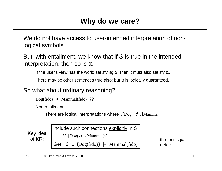We do not have access to user-intended interpretation of nonlogical symbols

But, with entailment, we know that if S is true in the intended interpretation, then so is  $\alpha$ .

If the user's view has the world satisfying S, then it must also satisfy  $\alpha$ .

There may be other sentences true also; but  $\alpha$  is logically guaranteed.

So what about ordinary reasoning?

```
Dog(fido) \mathbb{R} Mammal(fido) ??
```
Not entailment!

There are logical interpretations where  $I[Dog] \not\subset I[Mammal]$ 

Key idea

include such connections explicitly in S

 $\forall x$ [Dog(*x*) ⊃ Mammal(*x*)]

Get:  $S \cup \{Dog(fido)\}$   $\models$  Mammal(fido)

of KR:  $\left| \begin{array}{ccc} 0 & \sqrt{1-\frac{1}{2}} & \sqrt{1-\frac{1}{2}} & \sqrt{1-\frac{1}{2}} & \sqrt{1-\frac{1}{2}} & \sqrt{1-\frac{1}{2}} & \sqrt{1-\frac{1}{2}} & \sqrt{1-\frac{1}{2}} & \sqrt{1-\frac{1}{2}} & \sqrt{1-\frac{1}{2}} & \sqrt{1-\frac{1}{2}} & \sqrt{1-\frac{1}{2}} & \sqrt{1-\frac{1}{2}} & \sqrt{1-\frac{1}{2}} & \sqrt{1-\frac{1}{2}} & \sqrt{1-\frac{1}{2}} & \sqrt{1-\frac{1}{2}} & \sqrt{1-\frac{1$ details...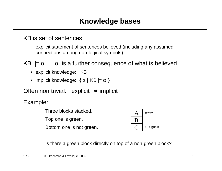KB is set of sentences

explicit statement of sentences believed (including any assumed connections among non-logical symbols)

KB  $|=\alpha$   $\alpha$  is a further consequence of what is believed

- explicit knowledge: KB
- implicit knowledge:  $\{\alpha \mid KB \models \alpha\}$

Often non trivial: explicit ➠ implicit

Example:

Three blocks stacked.

Top one is green.

Bottom one is not green.



Is there a green block directly on top of a non-green block?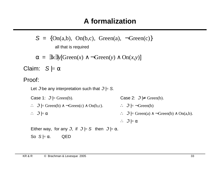$S = \{On(a,b), On(b,c), Green(a), \neg Green(c)\}\$ all that is required

 $\alpha = \exists x \exists y$ [Green(*x*)  $\land \neg$ Green(*y*)  $\land$  On(*x*, *y*)]

Claim:  $S \models \alpha$ 

#### Proof:

Let  $\mathcal{I}$  be any interpretation such that  $\mathcal{I} = S$ .

Case 1:  $\mathcal{I}$   $\models$  Green(b). Case 2:  $\mathcal{I} \not\models$  Green(b). ∴  $\mathcal{I}$   $\models$  Green(b)  $\land$  ¬Green(c)  $\land$  On(b,c). ∴  $\mathcal{I}$   $\models$   $\neg$  Green(b) ∴  $\mathcal{I} = \alpha$  ∴  $\mathcal{I} = \text{Green}(a) \land \neg \text{Green}(b) \land \text{On}(a,b)$ .  $\therefore$   $\Im \models \alpha$ 

Either way, for any  $\mathcal{I}$ , if  $\mathcal{I} = S$  then  $\mathcal{I} = \alpha$ .

So 
$$
S \models \alpha
$$
. QED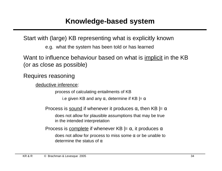Start with (large) KB representing what is explicitly known

e.g. what the system has been told or has learned

Want to influence behaviour based on what is *implicit* in the KB (or as close as possible)

Requires reasoning

deductive inference:

process of calculating entailments of KB

i.e given KB and any  $\alpha$ , determine if KB  $= \alpha$ 

Process is sound if whenever it produces  $\alpha$ , then KB  $= \alpha$ 

does not allow for plausible assumptions that may be true in the intended interpretation

Process is complete if whenever KB  $|=\alpha$ , it produces  $\alpha$ 

does not allow for process to miss some  $\alpha$  or be unable to determine the status of  $\alpha$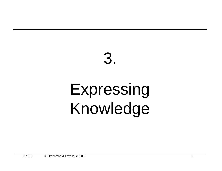## 3. Expressing Knowledge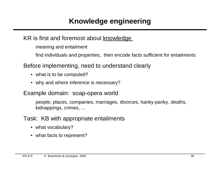### KR is first and foremost about knowledge

meaning and entailment

find individuals and properties, then encode facts sufficient for entailments

Before implementing, need to understand clearly

- what is to be computed?
- why and where inference is necessary?

Example domain: soap-opera world

people, places, companies, marriages, divorces, hanky-panky, deaths, kidnappings, crimes, ...

### Task: KB with appropriate entailments

- what vocabulary?
- what facts to represent?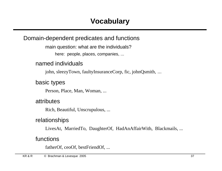#### Domain-dependent predicates and functions

main question: what are the individuals? here: people, places, companies, ...

## named individuals

john, sleezyTown, faultyInsuranceCorp, fic, johnQsmith, ...

#### basic types

Person, Place, Man, Woman, ...

#### attributes

Rich, Beautiful, Unscrupulous, ...

#### relationships

LivesAt, MarriedTo, DaughterOf, HadAnAffairWith, Blackmails, ...

#### functions

fatherOf, ceoOf, bestFriendOf, ...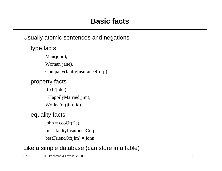#### Usually atomic sentences and negations

type facts

Man(john),

Woman(jane),

Company(faultyInsuranceCorp)

## property facts

Rich(john),

¬HappilyMarried(jim),

WorksFor(jim,fic)

## equality facts

 $john = ceoOf(fic),$ 

fic = faultyInsuranceCorp,

 $bestFriendOf(jim) = john$ 

## Like a simple database (can store in a table)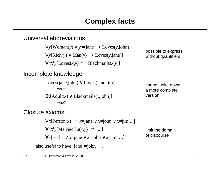# **Complex facts**

#### Universal abbreviations

∀*y*[Woman(*y*) ∧ *y* ≠ jane ⊃ Loves(*y*,john)] ∀*y*[Rich(*y*) ∧ Man(*y*) ⊃ Loves(*y*,jane)] ∀*x*∀*y*[Loves(*x,y*) ⊃ ¬Blackmails(*x,y*)] Incomplete knowledge Loves(jane,john) ∨ Loves(jane,jim) which?  $\exists x$ [Adult(*x*) ∧ Blackmails(*x*,john)] who? possible to express without quantifiers cannot write down a more complete version

#### Closure axioms

∀*x*[Person(*x*) ⊃ *x*=jane ∨ *x*=john ∨ *x*=jim ...] ∀*x*∀*y*[MarriedTo(*x,y*) ⊃ ... ]

 $\forall x$ [ *x*=fic ∨ *x*=jane ∨ *x*=john ∨ *x*=jim ...]

limit the domain of discourse

also useful to have jane  $\neq$  john ...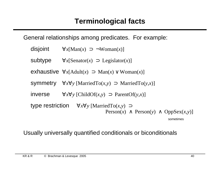General relationships among predicates. For example:

| disjoint | $\forall x$ [Man(x) $\supset \neg W$ oman(x)]                                                                                     |
|----------|-----------------------------------------------------------------------------------------------------------------------------------|
| subtype  | $\forall x$ [Senator(x) $\supset$ Legislator(x)]                                                                                  |
|          | exhaustive $\forall x$ [Adult(x) $\Rightarrow$ Man(x) $\lor$ Woman(x)]                                                            |
|          | <b>Symmetry</b> $\forall x \forall y$ [MarriedTo(x,y) $\Rightarrow$ MarriedTo(y,x)]                                               |
| inverse  | $\forall x \forall y$ [ChildOf(x,y) $\supset$ ParentOf(y,x)]                                                                      |
|          | type restriction $\forall x \forall y$ [MarriedTo(x,y) $\supset$<br>Person(x) $\land$ Person(y) $\land$ OppSex(x,y)]<br>sometimes |

Usually universally quantified conditionals or biconditionals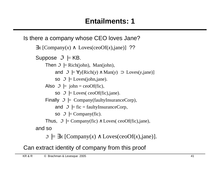```
Is there a company whose CEO loves Jane?
```

```
\exists x [Company(x) \land Loves(ceoOf(x),jane)] ??
Suppose \mathcal{I} \models KB.
     Then \mathcal{I} \models Rich(john), Man(john),
            and \mathcal{F} = \forall y[Rich(y) ∧ Man(y) \supset Loves(y,jane)]
            so \mathcal{I} = Loves(john,jane).
     Also \mathcal{I} = john = ceoOf(fic),
            so \mathcal{I} = Loves( ceoOf(fic),jane).
     Finally \mathcal{I} = Company(faultyInsuranceCorp),
            and \mathcal{I} |= fic = faultyInsuranceCorp,
            so \mathcal{I} \models Company(fic).
     Thus, \mathcal{I} |= Company(fic) \wedge Loves( ceoOf(fic),jane),
and so
```
<sup>ℑ</sup>|= ∃*x* [Company(*x*) ∧ Loves(ceoOf(*x*),jane)].

Can extract identity of company from this proof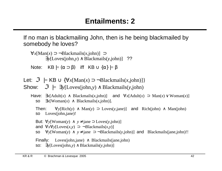If no man is blackmailing John, then is he being blackmailed by somebody he loves?

∀*x*[Man(*x*) ⊃ ¬Blackmails(*x,*john)] ⊃ ∃*y*[Loves(john,*y*) ∧ Blackmails(*y*,john)] ??

Note:  $KB \models (\alpha \supset \beta)$  iff  $KB \cup {\alpha} \models \beta$ 

Let:  $\mathcal{F}$  |= KB ∪ { $\forall x$ [Man(*x*) ⊃ ¬Blackmails(*x*, john)]}

Show:  $\Im$   $|=\exists y$ [Loves(john,*y*)  $\land$  Blackmails(*y*,john)

```
Then: \forall y[Rich(y) ∧ Man(y) ⊃ Loves(y,jane)] and Rich(john) ∧ Man(john)
so Loves(john,jane)!
```
But:  $\forall y$ [Woman(*y*) ∧ *y* ≠ jane ⊃ Loves(*y*,john)] and  $\forall x \forall y$ [Loves(*x,y*) ⊃ ¬Blackmails(*x,y*)] so  $\forall y$ [Woman(*y*)  $\land$   $y \neq$  jane  $\supset \neg \text{Blackmails}(y, john)$ ] and Blackmails(jane, john)!! Finally: Loves(john,jane)  $\land$  Blackmails(jane,john) so: ∃*y*[Loves(john,*y*) ∧ Blackmails(*y*,john)]

Have:  $\exists x$ [Adult(*x*) ∧ Blackmails(*x*,john)] and  $\forall x$ [Adult(*x*) ⊃ Man(*x*) ∨ Woman(*x*)] so  $\exists x$ [Woman(*x*) ∧ Blackmails(*x*,john)].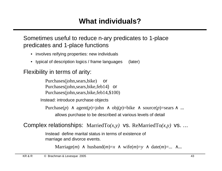# **What individuals?**

#### Sometimes useful to reduce n-ary predicates to 1-place predicates and 1-place functions

- involves reifying properties: new individuals
- typical of description logics / frame languages (later)

#### Flexibility in terms of arity:

Purchases(john,sears,bike) or Purchases(john,sears,bike,feb14) or Purchases(john,sears,bike,feb14,\$100)

Instead: introduce purchase objects

Purchase(*p*)  $\land$  agent(*p*)=john  $\land$  obj(*p*)=bike  $\land$  source(*p*)=sears  $\land$  ...

allows purchase to be described at various levels of detail

Complex relationships: MarriedTo(x,y) vs. ReMarriedTo(x,y) vs. ...

Instead define marital status in terms of existence of marriage and divorce events.

```
Marriage(m) \land husband(m)=x \land wife(m)=y \land date(m)=... \land...
```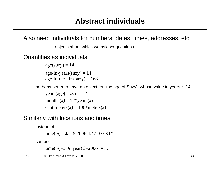Also need individuals for numbers, dates, times, addresses, etc.

objects about which we ask wh-questions

Quantities as individuals

 $age(suzzy) = 14$ age-in-years(suzy)  $= 14$ age-in-months(suzy) =  $168$ 

perhaps better to have an object for "the age of Suzy", whose value in years is 14

 $years(age(suzzy)) = 14$ months( $x$ ) = 12\*years( $x$ ) centimeters( $x$ ) = 100\*meters( $x$ )

#### Similarly with locations and times

instead of time(*m*)="Jan 5 2006 4:47:03EST" can use

time $(m)=t \land \text{year}(t)=2006 \land ...$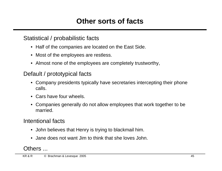#### Statistical / probabilistic facts

- Half of the companies are located on the East Side.
- Most of the employees are restless.
- Almost none of the employees are completely trustworthy,

## Default / prototypical facts

- Company presidents typically have secretaries intercepting their phone calls.
- Cars have four wheels.
- Companies generally do not allow employees that work together to be married.

## Intentional facts

- John believes that Henry is trying to blackmail him.
- Jane does not want Jim to think that she loves John.

## Others ...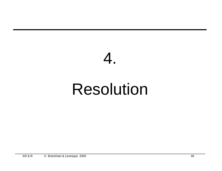

# Resolution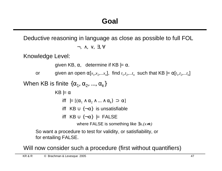Deductive reasoning in language as close as possible to full FOL

$$
\neg,\ \wedge,\ \vee,\ \exists,\forall
$$

Knowledge Level:

```
given KB, \alpha, determine if KB = \alpha.
```
or given an open  $\alpha[x_1, x_2, ... x_n]$ , find  $t_1, t_2, ... t_n$  such that KB  $\models \alpha[t_1, t_2, ... t_n]$ 

When KB is finite  $\{\alpha_{1},\,\alpha_{2},\,...,\,\alpha_{k}\}$ 

 $KB \models \alpha$ iff  $|=[(\alpha_1 \wedge \alpha_2 \wedge ... \wedge \alpha_k) \supset \alpha]$ iff KB  $\cup$  {¬α} is unsatisfiable iff  $KB \cup \{\neg \alpha\}$  |= FALSE where FALSE is something like ∃*x.(x*≠*x)*

So want a procedure to test for validity, or satisfiability, or for entailing FALSE.

Will now consider such a procedure (first without quantifiers)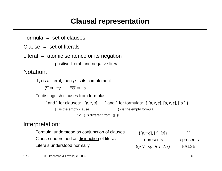# **Clausal representation**

Formula  $=$  set of clauses

 $Clause = set of literals$ 

Literal  $=$  atomic sentence or its negation

positive literal and negative literal

Notation:

If  $\rho$  is a literal, then  $\overline{\rho}$  is its complement

 $\overline{p} \Rightarrow \neg p \qquad \overline{\neg p} \Rightarrow p$ 

To distinguish clauses from formulas:

[ and ] for clauses:  $[p, \overline{r}, s]$  { and } for formulas: {  $[p, \overline{r}, s]$ ,  $[p, r, s]$ ,  $[\overline{p}]$  }

[] is the empty clause {} is the empty formula

So { } is different from {[] }!

#### Interpretation:

| Formula understood as conjunction of clauses | $\{[p, \neg q], [r], [s]\}\$          | $\Box$       |
|----------------------------------------------|---------------------------------------|--------------|
| Clause understood as disjunction of literals | represents                            | represents   |
| Literals understood normally                 | $((p \vee \neg q) \wedge r \wedge s)$ | <b>FALSE</b> |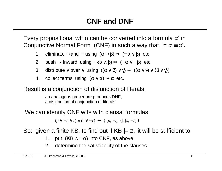Every propositional wff  $\alpha$  can be converted into a formula  $\alpha'$  in Conjunctive Normal Form (CNF) in such a way that  $|=\alpha \equiv \alpha'$ .

- 1. eliminate  $\supset$  and  $\equiv$  using  $(\alpha \supset \beta) \Rightarrow (\neg \alpha \vee \beta)$  etc.
- 2. push  $\neg$  inward using  $\neg(\alpha \wedge \beta) \rightarrow (\neg \alpha \vee \neg \beta)$  etc.
- 3. distribute  $\vee$  over  $\wedge$  using  $((\alpha \wedge \beta) \vee \gamma) \rightarrow ((\alpha \vee \gamma) \wedge (\beta \vee \gamma))$
- 4. collect terms using  $(\alpha \vee \alpha) \rightarrow \alpha$  etc.

Result is a conjunction of disjunction of literals.

an analogous procedure produces DNF, a disjunction of conjunction of literals

We can identify CNF wffs with clausal formulas

 $(p \lor \neg q \lor r) \land (s \lor \neg r) \Rightarrow \{ [p, \neg q, r], [s, \neg r] \}$ 

So: given a finite KB, to find out if  $KB \models \alpha$ , it will be sufficient to

- 1. put  $(KB \wedge \neg \alpha)$  into CNF, as above
- 2. determine the satisfiability of the clauses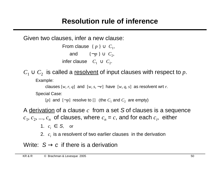# **Resolution rule of inference**

Given two clauses, infer a new clause:

From clause  $\{p\} \cup C_1$ , , and  $\{\neg p\} \cup C_2$ , infer clause  $C_1 \cup C_2$ .

 $C_1 \cup C_2$  is called a resolvent of input clauses with respect to  $p$ .

Example:

```
clauses [w, r, q] and [w, s, \neg r] have [w, q, s] as resolvent wrt r.
```
Special Case:

[*p*] and  $\lbrack -p \rbrack$  resolve to [] (the  $C_1$  and  $C_2$  are empty)

A derivation of a clause *c* from a set S of clauses is a sequence  $c_1, c_2, ..., c_n$  of clauses, where  $c_n = c$ , and for each  $c_i$ , either

1.  $c_i \in S$ , or

2. *c<sup>i</sup>* is a resolvent of two earlier clauses in the derivation

Write:  $S \rightarrow c$  if there is a derivation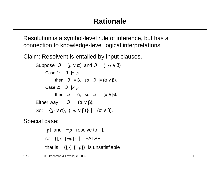Resolution is a symbol-level rule of inference, but has a connection to knowledge-level logical interpretations

Claim: Resolvent is **entailed** by input clauses.

```
Suppose \mathcal{F} = (p \vee \alpha) and \mathcal{F} = (\neg p \vee \beta)Case 1: \mathcal{I} = pthen \mathcal{F} |= \beta, so \mathcal{F} |= (\alpha \vee \beta).
        Case 2: \mathcal{I} \not\models pthen \Im |=\alpha, so \Im |=(\alpha \vee \beta).
Either way, \Im |=(\alpha \vee \beta).
So: \{(p \vee \alpha), \ (\neg p \vee \beta)\}\models (\alpha \vee \beta).
```
Special case:

 $[p]$  and  $[\neg p]$  resolve to  $[$ ], so  $\{ [p], [\neg p] \}$   $\models$  FALSE that is:  $\{[p], [\neg p]\}$  is unsatisfiable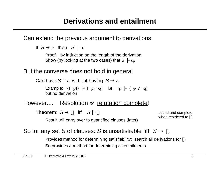Can extend the previous argument to derivations:

```
If S \rightarrow c then S \models c
```
Proof: by induction on the length of the derivation. Show (by looking at the two cases) that  $S \models c_i$ .

#### But the converse does not hold in general

Can have  $S \models c$  without having  $S \rightarrow c$ .

Example:  $\{[\neg p]\}$  =  $[\neg p, \neg q]$  i.e.  $\neg p$  =  $(\neg p \lor \neg q)$ but no derivation

## However.... Resolution is refutation complete!

**Theorem:**  $S \rightarrow \begin{bmatrix} \end{bmatrix}$  iff  $S \models \begin{bmatrix} \end{bmatrix}$ 

sound and complete when restricted to []

```
Result will carry over to quantified clauses (later)
```
#### So for any set S of clauses: S is unsatisfiable iff  $S \rightarrow \Box$ .

Provides method for determining satisfiability: search all derivations for []. So provides a method for determining all entailments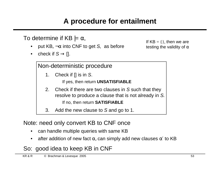# **A procedure for entailment**

To determine if KB  $= \alpha$ ,

- put KB,  $\neg \alpha$  into CNF to get S, as before
- check if  $S \rightarrow \{$ ].

If  $KB = \{\}$ , then we are testing the validity of  $\alpha$ 

Non-deterministic procedure

1. Check if [] is in S.

If yes, then return **UNSATISFIABLE**

2. Check if there are two clauses in S such that they resolve to produce a clause that is not already in S. If no, then return **SATISFIABLE**

3. Add the new clause to S and go to 1.

Note: need only convert KB to CNF once

- can handle multiple queries with same KB
- after addition of new fact  $\alpha$ , can simply add new clauses  $\alpha'$  to KB

# So: good idea to keep KB in CNF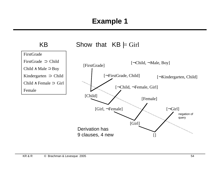# **Example 1**

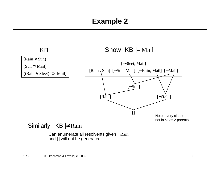# **Example 2**

KB

#### Show  $KB \models$  Mail



#### Similarly  $KB \not\models$  Rain

Can enumerate all resolvents given ¬Rain, and [] will not be generated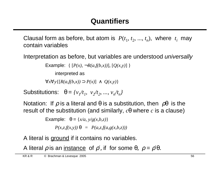Clausal form as before, but atom is  $P(t_1, t_2, ..., t_n)$ , where  $t_i$  may contain variables

Interpretation as before, but variables are understood universally

```
Example: \{ [P(x), \neg R(a,f(b,x))], [Q(x,y)] \}
```
interpreted as

∀*x*∀*y*{[*R(a,f(b,x))* ⊃ *P(x)*] ∧ *Q(x,y)*}

Substitutions:  $θ = {v_1/t_1, v_2/t_2, ..., v_n/t_n}$ 

Notation: If  $\rho$  is a literal and  $\theta$  is a substitution, then  $\rho\theta$  is the result of the substitution (and similarly, *c*θ where *c* is a clause)

> Example:  $\theta = \{x/a, y/g(x,b,z)\}$  $P(x, z, f(x, y)) \theta = P(a, z, f(a, g(x, b, z)))$

A literal is ground if it contains no variables.

A literal  $\rho$  is an <u>instance</u> of  $\rho'$ , if for some  $\theta$ ,  $\rho = \rho' \theta$ .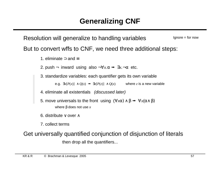Resolution will generalize to handling variables But to convert wffs to CNF, we need three additional steps:  $Ignore = for now$ 

1. eliminate ⊃ and ≡

2. push  $\neg$  inward using also  $\neg \forall x.\alpha \rightarrow \exists x.\neg \alpha$  etc.

3. standardize variables: each quantifier gets its own variable

e.g.  $\exists x [P(x)] \land Q(x) \rightarrow \exists z [P(z)] \land Q(x)$  where *z* is a new variable

4. eliminate all existentials (discussed later)

5. move universals to the front using  $(\forall x \alpha) \wedge \beta \rightarrow \forall x (\alpha \wedge \beta)$ 

where β does not use *x*

6. distribute ∨ over ∧

7. collect terms

Get universally quantified conjunction of disjunction of literals

then drop all the quantifiers...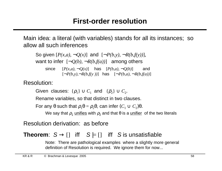Main idea: a literal (with variables) stands for all its instances; so allow all such inferences

So given  $[P(x,a), \neg Q(x)]$  and  $[\neg P(b,y), \neg R(b,f(y))]$ , want to infer  $\lceil \neg Q(b), \neg R(b,f(a)) \rceil$  among others since  $[P(x,a), \neg Q(x)]$  has  $[P(b,a), \neg Q(b)]$  and  $[\neg P(b, y), \neg R(b, f(y))]$  has  $[\neg P(b, a), \neg R(b, f(a))]$ 

Resolution:

Given clauses:  $\{\rho_1\} \cup C_1$  and  $\{\overline{\rho}_2\} \cup C_2$ .

Rename variables, so that distinct in two clauses.

For any θ such that  $\rho_1 \theta = \rho_2 \theta$ , can infer  $(C_1 \cup C_2) \theta$ .

We say that  $\rho_1$  <u>unifies</u> with  $\rho_2$  and that θ is a <u>unifier</u> of the two literals

Resolution derivation: as before

## **Theorem:**  $S \rightarrow \begin{bmatrix} 1 \\ 1 \end{bmatrix}$  iff  $S \models \begin{bmatrix} 1 \\ 1 \end{bmatrix}$  iff S is unsatisfiable

Note: There are pathological examples where a slightly more general definition of Resolution is required. We ignore them for now...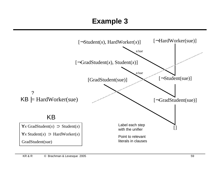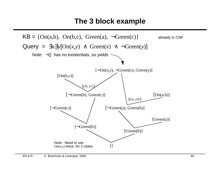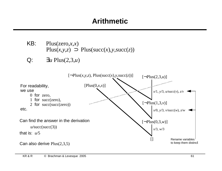# **Arithmetic**

- KB: Plus(zero,*x*,*x*) Plus( $x, y, z$ )  $\supset$  Plus(succ( $x$ ), $y$ , succ( $z$ ))
- Q: ∃*u* Plus(2,3,*u*)

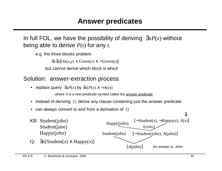In full FOL, we have the possibility of deriving ∃*xP*(*x*) without being able to derive *P*(*t*) for any *t*.

e.g. the three-blocks problem

 $\exists x \exists y [On(x, y) \land Green(x) \land \neg Green(y)]$ 

but cannot derive which block is which

#### Solution: answer-extraction process

• replace query  $\exists x P(x)$  by  $\exists x [P(x) \land \neg A(x)]$ 

where *A* is a new predicate symbol called the answer predicate

- instead of deriving  $\lceil \cdot \rceil$ , derive any clause containing just the answer predicate
- can always convert to and from a derivation of []

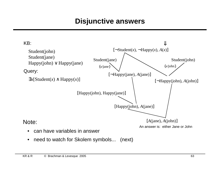# **Disjunctive answers**



• need to watch for Skolem symbols... (next)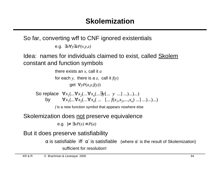So far, converting wff to CNF ignored existentials

e.g. ∃*x*∀*y*∃*zP(x,y,z)*

Idea: names for individuals claimed to exist, called Skolem constant and function symbols

> there exists an *x*, call it *a* for each *y*, there is a *z*, call it  $f(y)$

> > get ∀*yP*(*a,y,f(y)*)

So replace  $\forall x_1(...\forall x_2(...\forall x_n(...\exists y[... y ...] ...)...). ...)$ by  $\forall x_1(\dots \forall x_2(\dots \forall x_n(\dots \dots \dots f(x_1, x_2, \dots, x_n) \dots) \dots).$ 

*f* is a new function symbol that appears nowhere else

Skolemization does not preserve equivalence

e.g. |≠ ∃*xP*(*x*) ≡ *P*(*a*)

But it does preserve satisfiability

 $\alpha$  is satisfiable iff  $\alpha'$  is satisfiable (where  $\alpha'$  is the result of Skolemization) sufficient for resolution!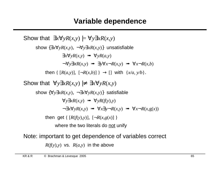Show that  $\exists x \forall y R(x, y) \models \forall y \exists x R(x, y)$ show {∃*x*∀*yR*(*x,y*), ¬∀*y*∃*xR*(*x,y*)} unsatisfiable  $\exists x \forall y R(x,y) \implies \forall y R(a,y)$  $\neg \forall y \exists x R(x, y) \implies \exists y \forall x \neg R(x, y) \implies \forall x \neg R(x, b)$ then  $\{ [R(a,y)], [\neg R(x,b)] \} \rightarrow []$  with  $\{x/a, y/b\}.$ Show that  $\forall y \exists x R(x, y) \neq \exists x \forall y R(x, y)$ show  $\{\forall y \exists x R(x, y), \neg \exists x \forall y R(x, y)\}$  satisfiable  $\forall v \exists x R(x, v) \implies \forall v R(f(v), v)$  $\forall x \exists y \forall y R(x, y) \implies \forall x \exists y \neg R(x, y) \implies \forall x \neg R(x, g(x))$ then get {  $[R(f(y),y)]$ ,  $[-R(x,g(x))]$ } where the two literals do not unify Note: important to get dependence of variables correct

 $R(f(y), y)$  vs.  $R(a, y)$  in the above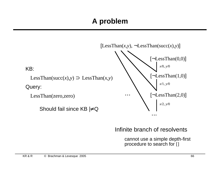

#### Infinite branch of resolvents

cannot use a simple depth-first procedure to search for []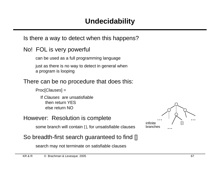Is there a way to detect when this happens?

#### No! FOL is very powerful

can be used as a full programming language

just as there is no way to detect in general when a program is looping

#### There can be no procedure that does this:

Proc[Clauses] =

If Clauses are unsatisfiable then return YES else return NO

#### However: Resolution is complete

some branch will contain [], for unsatisfiable clauses

#### So breadth-first search guaranteed to find []

search may not terminate on satisfiable clauses

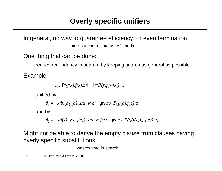In general, no way to guarantee efficiency, or even termination later: put control into users' hands

One thing that can be done:

reduce redundancy in search, by keeping search as general as possible

Example

...,  $P(g(x), f(x),z)$ ]  $[\neg P(y,f(w),a), \dots]$ 

unified by

$$
\theta_1 = \{x/b, y/g(b), z/a, w/b\} \text{ gives } P(g(b), f(b), a)
$$

and by

 $\theta_2 = \{x/f(z), y/g(f(z)), z/a, w/f(z)\}\$ gives  $P(g(f(z)), f(f(z)), a)$ .

Might not be able to derive the empty clause from clauses having overly specific substitutions

wastes time in search!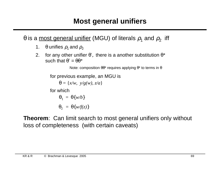θ is a <u>most general unifier</u> (MGU) of literals  $\rho_1$  and  $\rho_2^{\phantom{\dag}}$  iff

- 1.  $\theta$  unifies  $\rho_1$  and  $\rho_2$
- 2. for any other unifier  $\theta'$ , there is a another substitution  $\theta^*$ such that  $\theta' = \theta \theta^*$

Note: composition  $θθ*$  requires applying  $θ*$  to terms in  $θ$ 

for previous example, an MGU is

 $\theta = \{x/w, v/g(w), z/a\}$ 

for which

$$
\theta_1 = \theta \{ w/b \}
$$

 $\theta_2 = \theta \{ w/f(z) \}$ 

**Theorem**: Can limit search to most general unifiers only without loss of completeness (with certain caveats)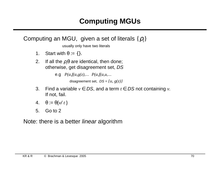

- 3. Find a variable  $v \in DS$ , and a term  $t \in DS$  not containing  $v$ . If not, fail.
- 4.  $\theta := \theta \{v/t\}$
- 5. Go to 2

Note: there is a better *linear* algorithm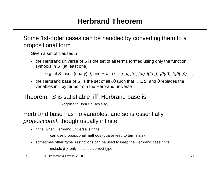#### Some 1st-order cases can be handled by converting them to a propositional form

Given a set of clauses S

• the Herbrand universe of S is the set of all terms formed using only the function symbols in S (at least one)

e.g., if S uses (unary) *f*, and *c*, *d*,  $U = \{c, d, f(c), f(d), f(f(c)), f(f(d))\}$ ,  $f(f(f(c)))$ , ...}

• the Herbrand base of S is the set of all  $c\theta$  such that  $c \in S$  and  $\theta$  replaces the variables in *c* by terms from the Herbrand universe

#### Theorem: S is satisfiable iff Herbrand base is

(applies to Horn clauses also)

Herbrand base has no variables, and so is essentially propositional, though usually infinite

• finite, when Herbrand universe is finite

can use propositional methods (guaranteed to terminate)

• sometimes other "type" restrictions can be used to keep the Herbrand base finite include  $f(t)$  only if  $t$  is the correct type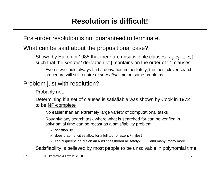First-order resolution is not guaranteed to terminate.

#### What can be said about the propositional case?

Shown by Haken in 1985 that there are unsatisfiable clauses  $\{c_1, c_2, ..., c_n\}$ such that the *shortest* derivation of [] contains on the order of 2<sup>n</sup> clauses

Even if we could always find a derivation immediately, the most clever search procedure will still require exponential time on some problems

## Problem just with resolution?

Probably not.

Determining if a set of clauses is satisfiable was shown by Cook in 1972 to be NP-complete

No easier than an extremely large variety of computational tasks

Roughly: any search task where what is searched for can be verified in polynomial time can be recast as a satisfiability problem

- » satisfiability
- » does graph of cities allow for a full tour of size  $\leq k$  miles?
- » can N queens be put on an N×N chessboard all safely? and many, many more....

Satisfiability is believed by most people to be unsolvable in polynomial time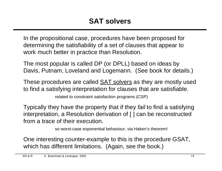In the propositional case, procedures have been proposed for determining the satisfiability of a set of clauses that appear to work much better in practice than Resolution.

The most popular is called DP (or DPLL) based on ideas by Davis, Putnam, Loveland and Logemann. (See book for details.)

These procedures are called **SAT solvers** as they are mostly used to find a satisfying interpretation for clauses that are satisfiable. related to constraint satisfaction programs (CSP)

Typically they have the property that if they *fail* to find a satisfying interpretation, a Resolution derivation of [ ] can be reconstructed from a trace of their execution.

so worst-case exponential behaviour, via Haken's theorem!

One interesting counter-example to this is the procedure GSAT, which has different limitations. (Again, see the book.)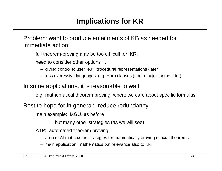Problem: want to produce entailments of KB as needed for immediate action

full theorem-proving may be too difficult for KR!

need to consider other options ...

- giving control to user e.g. procedural representations (later)
- less expressive languages e.g. Horn clauses (and a major theme later)

In some applications, it is reasonable to wait

e.g. mathematical theorem proving, where we care about specific formulas

Best to hope for in general: reduce redundancy

main example: MGU, as before

but many other strategies (as we will see)

ATP: automated theorem proving

- area of AI that studies strategies for automatically proving difficult theorems
- main application: mathematics,but relevance also to KR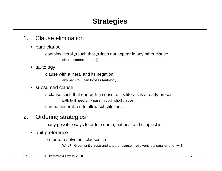### 1. Clause elimination

• pure clause

contains literal  $\rho$  such that  $\rho$  does not appear in any other clause clause cannot lead to []

• tautology

clause with a literal and its negation any path to [] can bypass tautology

• subsumed clause

a clause such that one with a subset of its literals is already present path to [] need only pass through short clause can be generalized to allow substitutions

## 2. Ordering strategies

many possible ways to order search, but best and simplest is

• unit preference

prefer to resolve unit clauses first

Why? Given unit clause and another clause, resolvent is a smaller one  $\rightarrow$  []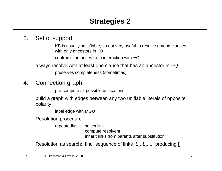### 3. Set of support

KB is usually satisfiable, so not very useful to resolve among clauses with only ancestors in KB

contradiction arises from interaction with  $\neg Q$ 

always resolve with at least one clause that has an ancestor in  $\neg Q$ 

preserves completeness (sometimes)

## 4. Connection graph

pre-compute all possible unifications

build a graph with edges between any two unifiable literals of opposite polarity

label edge with MGU

Resolution procedure:

repeatedly: select link compute resolvent inherit links from parents after substitution

Resolution as search: find sequence of links  $L_1, L_2, ...$  producing []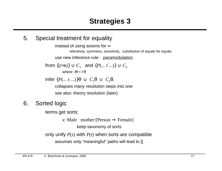#### 5. Special treatment for equality

instead of using axioms for = relexitivity, symmetry, transitivity, substitution of equals for equals use new inference rule: paramodulation

```
\mathsf{from} \; \lbrace (t\text{=}s) \rbrace \cup C_1 \; \; \text{ and } \{ P( ... \; t' ... ) \} \cup C_2 \; \;where t\theta = f\theta
```
 $infer$  {*P*(... *s* ...)}θ ∪  $C_1$ θ ∪  $C_2$ θ.

collapses many resolution steps into one see also: theory resolution (later)

6. Sorted logic

terms get sorts:

*x*: Male mother: [Person  $\rightarrow$  Female]

keep taxonomy of sorts

only unify *P*(*s*) with *P*(*t*) when sorts are compatible

assumes only "meaningful" paths will lead to []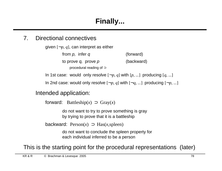### 7. Directional connectives

given  $[\neg p, q]$ , can interpret as either

from  $p$ , infer  $q$  (forward) to prove  $q$ , prove  $p$  (backward) procedural reading of ⊃

In 1st case: would only resolve  $[\neg p, q]$  with  $[p, \dots]$  producing  $[q, \dots]$ 

In 2nd case: would only resolve  $[\neg p, q]$  with  $[\neg q, \dots]$  producing  $[\neg p, \dots]$ 

### Intended application:

forward: Battleship $(x)$   $\supset$  Gray $(x)$ 

do not want to try to prove something is gray by trying to prove that it is a battleship

backward:  $Person(x) \supset Has(x, spleen)$ 

do not want to conclude the spleen property for each individual inferred to be a person

This is the starting point for the procedural representations (later)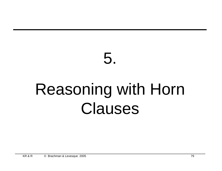# 5. Reasoning with Horn Clauses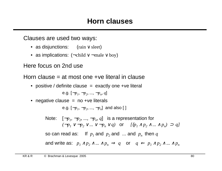Clauses are used two ways:

- as disjunctions: (rain ∨ sleet)
- as implications:  $(\neg \text{child} \lor \neg \text{male} \lor \text{boy})$

Here focus on 2nd use

Horn clause = at most one +ve literal in clause

• positive / definite clause  $=$  exactly one +ve literal

e.g. [¬*p<sup>1</sup> ,* ¬*p<sup>2</sup> , ...,* ¬*p<sup>n</sup> , q*]

• negative clause  $=$  no  $+ve$  literals

e.g. [*¬p*<sub>*i*</sub>, *¬p*<sub>2</sub>, ..., *¬p*<sub>*n*</sub>] and also [ ]

Note:  $[\neg p_1, \neg p_2, ..., \neg p_n, q]$  is a representation for *(*→ $p_1$  ∨ → $p_2$  ∨ ... ∨ → $p_n$  ∨ *q*) or *[*( $p_1$  ∧  $p_2$  ∧ ... ∧  $p_n$ ) ⊃ *q*] so can read as:  $\quad$  If  $\,p_{\,I}$  and  $\,p_{\,2}$  and  $\,$  ... and  $\,p_{\,n}^{\,}$  then  $q$ and write as:  $p_1 \wedge p_2 \wedge ... \wedge p_n \Rightarrow q$  or  $q \Leftarrow p_1 \wedge p_2 \wedge ... \wedge p_n$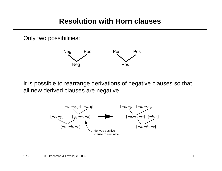## **Resolution with Horn clauses**

Only two possibilities:



It is possible to rearrange derivations of negative clauses so that all new derived clauses are negative

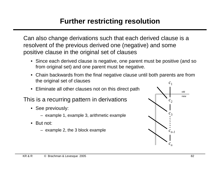# **Further restricting resolution**

Can also change derivations such that each derived clause is a resolvent of the previous derived one (negative) and some positive clause in the original set of clauses

- Since each derived clause is negative, one parent must be positive (and so from original set) and one parent must be negative.
- Chain backwards from the final negative clause until both parents are from the original set of clauses
- Eliminate all other clauses not on this direct path

### This is a recurring pattern in derivations

- See previously:
	- example 1, example 3, arithmetic example
- But not:
	- example 2, the 3 block example

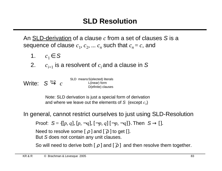An SLD-derivation of a clause *c* from a set of clauses S is a sequence of clause  $c_1, c_2, ... c_n$  such that  $c_n$  =  $c$ , and

- 1.  $c_1 \in S$
- 2.  $c_{i+1}$  is a resolvent of  $c_i$  and a clause in S
- Write:  $S \stackrel{\textnormal{\tiny SLD}}{\rightarrow} c$ SLD means S(elected) literals L(inear) form D(efinite) clauses

Note: SLD derivation is just a special form of derivation and where we leave out the elements of  $S$  (except  $c_I$ )

In general, cannot restrict ourselves to just using SLD-Resolution

Proof: 
$$
S = \{ [p, q], [p, \neg q], [\neg p, q], [\neg p, \neg q] \}
$$
. Then  $S \to []$ .

Need to resolve some [  $\rho$  ] and [  $\bar{\rho}$  ] to get [ ]. But S does not contain any unit clauses.

So will need to derive both [ $\rho$ ] and [ $\overline{\rho}$ ] and then resolve them together.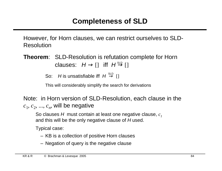However, for Horn clauses, we can restrict ourselves to SLD-Resolution

**Theorem**: SLD-Resolution is refutation complete for Horn clauses:  $H \rightarrow []$  iff  $H \stackrel{\text{\tiny{SLD}}}{\rightarrow} []$ 

So: His unsatisfiable iff  $H \stackrel{\text{SLD}}{\rightarrow} []$ 

This will considerably simplify the search for derivations

Note: in Horn version of SLD-Resolution, each clause in the  $c_1, c_2, ..., c_n$ , will be negative

So clauses H must contain at least one negative clause, *c<sup>1</sup>* and this will be the only negative clause of H used.

Typical case:

- KB is a collection of positive Horn clauses
- Negation of query is the negative clause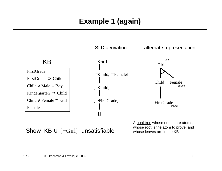# **Example 1 (again)**

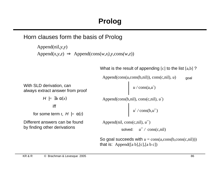Horn clauses form the basis of Prolog

```
Append(nil,y,y)
Append(x, y, z) \Rightarrow Append(\text{cons}(w, x), y, \text{cons}(w, z))
```
What is the result of appending  $[c]$  to the list  $[a,b]$ ?

```
Append(cons(a,cons(b,nil)), cons(c,nil), u)
                                                Append(cons(b,nil), cons(c,nil), u′)
                                                Append(nil, cons(c,nil), u′′)
                                                            solved:
u′′ / cons(c,nil)
                                                                  u / cons(a,u′)
                                                                  u′ / cons(b,u′′)
                                               So goal succeeds with u = \cos(a, \cos(b, \cos(c, \mathrm{nil})))that is: Append([a b],[c],[a b c])
                                                                                                   goal
With SLD derivation, can 
always extract answer from proof 
           H \models \exists x \alpha(x)iff 
     for some term t, H \models \alpha(t)Different answers can be found 
by finding other derivations
```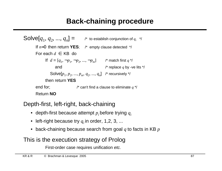# **Back-chaining procedure**

Solve[
$$
q_1, q_2, ..., q_n
$$
] =  $l^*$  to establish conjunction of  $q_i$  \*/  
\nIf  $n=0$  then return **YES**;  $l^*$  empty clause detected \*/  
\nFor each  $d \in KB$  do  
\nIf  $d = [q_1, \neg p_1, \neg p_2, ..., \neg p_m]$   $l^*$  match first  $q^*$ /  
\nand  $l^*$  replace  $q$  by -ve lists \*/  
\nSolve[ $p_1, p_2, ..., p_m, q_2, ..., q_n$ ]  $l^*$  recursively \*/  
\nthen return **YES**  
\nend for;  $l^*$  can't find a clause to eliminate  $q^*$ /  
\nReturn **NO**

### Depth-first, left-right, back-chaining

- depth-first because attempt  $p_i$  before trying  $q_i$
- left-right because try  $q_i$  in order, 1,2, 3, ...
- back-chaining because search from goal *q* to facts in KB *p*

## This is the execution strategy of Prolog

First-order case requires unification etc.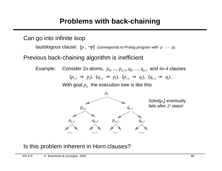## **Problems with back-chaining**

Can go into infinite loop

tautologous clause:  $[p, \neg p]$  (corresponds to Prolog program with  $p : p$ ).

Previous back-chaining algorithm is inefficient

Example: Consider 2*n* atoms,  $p_0$ , ...,  $p_{n-1}$ ,  $q_0$ , ...,  $q_{n-1}$  and  $4n-4$  clauses  $(p_{i-1} \Rightarrow p_i)$ ,  $(q_{i-1} \Rightarrow p_i)$ ,  $(p_{i-1} \Rightarrow q_i)$ ,  $(q_{i-1} \Rightarrow q_i)$ . With goal  $p_k$  the execution tree is like this



Is this problem inherent in Horn clauses?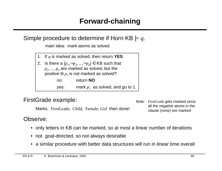

main idea: mark atoms as solved

| 1. If $q$ is marked as solved, then return YES                 |                                    |  |  |
|----------------------------------------------------------------|------------------------------------|--|--|
| 2. Is there a $\{p_1, \neg p_2, , \neg p_n\} \in KB$ such that |                                    |  |  |
| $p_2, , p_n$ are marked as solved, but the                     |                                    |  |  |
| positive lit $p_1$ is not marked as solved?                    |                                    |  |  |
| return NO<br>no:                                               |                                    |  |  |
| yes:                                                           | mark $p_1$ as solved, and go to 1. |  |  |

#### FirstGrade example:

Marks: FirstGrade, Child, Female, Girl then done!

Note: FirstGrade gets marked since all the negative atoms in the clause (none) are marked

Observe:

- only letters in KB can be marked, so at most a linear number of iterations
- not goal-directed, so not always desirable
- a similar procedure with better data structures will run in *linear* time overall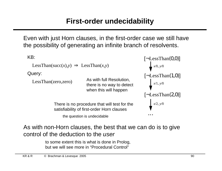Even with just Horn clauses, in the first-order case we still have the possibility of generating an infinite branch of resolvents.



As with non-Horn clauses, the best that we can do is to give control of the deduction to the user

> to some extent this is what is done in Prolog, but we will see more in "Procedural Control"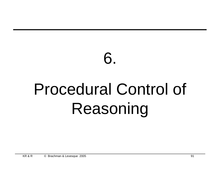# 6. Procedural Control of Reasoning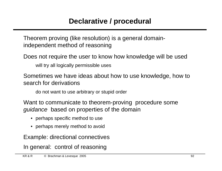Theorem proving (like resolution) is a general domainindependent method of reasoning

Does not require the user to know how knowledge will be used

will try all logically permissible uses

Sometimes we have ideas about how to use knowledge, how to search for derivations

do not want to use arbitrary or stupid order

Want to communicate to theorem-proving procedure some guidance based on properties of the domain

- perhaps specific method to use
- perhaps merely method to avoid

Example: directional connectives

In general: control of reasoning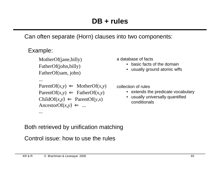Can often separate (Horn) clauses into two components:

### Example:

...

...

MotherOf(jane,billy) FatherOf(john,billy) FatherOf(sam, john)

```
ParentOf(x, y) \leftarrow MotherOf(x, y)ParentOf(x, y) \leftarrow FatherOf(x, y)ChildOf(x, y) \leftarrow ParentOf(y, x)AncestorOf(x, y) \Leftarrow ...
```
a database of facts

- basic facts of the domain
- usually ground atomic wffs

collection of rules

- extends the predicate vocabulary
- usually universally quantified conditionals

### Both retrieved by unification matching

Control issue: how to use the rules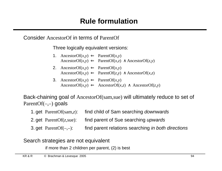Consider AncestorOf in terms of ParentOf

Three logically equivalent versions:

- 3. AncestorOf $(x,y) \Leftarrow$  ParentOf $(x,y)$ 2. AncestorOf( $x, y$ )  $\Leftarrow$  ParentOf( $x, y$ ) AncestorOf( $x, y$ )  $\Leftarrow$  ParentOf( $z, y$ )  $\land$  AncestorOf( $x, z$ ) 1. AncestorOf( $x, y$ )  $\Leftarrow$  ParentOf( $x, y$ ) AncestorOf( $x, y$ )  $\Leftarrow$  ParentOf( $x, z$ )  $\land$  AncestorOf( $z, y$ )
	- AncestorOf( $x, y$ )  $\Leftarrow$  AncestorOf( $x, z$ )  $\land$  AncestorOf( $z, y$ )

Back-chaining goal of AncestorOf(sam,sue) will ultimately reduce to set of Parent $Of(-,+)$  goals

- 1. get ParentOf(sam,*z*): find child of Sam searching downwards
- 2. get ParentOf(*z*,sue): find parent of Sue searching upwards
- 3. get  $ParentOf(-,-):$  find parent relations searching in both directions

Search strategies are not equivalent

if more than 2 children per parent, (2) is best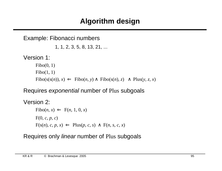## **Algorithm design**

```
Example: Fibonacci numbers
                1, 1, 2, 3, 5, 8, 13, 21, ...
Version 1:
      Fibo(0, 1)Fibo(1, 1)Fibo(s(s(n)), x) \leftarrow Fibo(n, y) \wedge Fibo(s(n), z) \wedge Plus(y, z, x)
```
## Requires exponential number of Plus subgoals

```
Version 2:
       Fibo(n, x) \Leftarrow F(n, 1, 0, x)F(0, c, p, c)
       F(s(n), c, p, x) \leftarrow Plus(p, c, s) \wedge F(n, s, c, x)
```
## Requires only linear number of Plus subgoals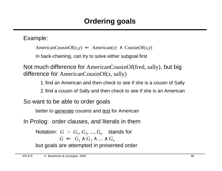Example:

AmericanCousinOf( $x, y$ )  $\Leftarrow$  American( $x$ )  $\land$  CousinOf( $x, y$ )

In back-chaining, can try to solve either subgoal first

Not much difference for AmericanCousinOf(fred, sally), but big difference for AmericanCousinOf(*x*, sally)

1. find an American and then check to see if she is a cousin of Sally

2. find a cousin of Sally and then check to see if she is an American

So want to be able to order goals

better to generate cousins and test for American

In Prolog: order clauses, and literals in them

Notation:  $G := G_1, G_2, ..., G_n$  stands for  $G \n\Leftarrow G_1 \wedge G_2 \wedge \ldots \wedge G_n$ but goals are attempted in presented order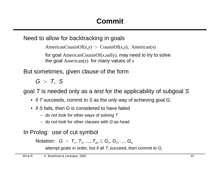Need to allow for backtracking in goals

AmericanCousinOf(*x,y*) :- CousinOf(*x,y*), American(*x*)

for goal AmericanCousinOf(*x,*sally), may need to try to solve the goal  $American(x)$  for many values of x

But sometimes, given clause of the form

 $G - T$ , S

goal  $T$  is needed only as a test for the applicability of subgoal  $S$ 

- if T succeeds, commit to S as the *only* way of achieving goal G.
- if S fails, then G is considered to have failed
	- do not look for other ways of solving  $T$
	- do not look for other clauses with G as head

In Prolog: use of cut symbol

Notation: G :- T<sub>1</sub>, T<sub>2</sub>, ..., T<sub>m</sub>, !, G<sub>1</sub>, G<sub>2</sub>, ..., G<sub>n</sub>

attempt goals in order, but if all  $\,mathcal{T}_i$  succeed, then commit to  $\boldsymbol{G}_i$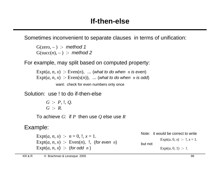Sometimes inconvenient to separate clauses in terms of unification:

 $G(zero, -)$  :- method 1  $G(succ(n), -)$  :- method 2

For example, may split based on computed property:

Expt $(a, n, x)$  : Even $(n)$ , ... (what to do when *n* is even) Expt $(a, n, x)$  :- Even $(s(n))$ , ... (what to do when *n* is odd) want: check for even numbers only once

Solution: use ! to do if-then-else

*G* :- *P*, !, *Q*. *G* :- *R*.

To achieve *G*: if *P* then use *Q* else use *R*

### Example:

Expt(*a, n, x*) :-  $n = 0, 1, x = 1$ . Expt $(a, n, x)$  :- Even $(n)$ , !, (for even *n*) Expt $(a, n, x)$  :- (for odd *n*)

Note: it would be correct to write

Expt(*a*, 0, *x*) :- !,  $x = 1$ .

but not

Expt $(a, 0, 1)$  :-!.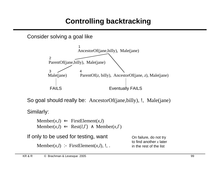# **Controlling backtracking**

Consider solving a goal like



So goal should really be: AncestorOf(jane,billy), !, Male(jane)

Similarly:

 $M$ ember(*x*,*l*)  $\Leftarrow$  FirstElement(*x*,*l*)  $Member(x, l) \leftarrow Rest(l, l') \wedge Member(x, l')$ 

| If only to be used for testing, want   | On failure, do not try                               |  |
|----------------------------------------|------------------------------------------------------|--|
| Member(x,l) :- FirstElement(x,l), !, . | to find another $x$ later<br>in the rest of the list |  |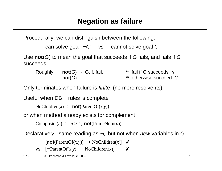Procedurally: we can distinguish between the following:

```
can solve goal \neg G vs. cannot solve goal G
```
Use **not**(G) to mean the goal that succeeds if G fails, and fails if G succeeds

Roughly:  $not(G)$ :  $G$ ,  $I$ , fail.  $\hspace{1.6cm}$  /\* fail if G succeeds  $\hspace{0.1cm}$  / **not**(G).  $\qquad \qquad$  /\* otherwise succeed \*/

Only terminates when failure is finite (no more resolvents)

```
Useful when DB + rules is complete
```

```
NoChildren(x) :- not(ParentOf(x, y))
```
or when method already exists for complement

```
Composite(n) :- n > 1, not(PrimeNum(n))
```
Declaratively: same reading as  $\neg$ , but not when *new* variables in G

[**not**(ParentOf(*x,y*)) ⊃ NoChildren(*x*)] ✔

vs. [¬ParentOf(*x,y*) ⊃ NoChildren(*x*)] ✘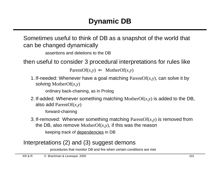Sometimes useful to think of DB as a snapshot of the world that can be changed dynamically

```
assertions and deletions to the DB
```
then useful to consider 3 procedural interpretations for rules like

 $ParentOf(x, y) \leftarrow MotherOf(x, y)$ 

1. If-needed: Whenever have a goal matching ParentOf(*x,y*), can solve it by solving MotherOf(*x,y*)

ordinary back-chaining, as in Prolog

2. If-added: Whenever something matching MotherOf(*x,y*) is added to the DB, also add ParentOf(*x,y*)

forward-chaining

3. If-removed: Whenever something matching ParentOf(*x,y*) is removed from the DB, also remove MotherOf(*x,y*), if this was the reason keeping track of dependencies in DB

### Interpretations (2) and (3) suggest demons

procedures that monitor DB and fire when certain conditions are met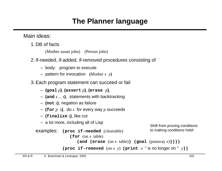# **The Planner language**

Main ideas:

- 1. DB of facts
	- (Mother susan john) (Person john)
- 2. If-needed, if-added, if-removed procedures consisting of
	- body: program to execute
	- pattern for invocation **(**Mother *x y***)**
- 3.Each program statement can succeed or fail
	- **(goal** *p***)**, **(assert** *p***)**, **(erase** *p***)**,
	- **(and** *s ... s***)**, statements with backtracking
	- **(not** *s***)**, negation as failure
	- **(for** *p s***)**, do *s* for every way *p* succeeds
	- **(finalize** *s***)**, like cut
	- a lot more, including all of Lisp

```
examples: (proc if-needed (cleartable)
```
**(for** (on *x* table)

Shift from proving conditions to making conditions hold!

```
(and (erase (on x table)) (goal (putaway x)))))
```
**(proc if-removed**  $($ on  $x$   $y$  $)$  **(print**  $x$   $"$  is no longer on  $"$   $y$  $)$ )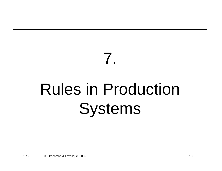# Rules in Production Systems

7.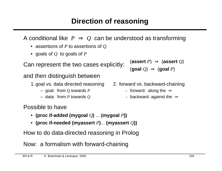A conditional like  $P \Rightarrow Q$  can be understood as transforming

- assertions of *P* to assertions of *Q*
- goals of *Q* to goals of *P*

Can represent the two cases explicitly:

and then distinguish between

- 1. goal vs. data directed reasoning 2. forward vs. backward-chaining
	- goal: from *Q* towards *P –* forward: along the ⇒
	-

Possible to have

- **(proc if-added (mygoal** *Q***)** ... **(mygoal** *P***))**
- **(proc if-needed (myassert** *P***)**... **(myassert** *Q***))**

How to do data-directed reasoning in Prolog

Now: a formalism with forward-chaining

KR & R © Brachman & Levesque 2005 104

 $(a$ **ssert**  $P) \Rightarrow (a$ **ssert**  $Q)$  $(q$ oal  $Q) \Rightarrow (q$ oal  $P)$ 

- -
- data: from *P* towards *Q –* backward: against the ⇒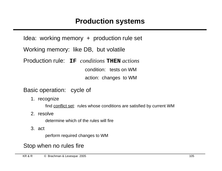Idea: working memory + production rule set Working memory: like DB, but volatile Production rule: **IF** *conditions* **THEN** *actions* condition: tests on WM action: changes to WM

Basic operation: cycle of

1. recognize

find conflict set: rules whose conditions are satisfied by current WM

2. resolve

determine which of the rules will fire

3. act

perform required changes to WM

## Stop when no rules fire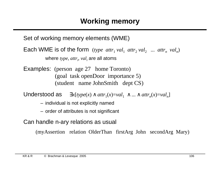Set of working memory elements (WME)

Each WME is of the form (*type attr*<sub>1</sub> val<sub>1</sub> attr<sub>2</sub> val<sub>2</sub> ... attr<sub>n</sub> val<sub>n</sub>) where *type*, *attr<sup>i</sup>* , *val<sup>i</sup>* are all atoms

Examples: (person age 27 home Toronto) (goal task openDoor importance 5) (student name JohnSmith dept CS)

Understood as  $\exists x [type(x) \land attr_1(x)=val_1 \land ... \land attr_n(x)=val_n]$ 

- individual is not explicitly named
- order of attributes is not significant

Can handle n-ary relations as usual

(myAssertion relation OlderThan firstArg John secondArg Mary)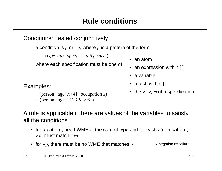Conditions: tested conjunctively

```
a condition is p or -p, where p is a pattern of the form
```
 $(type \text{ attr}_1 \text{ spec}_1 \dots \text{ attr}_k \text{ spec}_k)$ 

where each specification must be one of

Examples:

```
(person age [n+4] occupation x)
- (person age {< 23 ∧ > 6})
```
- an atom
- an expression within [ ]
- a variable
- a test, within  $\{\}$
- the  $\land$ ,  $\lor$ ,  $\neg$  of a specification

### A rule is applicable if there are values of the variables to satisfy all the conditions

- for a pattern, need WME of the correct type and for each *attr* in pattern, *val* must match *spec*
- for **-***p*, there must be no WME that matches *p* ∴ negation as failure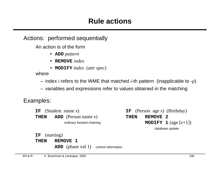### Actions: performed sequentially

An action is of the form

- **ADD** *pattern*
- **REMOVE** *index*
- **MODIFY** i*ndex* (*attr spec*)

where

– index *i* refers to the WME that matched *i*-th pattern (inapplicable to **-***p*)

– variables and expressions refer to values obtained in the matching

Examples:

**IF** (Student name *x*) **THEN ADD** (Person name *x*) ordinary forward chaining **IF** (Person age *x*) (Birthday) **THEN REMOVE 2 MODIFY** 1 (age  $[x+1]$ ) database update

**IF** (starting)

**THEN REMOVE 1**

**ADD** (phase val 1) control information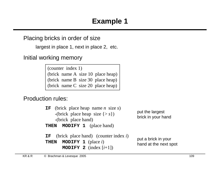Placing bricks in order of size

largest in place 1, next in place 2, etc.

Initial working memory

(counter index 1) (brick name A size 10 place heap) (brick name B size 30 place heap) (brick name C size 20 place heap)

#### Production rules:

| <b>IF</b> (brick place heap name <i>n</i> size <i>s</i> )<br>-(brick place heap size $\{ > s \}$ )<br>-(brick place hand)<br><b>THEN MODIFY 1</b> (place hand) | put the largest<br>brick in your hand        |
|----------------------------------------------------------------------------------------------------------------------------------------------------------------|----------------------------------------------|
| <b>IF</b> (brick place hand) (counter index $i$ )<br>THEN MODIFY 1 (place $i$ )<br><b>MODIFY 2</b> (index $[i+1]$ )                                            | put a brick in your<br>hand at the next spot |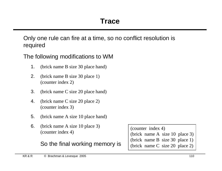Only one rule can fire at a time, so no conflict resolution is required

The following modifications to WM

- 1. (brick name B size 30 place hand)
- 2. (brick name B size 30 place 1) (counter index 2)
- 3. (brick name C size 20 place hand)
- 4. (brick name C size 20 place 2) (counter index 3)
- 5. (brick name A size 10 place hand)
- 6. (brick name A size 10 place 3) (counter index 4)

So the final working memory is

(counter index 4) (brick name A size 10 place 3) (brick name B size 30 place 1) (brick name C size 20 place 2)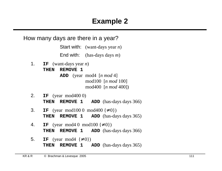How many days are there in a year?

Start with: (want-days year *n*)

End with: (has-days days *m*)

- 1. **IF** (want-days year *n*)
	- **THEN REMOVE 1**

**ADD** (year mod4 [*n mod* 4] mod100 [*n mod* 100] mod400 [*n mod* 400])

- 2. **IF** (year mod400 0) **THEN REMOVE 1 ADD** (has-days days 366)
- 3. **IF** (year mod 100 0 mod 400 { $\neq 0$ }) **THEN REMOVE 1 ADD** (has-days days 365)
- 4. **IF** (year mod4 0 mod100 { $\neq$  0}) **THEN REMOVE 1 ADD** (has-days days 366)
- 5. **IF** (year mod $(4 \neq 0)$ ) **THEN REMOVE 1 ADD** (has-days days 365)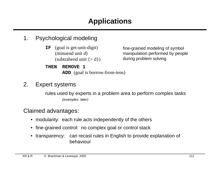- 1. Psychological modeling
	- **IF** (goal is get-unit-digit) (minuend unit *d*) (subtrahend unit  $\{ > d \}$ )
	- **THEN REMOVE 1 ADD** (goal is borrow-from-tens)

fine-grained modeling of symbol manipulation performed by people during problem solving

#### 2. Expert systems

rules used by experts in a problem area to perform complex tasks (examples later)

#### Claimed advantages:

- modularity: each rule acts independently of the others
- fine-grained control: no complex goal or control stack
- transparency: can recast rules in English to provide explanation of behaviour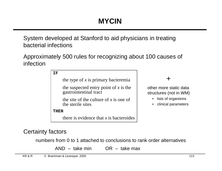System developed at Stanford to aid physicians in treating bacterial infections

Approximately 500 rules for recognizing about 100 causes of infection

**IF**

the type of *x* is primary bacteremia

the suspected entry point of *x* is the gastrointestinal tract

the site of the culture of *x* is one of the sterile sites

**THEN**

there is evidence that *x* is bacteroides

+

other more static data structures (not in WM)

- lists of organisms
- clinical parameters

#### Certainty factors

numbers from 0 to 1 attached to conclusions to rank order alternatives

AND – take min OR – take max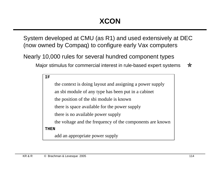System developed at CMU (as R1) and used extensively at DEC (now owned by Compaq) to configure early Vax computers

Nearly 10,000 rules for several hundred component types

Major stimulus for commercial interest in rule-based expert systems ☆

**IF**

the context is doing layout and assigning a power supply an sbi module of any type has been put in a cabinet the position of the sbi module is known there is space available for the power supply there is no available power supply the voltage and the frequency of the components are known **THEN** add an appropriate power supply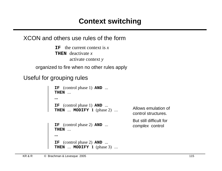#### XCON and others use rules of the form

**IF** the current context is  $x$ **THEN** deactivate *x* activate context *y*

organized to fire when no other rules apply

#### Useful for grouping rules

**IF** (control phase 1) **AND** ... **THEN** ...

**...**

**IF** (control phase 1) **AND** ... **THEN** ... **MODIFY 1** (phase 2) ...

Allows emulation of control structures. But still difficult for complex control

**IF** (control phase 2) **AND** ... **THEN** ...

```
...
IF (control phase 2) AND ... 
THEN ... MODIFY 1 (phase 3) ...
```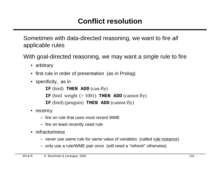Sometimes with data-directed reasoning, we want to fire all applicable rules

With goal-directed reasoning, we may want a single rule to fire

- arbitrary
- first rule in order of presentation (as in Prolog)
- specificity, as in

**IF** (bird) **THEN ADD** (can-fly) **IF** (bird weight  $\{>100\}$ ) **THEN ADD** (cannot-fly) **IF** (bird) (penguin) **THEN ADD** (cannot-fly)

- recency
	- fire on rule that uses most recent WME
	- fire on least recently used rule
- refractoriness
	- never use same rule for same value of variables (called rule instance)
	- only use a rule/WME pair once (will need a "refresh" otherwise)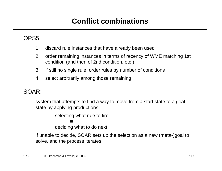# **Conflict combinations**

#### OPS5:

- 1. discard rule instances that have already been used
- 2. order remaining instances in terms of recency of WME matching 1st condition (and then of 2nd condition, etc.)
- 3. if still no single rule, order rules by number of conditions
- 4. select arbitrarily among those remaining

#### SOAR:

system that attempts to find a way to move from a start state to a goal state by applying productions

> selecting what rule to fire ≡ deciding what to do next

if unable to decide, SOAR sets up the selection as a new (meta-)goal to solve, and the process iterates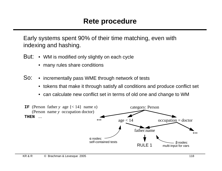Early systems spent 90% of their time matching, even with indexing and hashing.

- But: WM is modified only slightly on each cycle
	- many rules share conditions
- So: • incrementally pass WME through network of tests
	- tokens that make it through satisfy all conditions and produce conflict set
	- can calculate new conflict set in terms of old one and change to WM

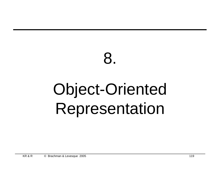# 8. Object-Oriented Representation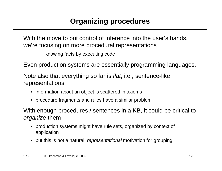With the move to put control of inference into the user's hands, we're focusing on more procedural representations

knowing facts by executing code

Even production systems are essentially programming languages.

Note also that everything so far is flat, i.e., sentence-like representations

- information about an object is scattered in axioms
- procedure fragments and rules have a similar problem

With enough procedures / sentences in a KB, it could be critical to organize them

- production systems might have rule sets, organized by context of application
- but this is not a natural, representational motivation for grouping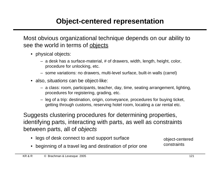# **Object-centered representation**

Most obvious organizational technique depends on our ability to see the world in terms of objects

- physical objects:
	- a desk has a surface-material, # of drawers, width, length, height, color, procedure for unlocking, etc.
	- some variations: no drawers, multi-level surface, built-in walls (carrel)
- also, *situations* can be object-like:
	- a class: room, participants, teacher, day, time, seating arrangement, lighting, procedures for registering, grading, etc.
	- leg of a trip: destination, origin, conveyance, procedures for buying ticket, getting through customs, reserving hotel room, locating a car rental etc.

Suggests clustering procedures for determining properties, identifying parts, interacting with parts, as well as constraints between parts, all of objects

• legs of desk connect to and support surface • beginning of a travel leg and destination of prior one object-centered constraints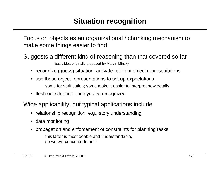# **Situation recognition**

Focus on objects as an organizational / chunking mechanism to make some things easier to find

Suggests a different kind of reasoning than that covered so far

basic idea originally proposed by Marvin Minsky

- recognize (guess) situation; activate relevant object representations
- use those object representations to set up expectations some for verification; some make it easier to interpret new details
- flesh out situation once you've recognized

Wide applicability, but typical applications include

- relationship recognition e.g., story understanding
- data monitoring
- propagation and enforcement of constraints for planning tasks this latter is most doable and understandable, so we will concentrate on it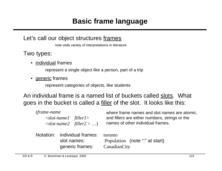Let's call our object structures frames

note wide variety of interpretations in literature

Two types:

• individual frames

represent a single object like a person, part of a trip

• generic frames

represent categories of objects, like students

An individual frame is a named list of buckets called slots. What goes in the bucket is called a <u>filler</u> of the slot. It looks like this:

| (frame-name                    | where frame names and slot names are atomic,   |
|--------------------------------|------------------------------------------------|
| $\le$ slot-namel filler1>      | and fillers are either numbers, strings or the |
| $\langle$ slot-name2 filler2 > | names of other individual frames.              |
| Notation: individual frames:   | toronto                                        |
| slot names:                    | : Population (note ":" at start)               |
| generic frames:                | CanadianCity                                   |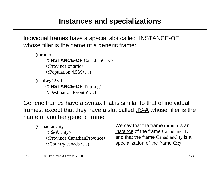Individual frames have a special slot called :INSTANCE-OF whose filler is the name of a generic frame:

```
(toronto
    <:INSTANCE-OF CanadianCity>
    <:Province ontario>
    <:Population 4.5M>…)
(tripLeg123-1
    <:INSTANCE-OF TripLeg>
    <:Destination toronto>…)
```
Generic frames have a syntax that is similar to that of individual frames, except that they have a slot called : IS-A whose filler is the name of another generic frame

(CanadianCity <:**IS-A** City> <:Province CanadianProvince> <:Country canada>…)

We say that the frame toronto is an instance of the frame CanadianCity and that the frame CanadianCity is a specialization of the frame City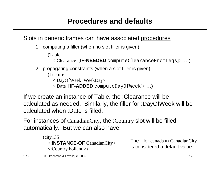#### Slots in generic frames can have associated procedures

1. computing a filler (when no slot filler is given)

(Table

<:Clearance [**IF-NEEDED** computeClearanceFromLegs]> …)

2. propagating constraints (when a slot filler is given)

(Lecture

<:DayOfWeek WeekDay>

<:Date [**IF-ADDED** computeDayOfWeek]> …)

If we create an instance of Table, the :Clearance will be calculated as needed. Similarly, the filler for :DayOfWeek will be calculated when :Date is filled.

For instances of CanadianCity, the :Country slot will be filled automatically. But we can also have

```
(city135
  <:INSTANCE-OF CanadianCity>
  <:Country holland>)
```
The filler canada in CanadianCity is considered a default value.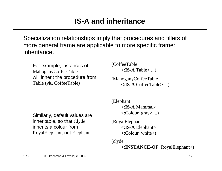### **IS-A and inheritance**

Specialization relationships imply that procedures and fillers of more general frame are applicable to more specific frame: inheritance.

For example, instances of MahoganyCoffeeTable will inherit the procedure from Table (via CoffeeTable)

(CoffeeTable <:**IS-A** Table> ...)

(MahoganyCoffeeTable <:**IS-A** CoffeeTable> ...)

Similarly, default values are inheritable, so that Clyde inherits a colour from RoyalElephant, not Elephant

(Elephant <:**IS-A** Mammal> <:Colourgray> ...)

(RoyalElephant <:**IS-A** Elephant> <:Colour white>)

(clyde

<:**INSTANCE-OF** RoyalElephant>)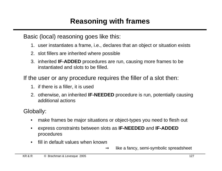Basic (local) reasoning goes like this:

- 1. user instantiates a frame, i.e., declares that an object or situation exists
- 2. slot fillers are inherited where possible
- 3. inherited **IF-ADDED** procedures are run, causing more frames to be instantiated and slots to be filled.

If the user or any procedure requires the filler of a slot then:

- 1. if there is a filler, it is used
- 2. otherwise, an inherited **IF-NEEDED** procedure is run, potentially causing additional actions

Globally:

- make frames be major situations or object-types you need to flesh out
- express constraints between slots as **IF-NEEDED** and **IF-ADDED** procedures
- fill in default values when known
	- $\Rightarrow$  like a fancy, semi-symbolic spreadsheet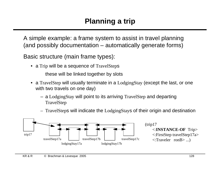A simple example: a frame system to assist in travel planning (and possibly documentation – automatically generate forms)

Basic structure (main frame types):

• a Trip will be a sequence of TravelSteps

these will be linked together by slots

- a TravelStep will usually terminate in a LodgingStay (except the last, or one with two travels on one day)
	- a LodgingStay will point to its arriving TravelStep and departing TravelStep



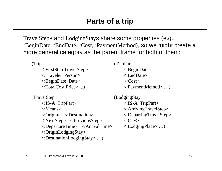TravelSteps and LodgingStays share some properties (e.g., :BeginDate, :EndDate, :Cost, :PaymentMethod), so we might create a more general category as the parent frame for both of them:

(Trip

<:FirstStep TravelStep> <:Traveler Person> <:BeginDate Date> <:TotalCost Price> ...)

(TravelStep <:**IS-A** TripPart> <:Means> <:Origin> <:Destination> <:NextStep> <:PreviousStep> <:DepartureTime> <:ArrivalTime> <:OriginLodgingStay> <:DestinationLodgingStay> …)

(TripPart

<:BeginDate> <:EndDate> <:Cost> <:PaymentMethod> …)

(LodgingStay <:**IS-A** TripPart> <:ArrivingTravelStep> <:DepartingTravelStep>  $\langle$ :City $\rangle$ <:LodgingPlace> …)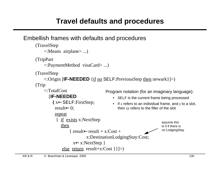# **Travel defaults and procedures**

#### Embellish frames with defaults and procedures

```
(TravelStep 
    <:Means airplane> ...)
(TripPart
    <:PaymentMethod visaCard> ...)
(TravelStep 
    <:Origin [IF-NEEDED {if no SELF:PreviousStep then newark}]>)
(Trip 
    <:TotalCost 
        [IF-NEEDED
         { x←SELF:FirstStep;
           result←0;
           repeat
            { if exists x:NextStep
             then
                  \{ result \leftarrow result + x:Cost + x:DestinationLodgingStay:Cost;
                     x←x:NextStep }
               else return result+x:Cost }}]>)
                                      Program notation (for an imaginary language):
                                          • SELF is the current frame being processed
                                          • if x refers to an individual frame, and y to a slot, 
                                             then xy refers to the filler of the slot
                                                                     assume this
                                                                     is 0 if there is
                                                                     no LodgingStay
```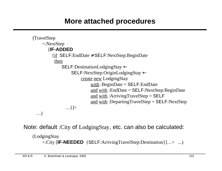# **More attached procedures**

```
(TravelStep
    <:NextStep
        [IF-ADDED
         \{if \text{SELF:EndDate} \neq \text{SELF:NextStep:BeginDate} then
               SELF:DestinationLodgingStay ←
                    SELF:NextStep:OriginLodgingStay ←
                        create new LodgingStay
                            with : BeginDate = SELF:EndDate and with :EndDate = SELF:NextStep:BeginDate 
                            and with : Arriving Travel Step = SELF and with :DepartingTravelStep = SELF:NextStep
                 …}]>
  …)
```
Note: default :City of LodgingStay, etc. can also be calculated:

(LodgingStay <:City [**IF-NEEDED** {SELF:ArrivingTravelStep:Destination}]…> ...)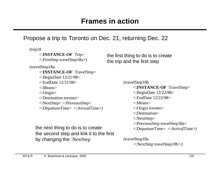#### Propose a trip to Toronto on Dec. 21, returning Dec. 22

(trip18 <:**INSTANCE-OF** Trip> <:FirstStep travelStep18a>) (travelStep18a <:**INSTANCE-OF** TravelStep> <:BeginDate 12/21/98> <:EndDate 12/21/98> <:Means> <:Origin> <:Destination toronto> <:NextStep> <:PreviousStep> <:DepartureTime> <:ArrivalTime>)

the next thing to do is to create the second step and link it to the first by changing the :NextStep

the first thing to do is to create the trip and the first step

> (travelStep18b <:**INSTANCE-OF** TravelStep> <:BeginDate 12/22/98> <:EndDate 12/22/98> <:Means> <:Origin toronto> <:Destination> <:NextStep> <:PreviousStep travelStep18a> <:DepartureTime> <:ArrivalTime>)

*(*travelStep18a *<*:NextStep travelStep18b*>)*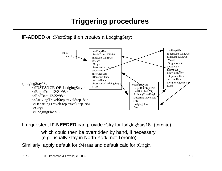# **Triggering procedures**

**IF-ADDED** on :NextStep then creates a LodgingStay:



If requested, **IF-NEEDED** can provide :City for lodgingStay18a (toronto)

which could then be overridden by hand, if necessary (e.g. usually stay in North York, not Toronto)

Similarly, apply default for :Means and default calc for :Origin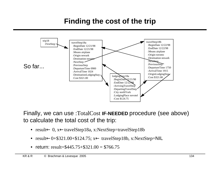# **Finding the cost of the trip**



Finally, we can use :TotalCost **IF-NEEDED** procedure (see above) to calculate the total cost of the trip:

- result← 0, x←travelStep18a, x:NextStep=travelStep18b
- result←0+\$321.00+\$124.75; x← travelStep18b, x:NextStep=NIL
- return: result= $$445.75+$321.00 = $766.75$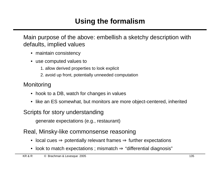Main purpose of the above: embellish a sketchy description with defaults, implied values

- maintain consistency
- use computed values to
	- 1. allow derived properties to look explicit
	- 2. avoid up front, potentially unneeded computation

#### **Monitoring**

- hook to a DB, watch for changes in values
- like an ES somewhat, but monitors are more object-centered, inherited

#### Scripts for story understanding

generate expectations (e.g., restaurant)

#### Real, Minsky-like commonsense reasoning

- local cues  $\Rightarrow$  potentially relevant frames  $\Rightarrow$  further expectations
- look to match expectations ; mismatch ⇒ "differential diagnosis"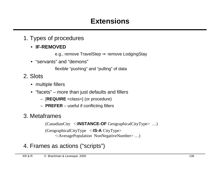- 1. Types of procedures
	- **IF-REMOVED**
		- e.g., remove TravelStep ⇒ remove LodgingStay
	- "servants" and "demons"
		- flexible "pushing" and "pulling" of data
- 2. Slots
	- multiple fillers
	- "facets" more than just defaults and fillers
		- [**REQUIRE** <class>] (or procedure)
		- **PREFER** useful if conflicting fillers

#### 3. Metaframes

(CanadianCity <:**INSTANCE-OF** GeographicalCityType> …)

(GeographicalCityType <:**IS-A** CityType> <:AveragePopulation NonNegativeNumber> …)

#### 4. Frames as actions ("scripts")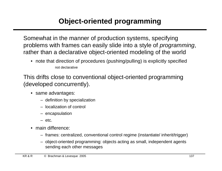# **Object-oriented programming**

Somewhat in the manner of production systems, specifying problems with frames can easily slide into a style of *programming*, rather than a declarative object-oriented modeling of the world

• note that direction of procedures (pushing/pulling) is explicitly specified not declarative

This drifts close to conventional object-oriented programming (developed concurrently).

- same advantages:
	- definition by specialization
	- localization of control
	- encapsulation
	- $-$  etc.
- main difference:
	- frames: centralized, conventional control regime (instantiate/ inherit/trigger)
	- object-oriented programming: objects acting as small, independent agents sending each other messages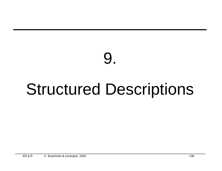# Structured Descriptions

9.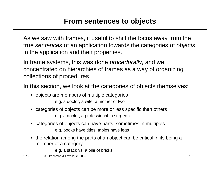As we saw with frames, it useful to shift the focus away from the true sentences of an application towards the categories of objects in the application and their properties.

In frame systems, this was done *procedurally*, and we concentrated on hierarchies of frames as a way of organizing collections of procedures.

In this section, we look at the categories of objects themselves:

• objects are members of multiple categories

e.g. a doctor, a wife, a mother of two

- categories of objects can be more or less specific than others e.g. a doctor, a professional, a surgeon
- categories of objects can have parts, sometimes in multiples e.g. books have titles, tables have legs
- the relation among the parts of an object can be critical in its being a member of a category

e.g. a stack vs. a pile of bricks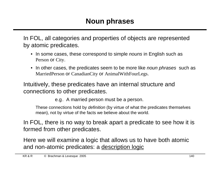In FOL, all categories and properties of objects are represented by atomic predicates.

- In some cases, these correspond to simple *nouns* in English such as Person or City.
- In other cases, the predicates seem to be more like *noun phrases* such as MarriedPerson or CanadianCity or AnimalWithFourLegs.

Intuitively, these predicates have an internal structure and connections to other predicates.

e.g. A married person must be a person.

These connections hold by *definition* (by virtue of what the predicates themselves mean), not by virtue of the facts we believe about the world.

In FOL, there is no way to break apart a predicate to see how it is formed from other predicates.

Here we will examine a logic that allows us to have both atomic and non-atomic predicates: a description logic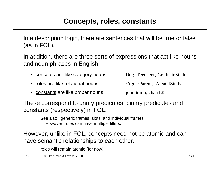In a description logic, there are sentences that will be true or false (as in FOL).

In addition, there are three sorts of expressions that act like nouns and noun phrases in English:

- concepts are like category nouns Dog, Teenager, GraduateStudent
- roles are like relational nouns : Age, :Parent, :AreaOfStudy

• constants are like proper nouns johnSmith, chair128

These correspond to unary predicates, binary predicates and constants (respectively) in FOL.

> See also: generic frames, slots, and individual frames. However: roles can have multiple fillers.

However, unlike in FOL, concepts need not be atomic and can have semantic relationships to each other.

roles will remain atomic (for now)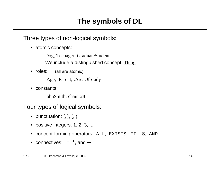# **The symbols of DL**

Three types of non-logical symbols:

• atomic concepts:

Dog, Teenager, GraduateStudent

We include a distinguished concept: Thing

• roles: (all are atomic)

:Age, :Parent, :AreaOfStudy

• constants:

johnSmith, chair128

Four types of logical symbols:

- punctuation:  $[, ], (,)$
- positive integers: 1, 2, 3, ...
- concept-forming operators: ALL, EXISTS, FILLS, AND
- connectives:  $\Xi$ ,  $\stackrel{\bullet}{=}$ , and  $\rightarrow$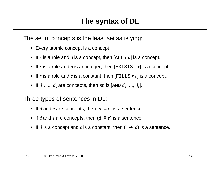The set of concepts is the least set satisfying:

- Every atomic concept is a concept.
- If *r* is a role and *d* is a concept, then [ALL *r d*] is a concept.
- If *r* is a role and *n* is an integer, then [EXISTS *n r*] is a concept.
- If *r* is a role and *c* is a constant, then [FILLS *r c*] is a concept.
- If  $d_1$ , ...,  $d_k$  are concepts, then so is [AND  $d_1$ , ...,  $d_k$ ].

Three types of sentences in DL:

- If *d* and *e* are concepts, then  $(d \n\equiv e)$  is a sentence.
- if *d* and *e* are concepts, then  $(d \triangleq e)$  is a sentence.
- If *d* is a concept and *c* is a constant, then  $(c \rightarrow d)$  is a sentence.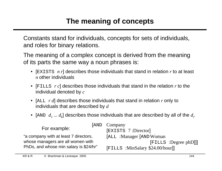# **The meaning of concepts**

Constants stand for individuals, concepts for sets of individuals, and roles for binary relations.

The meaning of a complex concept is derived from the meaning of its parts the same way a noun phrases is:

- [EXISTS *n r*] describes those individuals that stand in relation *r* to at least *n* other individuals
- [FILLS *r c*] describes those individuals that stand in the relation *r* to the individual denoted by *c*
- [ALL *r d*] describes those individuals that stand in relation *r* only to individuals that are described by *d*
- [AND  $d_1...d_k$ ] describes those individuals that are described by all of the  $d_i$ .

| For example:                                                                | [AND Company                      |
|-----------------------------------------------------------------------------|-----------------------------------|
|                                                                             | [EXISTS 7:Director]               |
| "a company with at least 7 directors,                                       | [ALL: Manager [AND Woman]         |
| whose managers are all women with<br>PhDs, and whose min salary is \$24/hr" | $[$ FILLS :Degree phD]]]          |
|                                                                             | [FILLS : MinSalary \$24.00/hour]] |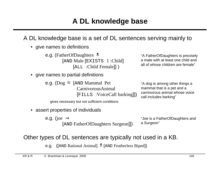# **A DL knowledge base**

#### A DL knowledge base is a set of DL sentences serving mainly to

• give names to definitions

e.g. (FatherOfDaughters  $\triangleq$ [AND Male [EXISTS 1 :Child] [ALL :Child Female]] )

"A FatherOfDaughters is precisely a male with at least one child and all of whose children are female"

"A dog is among other things a

• give names to partial definitions

e.g. ( $\text{Doq} \subseteq \text{[AND Mammal Pet]}$  CarnivorousAnimal [FILLS :VoiceCall barking]])

mammal that is a pet and a carnivorous animal whose voice call includes barking"

gives necessary but not sufficient conditions

• assert properties of individuals

e.g. (joe  $\rightarrow$ [AND FatherOfDaughters Surgeon]]) "Joe is a FatherOfDaughters and a Surgeon"

#### Other types of DL sentences are typically not used in a KB.

e.g. ([AND Rational Animal]  $\triangleq$  [AND Featherless Biped])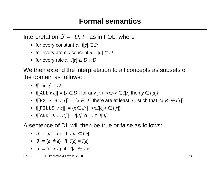### **Formal semantics**

Interpretation  $\mathcal{I} = \langle D, I \rangle$  as in FOL, where

- for every constant  $c, I[c] \in D$
- for every atomic concept *a*,  $I[a] \subseteq D$
- for every role *r*,  $I[r] \subseteq D \times D$

We then extend the interpretation to all concepts as subsets of the domain as follows:

- I[Thing] =  $D$
- I[[ALL  $r d$ ]] = { $x \in D$  | for any  $y$ , if  $\langle x, y \rangle \in I[r]$  then  $y \in I[d]$ }
- I[[EXISTS  $n r$ ]] = { $x \in D$  | there are at least  $n y$  such that  $\langle x, y \rangle \in I[r]$ }
- I[[FILLS  $r c$ ]] = { $x \in D$  |  $\langle x, I[c] \rangle \in I[r]$ }
- I[[AND  $d_1 ... d_k$ ]] = I[ $d_1$ ]  $\cap ... \cap$  I[ $d_k$ ]

A sentence of DL will then be true or false as follows:

- $\mathcal{I} = \{d \in e\}$  iff  $I[d] \subseteq I[e]$
- $\mathcal{I} = (d \triangleq e)$  iff  $I[d] = I[e]$
- $\mathcal{I} = (c \rightarrow e)$  iff  $I[c] \in I[e]$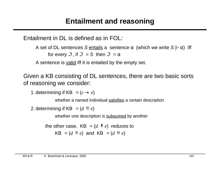## **Entailment and reasoning**

Entailment in DL is defined as in FOL:

A set of DL sentences S entails a sentence  $\alpha$  (which we write  $S \models \alpha$ ) iff for every  $\mathcal{I}$ , if  $\mathcal{I} = S$  then  $\mathcal{I} = \alpha$ 

A sentence is valid iff it is entailed by the empty set.

Given a KB consisting of DL sentences, there are two basic sorts of reasoning we consider:

1. determining if KB  $= (c \rightarrow e)$ 

whether a named individual satisfies a certain description

2. determining if KB  $= (d \sqsubseteq e)$ 

whether one description is subsumed by another

```
the other case, KB \models (d \triangleq e) reduces to
      KB \models (d \sqsubseteq e) and KB \models (d \sqsubseteq e)
```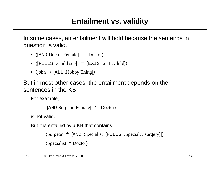In some cases, an entailment will hold because the sentence in question is valid.

- ( $[AND Doctor Female] \equiv Doctor$ )
- ( $[$ FILLS :Child sue]  $\subseteq$   $[$ EXISTS 1 :Child])
- (john  $\rightarrow$  [ALL : Hobby Thing])

But in most other cases, the entailment depends on the sentences in the KB.

For example,

```
([AND\;S(urgeon Female) <math>\subseteq Doctor)
```
is not valid.

But it is entailed by a KB that contains

```
(Surgeon = [AND Specialist [FILLS :Specialty surgery]])
(Specialist \equiv Doctor)
```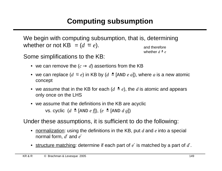# **Computing subsumption**

We begin with computing subsumption, that is, determining whether or not KB  $= (d \equiv e)$ . and therefore whether  $d \triangleq e$ 

Some simplifications to the KB:

- we can remove the  $(c \rightarrow d)$  assertions from the KB
- we can replace  $(d \subseteq e)$  in KB by  $(d \subseteq \text{[AND } e \text{ a}])$ , where a is a new atomic concept
- we assume that in the KB for each  $(d \triangleq e)$ , the *d* is atomic and appears only once on the LHS

• we assume that the definitions in the KB are acyclic vs. cyclic (*d* = [AND *e f*]), (*e* = [AND *d g*])

Under these assumptions, it is sufficient to do the following:

- normalization: using the definitions in the KB, put *d* and *e* into a special normal form, *d*′ and *e* ′
- structure matching: determine if each part of *e* ′ is matched by a part of *d*′.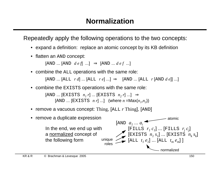Repeatedly apply the following operations to the two concepts:

- expand a definition: replace an atomic concept by its KB definition
- flatten an AND concept:

 $[AND \dots [AND \ de \ f] \dots] \Rightarrow [AND \dots \ de \ f \dots]$ 

• combine the ALL operations with the same role:

[AND ... [ALL *r d*] ... [ALL *r e*] ...] ⇒ [AND ... [ALL *r* [AND *d e*]] ...]

• combine the **EXISTS** operations with the same role:

 $[RAND \dots [EXISTS \ n_I r] \dots [EXISTS \ n_2 r] \dots] \Rightarrow$  $[AND ... [EXISTS *n r*] ...]$  (where  $n = Max(n_1, n_2)$ )

• remove a vacuous concept: Thing, [ALL *r* Thing], [AND]

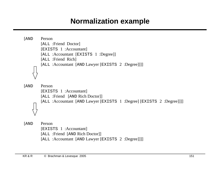# **Normalization example**

```
[AND Person
        [ALL :Friend Doctor]
        [EXISTS 1 :Accountant]
        [ALL :Accountant [EXISTS 1 :Degree]]
        [ALL :Friend Rich] 
        [ALL :Accountant [AND Lawyer [EXISTS 2 :Degree]]]] 
[AND Person
        [EXISTS 1 :Accountant]
        [ALL :Friend [AND Rich Doctor]] 
        [ALL :Accountant [AND Lawyer [EXISTS 1 :Degree] [EXISTS 2 :Degree]]]] 
[AND Person
        [EXISTS 1 :Accountant]
        [ALL :Friend [AND Rich Doctor]] 
        [ALL :Accountant [AND Lawyer [EXISTS 2 :Degree]]]]
```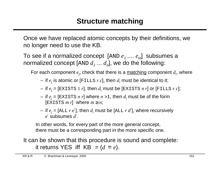Once we have replaced atomic concepts by their definitions, we no longer need to use the KB.

To see if a normalized concept [AND *e<sup>1</sup>* .... *e<sup>m</sup>* ] subsumes a normalized concept  $[\textsc{and}\; d_1\; ... \; d_n]$ , we do the following:

For each component  $e_j$ , check that there is a <u>matching</u> component  $d_i$ , where

- $-$  if  $e_j$  is atomic or [FILLS  $r\,c$ ], then  $d_i$  must be identical to it;
- $-$  if  $e_j$  = [EXISTS 1  $r$ ], then  $d_i$  must be [EXISTS  $n$   $r$ ] or [FILLS  $r$   $c$ ];
- $-$  if  $e_j$  = [EXISTS  $n$   $r$ ] where  $n$  >1, then  $d_i$  must be of the form  $\lceil$ EXISTS *m r* $\rfloor$  where *m*  $\geq$  *n*;
- $-$  if  $e_j$  = [ALL  $r$   $e^\prime$ ], then  $d_i$  must be [ALL  $r$   $d^\prime$ ], where recursively *e* ′ subsumes *d*′.

In other words, for every part of the more general concept, there must be a corresponding part in the more specific one.

It can be shown that this procedure is sound and complete: it returns YES iff  $KB \models (d \equiv e)$ .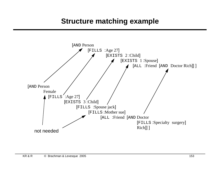## **Structure matching example**

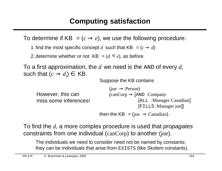To determine if KB  $\vert = (c \rightarrow e)$ , we use the following procedure:

1. find the most specific concept *d* such that KB  $\vert = (c \rightarrow d) \vert$ 

2. determine whether or not  $KB \models (d \sqsubseteq e)$ , as before.

To a first approximation, the *d* we need is the AND of every *d<sup>i</sup>* such that  $(c \rightarrow d_i) \in \mathsf{KB}$ .

Suppose the KB contains

```
(ioe \rightarrow Person)(canCorp \rightarrow \text{[AND}\ \text{Company})[ALL :Manager Canadian]
                                                         [FILLS :Manager joe]]
                                   then the KB = (joe \rightarrow Canadian).
However, this can 
miss some inferences!
```
To find the *d*, a more complex procedure is used that propagates constraints from one individual (canCorp) to another (joe).

The individuals we need to consider need not be named by constants; they can be individuals that arise from EXISTS (like Skolem constants).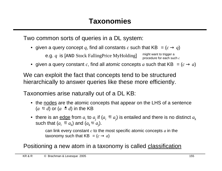Two common sorts of queries in a DL system:

• given a query concept q, find all constants c such that KB  $= (c \rightarrow q)$ 

e.g. *q* is [AND Stock FallingPrice MyHolding] might want to trigger a procedure for each such *c*

• given a query constant *c*, find all atomic concepts *a* such that KB  $\vert = (c \rightarrow a) \vert$ 

We can exploit the fact that concepts tend to be structured hierarchically to answer queries like these more efficiently.

Taxonomies arise naturally out of a DL KB:

- the nodes are the atomic concepts that appear on the LHS of a sentence  $(a \equiv d)$  or  $(a \equiv d)$  in the KB
- $\bullet$  there is an <u>edge</u> from  $a_i$  to  $a_j$  if ( $a_i \, \equiv a_j)$  is entailed and there is no distinct  $a_k$ such that  $(a_i \subseteq a_k)$  and  $(a_k \subseteq a_j)$ .

can link every constant *c* to the most specific atomic concepts *a* in the taxonomy such that KB  $\vert = (c \rightarrow a) \vert$ 

#### Positioning a new atom in a taxonomy is called classification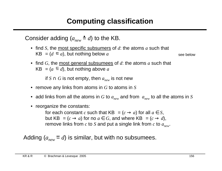# **Computing classification**

Consider adding  $(a_{new} \triangleq d)$  to the KB.

- find *S*, the most specific subsumers of *d*: the atoms *a* such that  $KB \models (d \sqsubseteq a)$ , but nothing below *a*
- see below
- find *G*, the most general subsumees of *d*: the atoms *a* such that  $KB \models (a \subseteq d)$ , but nothing above *a*

if *S* ∩ *G* is not empty, then  $a_{new}$  is not new

- remove any links from atoms in *G* to atoms in *S*
- add links from all the atoms in *G* to *anew* and from *anew* to all the atoms in *S*
- reorganize the constants:

for each constant *c* such that KB  $\vert = (c \rightarrow a)$  for all  $a \in S$ , but KB  $\vert \equiv (c \rightarrow a)$  for no  $a \in G$ , and where KB  $\vert \equiv (c \rightarrow d)$ , remove links from *c* to *S* and put a single link from *c* to *anew*.

Adding  $(a_{new} \equiv d)$  is similar, but with no subsumees.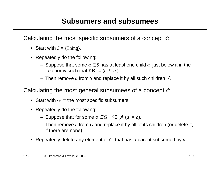Calculating the most specific subsumers of a concept *d*:

- Start with  $S = \{Think\}$ .
- Repeatedly do the following:
	- Suppose that some *a* ∈ *S* has at least one child *a* ′ just below it in the taxonomy such that KB  $= (d \equiv a')$ .
	- Then remove *a* from *S* and replace it by all such children *a* ′.

Calculating the most general subsumees of a concept *d*:

- Start with  $G =$  the most specific subsumers.
- Repeatedly do the following:
	- Suppose that for some *a* ∈ *G*, KB  $\not\models$  (*a*  $\equiv$  *d*).
	- Then remove *a* from *G* and replace it by all of its children (or delete it, if there are none).
- Repeatedly delete any element of *G* that has a parent subsumed by *d*.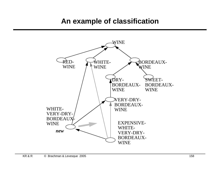## **An example of classification**

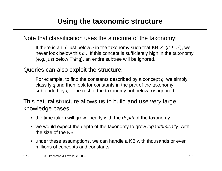Note that classification uses the structure of the taxonomy:

If there is an  $a'$  just below  $a$  in the taxonomy such that KB  $\not\models (d \equiv a')$ , we never look below this *a* ′. If this concept is sufficiently high in the taxonomy (e.g. just below Thing), an entire subtree will be ignored.

Queries can also exploit the structure:

For example, to find the constants described by a concept *q*, we simply classify *q* and then look for constants in the part of the taxonomy subtended by *q*. The rest of the taxonomy not below *q* is ignored.

This natural structure allows us to build and use very large knowledge bases.

- the time taken will grow linearly with the *depth* of the taxonomy
- we would expect the depth of the taxonomy to grow *logarithmically* with the size of the KB
- under these assumptions, we can handle a KB with thousands or even millions of concepts and constants.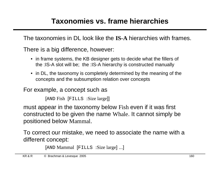The taxonomies in DL look like the **IS-A** hierarchies with frames.

There is a big difference, however:

- in frame systems, the KB designer gets to decide what the fillers of the :IS-A slot will be; the :IS-A hierarchy is constructed manually
- in DL, the taxonomy is completely determined by the meaning of the concepts and the subsumption relation over concepts

For example, a concept such as

```
[AND Fish [FILLS :Size large]]
```
must appear in the taxonomy below Fish even if it was first constructed to be given the name Whale. It cannot simply be positioned below Mammal.

To correct our mistake, we need to associate the name with a different concept:

```
[AND Mammal [FILLS :Size large] ...]
```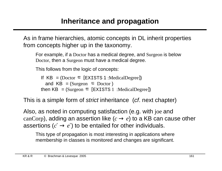## **Inheritance and propagation**

As in frame hierarchies, atomic concepts in DL inherit properties from concepts higher up in the taxonomy.

For example, if a Doctor has a medical degree, and Surgeon is below Doctor, then a Surgeon must have a medical degree.

This follows from the logic of concepts:

If  $KB \models (Doctor \sqsubseteq [EXISTS 1 : MedicalDegree])$ and  $KB \models$  (Surgeon  $\equiv$  Doctor) then  $KB \models$  (Surgeon  $\subseteq$  [EXISTS 1 :MedicalDegree])

This is a simple form of *strict* inheritance (*cf.* next chapter)

Also, as noted in computing satisfaction (e.g. with joe and canCorp), adding an assertion like  $(c \rightarrow e)$  to a KB can cause other assertions  $(c' \rightarrow e')$  to be entailed for other individuals.

This type of propagation is most interesting in applications where membership in classes is monitored and changes are significant.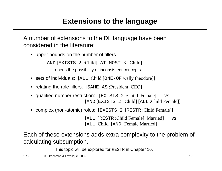## **Extensions to the language**

A number of extensions to the DL language have been considered in the literature:

• upper bounds on the number of fillers

[AND [EXISTS 2 :Child] [AT-MOST 3 :Child]]

opens the possibility of inconsistent concepts

- sets of individuals: [ALL :Child [ONE-OF wally theodore]]
- relating the role fillers: [SAME-AS : President : CEO]
- qualified number restriction: [EXISTS 2 : Child Female] vs. [AND [EXISTS 2 :Child] [ALL :Child Female]]
- complex (non-atomic) roles: [EXISTS 2 [RESTR : Child Female]]

[ALL [RESTR :Child Female] Married] vs. [ALL :Child [AND Female Married]]

Each of these extensions adds extra complexity to the problem of calculating subsumption.

This topic will be explored for RESTR in Chapter 16.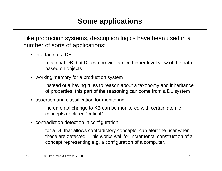Like production systems, description logics have been used in a number of sorts of applications:

• interface to a DB

relational DB, but DL can provide a nice higher level view of the data based on objects

• working memory for a production system

instead of a having rules to reason about a taxonomy and inheritance of properties, this part of the reasoning can come from a DL system

• assertion and classification for monitoring

incremental change to KB can be monitored with certain atomic concepts declared "critical"

• contradiction detection in configuration

for a DL that allows contradictory concepts, can alert the user when these are detected. This works well for incremental construction of a concept representing e.g. a configuration of a computer.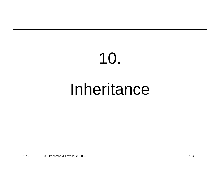# 10. Inheritance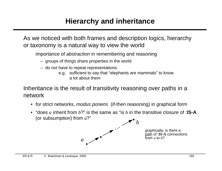# **Hierarchy and inheritance**

As we noticed with both frames and description logics, hierarchy or taxonomy is a natural way to view the world

importance of abstraction in remembering and reasoning

- groups of things share properties in the world
- do not have to repeat representations
	- e.g. sufficient to say that "elephants are mammals" to know a lot about them

Inheritance is the result of transitivity reasoning over paths in a network

- for strict networks, *modus ponens* (if-then reasoning) in graphical form
- "does *a* inherit from *b*?" is the same as "is *b* in the transitive closure of :**IS-A** (or subsumption) from *a*?" *b*



graphically, is there a path of :**IS-A** connections from *a* to *b*?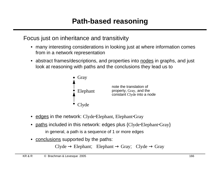#### Focus just on inheritance and transitivity

- many interesting considerations in looking just at where information comes from in a network representation
- abstract frames/descriptions, and properties into nodes in graphs, and just look at reasoning with paths and the conclusions they lead us to



- edges in the network: Clyde⋅Elephant, Elephant⋅Gray
- paths included in this network: edges plus {Clyde⋅Elephant⋅Gray} in general, a path is a sequence of 1 or more edges
- conclusions supported by the paths:

 $Clyde \rightarrow Elephan$ ; Elephant  $\rightarrow Gray$ ;  $Clyde \rightarrow Gray$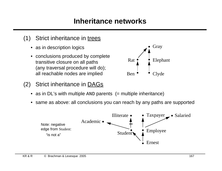# **Inheritance networks**

- (1) Strict inheritance in trees
	- as in description logics
	- conclusions produced by complete transitive closure on all paths (any traversal procedure will do); all reachable nodes are implied
- (2) Strict inheritance in DAGs



• same as above: all conclusions you can reach by any paths are supported



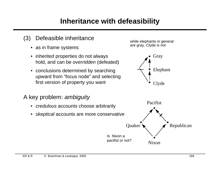## **Inheritance with defeasibility**

- (3) Defeasible inheritance
	- as in frame systems
	- inherited properties do not always hold, and can be overridden (defeated)
	- conclusions determined by searching upward from "focus node" and selecting first version of property you want
- A key problem: ambiguity
	- credulous accounts choose arbitrarily
	- *skeptical* accounts are more conservative



Elephant

Clyde

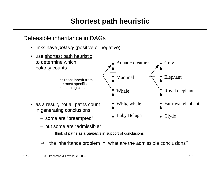# **Shortest path heuristic**

#### Defeasible inheritance in DAGs

- links have *polarity* (positive or negative)
- use shortest path heuristic to determine which polarity counts • as a result, not all paths count in generating conclusions – some are "preempted" Intuition: inherit from the most specific subsuming class Fat royal elephant Gray Elephant Royal elephant Clyde Mammal Whale White whale Baby Beluga Aquatic creature
	- but some are "admissible"

think of paths as arguments in support of conclusions

 $\Rightarrow$  the inheritance problem = what are the admissible conclusions?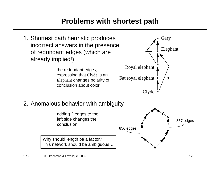# **Problems with shortest path**

1. Shortest path heuristic produces incorrect answers in the presence of redundant edges (which are already implied!)

> the redundant edge *q,* expressing that Clyde is an Elephant changes polarity of conclusion about color



#### 2. Anomalous behavior with ambiguity

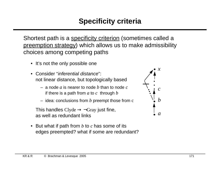# **Specificity criteria**

Shortest path is a specificity criterion (sometimes called a preemption strategy) which allows us to make admissibility choices among competing paths

- It's not the only possible one
- Consider "inferential distance": not linear distance, but topologically based
	- a node *a* is nearer to node *b* than to node *c* if there is a path from *a* to *c* through *b*
	- idea: conclusions from *b* preempt those from c

This handles Clyde  $\rightarrow \neg Gray$  just fine, as well as redundant links

• But what if path from *b* to *c* has some of its edges preempted? what if some are redundant?

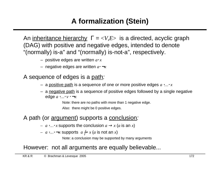# **A formalization (Stein)**

An inheritance hierarchy Γ = <*V,E*> is a directed, acyclic graph (DAG) with positive and negative edges, intended to denote "(normally) is-a" and "(normally) is-not-a", respectively.

- positive edges are written *a*⋅ *x*
- negative edges are written *a*⋅ ¬*x*

A sequence of edges is a path:

- a positive path is a sequence of one or more positive edges *a* ⋅*…*⋅ *x*
- a negative path is a sequence of positive edges followed by a single negative edge *a* ⋅*…*⋅ *v* ⋅ ¬*x*

Note: there are no paths with more than 1 negative edge.

Also: there might be 0 positive edges.

#### A path (or argument) supports a conclusion:

- *− a*  $\ldots$  *x* supports the conclusion  $a \rightarrow x$  (a is an *x*)
- *− a*  $\cdot$ *…*  $\neg$ *x* supports *a*  $\leftrightarrow$ *x* (*a* is not an *x*)

Note: a conclusion may be supported by many arguments

#### However: not all arguments are equally believable...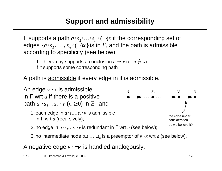Γ supports a path *a*⋅ *s<sup>1</sup> …*⋅*s*<sub>*n*</sub>⋅(¬)*x* if the corresponding set of edges  $\{a \cdot s_1, \ldots, s_n \cdot (\neg)x\}$  is in E, and the path is <u>admissible</u> according to specificity (see below).

the hierarchy supports a conclusion  $a \rightarrow x$  (or  $a \nrightarrow x$ ) if it supports some corresponding path

A path is admissible if every edge in it is admissible.



3. no intermediate node  $a, s_1, \ldots, s_n$  is a preemptor of  $v \cdot x$  wrt  $a$  (see below).

A negative edge *v* ⋅ ¬*x* is handled analogously.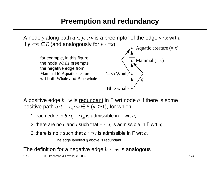

A positive edge *b* ⋅ *w* is redundant in Γ wrt node *a* if there is some positive path  $b \cdot t_1 ... t_m \cdot w \in E$  ( $m \ge 1$ ), for which

- 1. each edge in  $b \cdot t_1 \ldots t_m$  is admissible in  $\Gamma$  wrt  $a$ ;
- 2. there are no  $c$  and  $i$  such that  $c\cdot \neg t_i$  is admissible in  $\Gamma$  wrt  $a;$
- 3. there is no *c* such that *c* ⋅ ¬*w* is admissible in Γ wrt *a*.

The edge labelled  $q$  above is redundant

The definition for a negative edge *b* ⋅ ¬*w* is analogous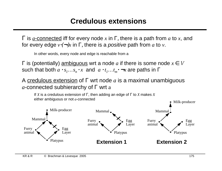### **Credulous extensions**

Γ is *a*-connected iff for every node *x* in Γ, there is a path from *a* to *x*, and for every edge  $v \cdot (\neg x)$  in  $\Gamma$ , there is a *positive* path from *a* to *v*.

In other words, every node and edge is reachable from a

Γ is (potentially) ambiguous wrt a node *a* if there is some node *x* ∈ V such that both  $a \cdot s_1...s_n \cdot x$  and  $a \cdot t_1...t_m \cdot \neg x$  are paths in  $\Gamma$ 

A credulous extension of Γ wrt node *a* is a maximal unambiguous *a*-connected subhierarchy of Γ wrt a

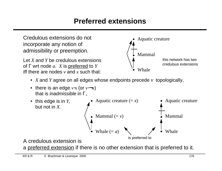## **Preferred extensions**



a preferred extension if there is no other extension that is preferred to it.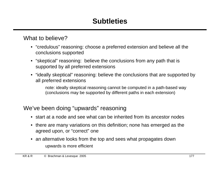# **Subtleties**

#### What to believe?

- "credulous" reasoning: choose a preferred extension and believe all the conclusions supported
- "skeptical" reasoning: believe the conclusions from any path that is supported by all preferred extensions
- "ideally skeptical" reasoning: believe the conclusions that are supported by all preferred extensions

note: ideally skeptical reasoning cannot be computed in a path-based way (conclusions may be supported by different paths in each extension)

#### We've been doing "upwards" reasoning

- start at a node and see what can be inherited from its ancestor nodes
- there are many variations on this definition; none has emerged as the agreed upon, or "correct" one
- an alternative looks from the top and sees what propagates down upwards is more efficient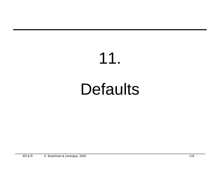# 11. **Defaults**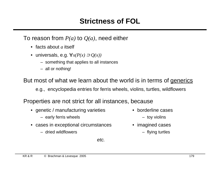## **Strictness of FOL**

To reason from *P(a)* to *Q(a)*, need either

- facts about *a* itself
- universals, e.g. ∀*x(P(x)* ⊃ *Q(x))*
	- something that applies to all instances
	- all or nothing!

But most of what we learn about the world is in terms of generics

e.g., encyclopedia entries for ferris wheels, violins, turtles, wildflowers

Properties are not strict for all instances, because

- genetic / manufacturing varieties borderline cases
	- early ferris wheels  $-$  toy violins
- cases in exceptional circumstances imagined cases
	- dried wildflowers flying turtles
- -
- -

etc.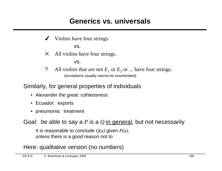## **Generics vs. universals**

Violins have four strings.

vs.

 $\times$  All violins have four strings.

vs.

? All violins that are not  $E_1$  or  $E_2$  or ... have four strings. (exceptions usually cannot be enumerated)

Similarly, for general properties of individuals

- Alexander the great: ruthlessness
- Ecuador: exports
- pneumonia: treatment

Goal: be able to say a *P* is a *Q* in general, but not necessarily

It is reasonable to conclude  $Q(a)$  given  $P(a)$ , unless there is a good reason not to

#### Here: qualitative version (no numbers)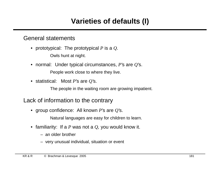# **Varieties of defaults (I)**

## General statements

• prototypical: The prototypical *P* is a *Q*.

Owls hunt at night.

- normal: Under typical circumstances, *P*'s are *Q*'s. People work close to where they live.
- statistical: Most *P*'s are *Q*'s.

The people in the waiting room are growing impatient.

## Lack of information to the contrary

• group confidence: All known *P*'s are *Q*'s.

Natural languages are easy for children to learn.

- familiarity: If a *P* was not a *Q*, you would know it.
	- an older brother
	- very unusual individual, situation or event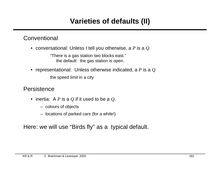# **Varieties of defaults (II)**

## **Conventional**

• conversational: Unless I tell you otherwise, a *P* is a *Q*

"There is a gas station two blocks east." the default: the gas station is open.

• representational: Unless otherwise indicated, a *P* is a *Q* the speed limit in a city

### **Persistence**

- inertia: A *P* is a *Q* if it used to be a *Q*.
	- colours of objects
	- locations of parked cars (for a while!)

Here: we will use "Birds fly" as a typical default.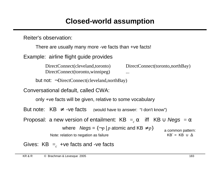# **Closed-world assumption**

Reiter's observation:

There are usually many more -ve facts than +ve facts!

Example: airline flight guide provides

DirectConnect(cleveland,toronto) DirectConnect(toronto,northBay) DirectConnect(toronto,winnipeg) ...

but not: ¬DirectConnect(cleveland,northBay)

Conversational default, called CWA:

only +ve facts will be given, relative to some vocabulary

But note:  $KB \neq -ve$  facts (would have to answer: "I don't know")

Proposal: a new version of entailment: KB  $\models_c\alpha$   $\,$  iff  $\,$  KB  $\cup$  *Negs*  $\, \models \alpha$ 

where  $Negs = \{\neg p \mid p \text{ atomic and KB} \neq p\}$ 

Note: relation to negation as failure

a common pattern: KB´ = KB  $\cup$   $\Delta$ 

Gives:  $\mathsf{KB} \models_c \mathsf{+ve}$  facts and -ve facts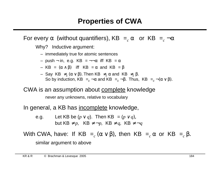For every  $\alpha$  (without quantifiers), KB  $\models_c \alpha$  or KB  $\models_c \neg \alpha$ 

Why? Inductive argument:

- immediately true for atomic sentences
- push in, e.g. KB  $\vert = \neg \neg \alpha$  iff KB  $\vert = \alpha$
- KB  $= (\alpha \wedge \beta)$  iff KB  $= \alpha$  and KB  $= \beta$
- Say KB  $\models_c (α ∨ β)$ . Then KB  $\models_c α$  and KB  $\models_c β$ . So by induction, KB  $\models_c \neg \alpha$  and KB  $\models_c \neg \beta$ . Thus, KB  $\models_c \neg (\alpha \vee \beta)$ .

CWA is an assumption about complete knowledge

never any unknowns, relative to vocabulary

In general, a KB has incomplete knowledge,

e.g. Let KB be  $(p \lor q)$ . Then KB  $\models (p \lor q)$ , but KB $\not\models p$ , KB $\not\models \neg p$ , KB $\not\models q$ , KB $\not\models \neg q$ 

With CWA, have: If KB  $\models_c (\alpha \vee \beta)$ , then KB  $\models_c \alpha$  or KB  $\models_c \beta$ . similar argument to above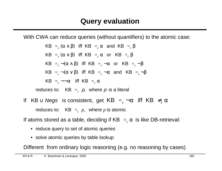With CWA can reduce queries (without quantifiers) to the atomic case:

KB 
$$
\models_c (\alpha \land \beta)
$$
 iff KB  $\models_c \alpha$  and KB  $\models_c \beta$   
\nKB  $\models_c (\alpha \lor \beta)$  iff KB  $\models_c \alpha$  or KB  $\models_c \beta$   
\nKB  $\models_c \neg(\alpha \land \beta)$  iff KB  $\models_c \neg\alpha$  or KB  $\models_c \neg\beta$   
\nKB  $\models_c \neg(\alpha \lor \beta)$  iff KB  $\models_c \neg\alpha$  and KB  $\models_c \neg\beta$   
\nKB  $\models_c \neg\neg\alpha$  iff KB  $\models_c \alpha$   
\nreduces to: KB  $\models_c \rho$ , where  $\rho$  is a literal

If KB  $\cup$  *Negs* is consistent, get KB  $\models_c \neg \alpha$  iff KB  $\not\models_c \alpha$ reduces to:  $\mathsf{KB} \models_c p, \mathsf{where} \ p \mathsf{ is atomic}$ 

If atoms stored as a table, deciding if KB  $\models_c \alpha$  is like DB-retrieval:

- reduce query to set of atomic queries
- solve atomic queries by table lookup

Different from ordinary logic reasoning (e.g. no reasoning by cases)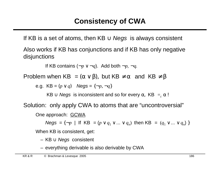If KB is a set of atoms, then KB  $\cup$  Negs is always consistent

Also works if KB has conjunctions and if KB has only negative disjunctions

If KB contains (¬*p* ∨ ¬*q*). Add both ¬*p*, ¬*q*.

Problem when KB  $=(\alpha \vee \beta)$ , but KB  $\neq \alpha$  and KB  $\not\models \beta$ 

e.g.  $KB = (p \lor q)$   $Negs = \{\neg p, \neg q\}$ 

KB  $\cup$  Negs is inconsistent and so for every  $\alpha$ , KB  $\models_c \alpha$ !

Solution: only apply CWA to atoms that are "uncontroversial"

One approach: GCWA

 $Negs = \{\neg p \mid \text{If } KB = (p \lor q_1 \lor ... \lor q_n) \text{ then } KB = (q_1 \lor ... \lor q_n) \}$ 

When KB is consistent, get:

- KB ∪ Negs consistent
- everything derivable is also derivable by CWA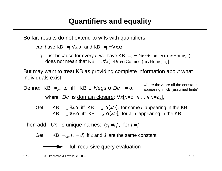So far, results do not extend to wffs with quantifiers

can have KB  $\neq_c \forall x.\alpha$  and KB  $\not\models_c \neg \forall x.\alpha$ 

e.g. just because for every  $t$ , we have KB  $\models_c \neg {\rm DirectConnect(myHome, } t)$ does not mean that KB  $\models_c \forall x [\neg \text{DirectConnect}(myHome, x)]$ 

But may want to treat KB as providing complete information about what individuals exist

Define: KB  $\models_{cd} \alpha$  iff KB  $\cup$  Negs  $\cup$  Dc  $\models \alpha$ where Dc is <u>domain closure</u>:  $\forall x[x=c_1 \lor ... \lor x=c_n],$ where the  $c_i$  are all the constants appearing in KB (assumed finite)

Get: KB  $\models_{cd} \exists x.\alpha$  iff KB  $\models_{cd} \alpha[x/c]$ , for some *c* appearing in the KB  $KB \models_{cd} \forall x \alpha$  iff  $KB \models_{cd} \alpha[x/c]$ , for all *c* appearing in the KB

Then add: Un is <u>unique names</u>:  $(c_i \neq c_j)$ , for  $i \neq j$ 

Get: KB  $\vert_{cdu}$  ( $c = d$ ) iff  $c$  and  $d$  are the same constant

full recursive query evaluation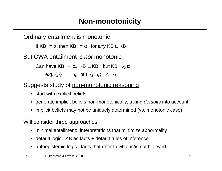Ordinary entailment is monotonic

If KB  $= \alpha$ , then KB<sup>\*</sup>  $= \alpha$ , for any KB  $\subseteq$  KB<sup>\*</sup>

But CWA entailment is not monotonic

Can have KB  $\models_c \alpha$ , KB  $\subseteq$  KB', but KB'  $\not\models_c \alpha$ e.g.  $\{p\} \models_c \neg q$ , but  $\{p, q\} \not\models_c \neg q$ 

## Suggests study of non-monotonic reasoning

- start with explicit beliefs
- generate implicit beliefs non-monotonically, taking defaults into account
- implicit beliefs may not be uniquely determined (vs. monotonic case)

Will consider three approaches:

- minimal entailment: interpretations that minimize abnormality
- default logic: KB as facts + default rules of inference
- autoepistemic logic: facts that refer to what is / is not believed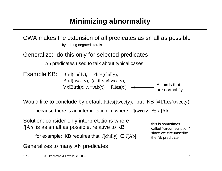# **Minimizing abnormality**

CWA makes the extension of all predicates as small as possible by adding negated literals

Generalize: do this only for selected predicates

Ab predicates used to talk about typical cases

Example KB: Bird(chilly),  $\neg$ Flies(chilly), Bird(tweety), (chilly  $\neq$  tweety),  $\forall x$ [Bird(*x*) ∧ ¬Ab(*x*) ⊃ Flies(*x*)] All birds that are normal fly

Would like to conclude by default Flies(tweety), but  $KB \not\models \text{Flies}(\text{tweety})$ 

because there is an interpretation  $\mathcal I$  where I[tweety]  $\in I$  [Ab]

Solution: consider only interpretations where I[Ab] is as small as possible, relative to KB

for example: KB requires that  $I$ [chilly]  $\in$   $I$ [Ab]

Generalizes to many Ab, predicates

this is sometimes called "circumscription" since we circumscribe the Ab predicate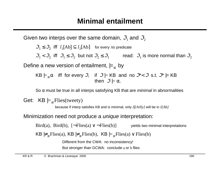Given two interps over the same domain,  $\mathfrak{I}_{\textrm{1}}$  and  $\mathfrak{I}_{\textrm{2}}$ 

 $\mathcal{S}_1 \leq \mathcal{S}_2$  iff  $I_1[\text{Ab}] \subseteq I_2[\text{Ab}]$  for every Ab predicate

 $\mathfrak{I}_1 < \mathfrak{I}_2$  iff  $\mathfrak{I}_1 \leq \mathfrak{I}_2$  but not  $\mathfrak{I}_2 \leq \mathfrak{I}_1$  read:  $\mathfrak{I}_1$  is more normal than  $\mathfrak{I}_2$ 

Define a new version of entailment,  $\mid =_{\le}$  by

$$
KB \models_{\leq} \alpha \quad \text{iff} \quad \text{for every} \ \mathcal{J}, \quad \text{if} \quad \mathcal{J} \models KB \quad \text{and} \quad \text{no} \ \mathcal{J}^* < \mathcal{J} \text{ s.t. } \mathcal{J}^* \models KB \quad \text{then} \quad \mathcal{J} \models \alpha.
$$

So  $\alpha$  must be true in all interps satisfying KB that are *minimal* in abnormalities

Get:  $KB \models_{\le} \text{Flies}( \text{tweety})$ 

because if interp satisfies KB and is minimal, only *I*[*chilly]* will be in *I[Ab]*

#### Minimization need not produce a *unique* interpretation:

Bird(a), Bird(b),  $[\neg \text{Flies}(a) \lor \neg \text{Flies}(b)]$  yields two minimal interpretations

KB  $\neq_{\leq}$  Flies(a), KB  $\neq_{\leq}$  Flies(b), KB  $\mid =_{\leq}$  Flies(a)  $\vee$  Flies(b)

Different from the CWA: no inconsistency! But stronger than GCWA: conclude a or b flies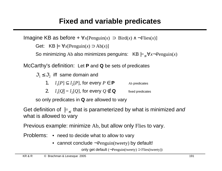Imagine KB as before + ∀*x*[Penguin(*x*) ⊃ Bird(*x*) ∧ ¬Flies(*x*)]

Get:  $KB \models \forall x$ [Penguin(*x*)  $\supset$  Ab(*x*)]

So minimizing Ab also minimizes penguins:  $KB \models < \forall x \neg Penguin(x)$ 

McCarthy's definition: Let **P** and **Q** be sets of predicates

 $\mathfrak{S}_1 \leq \mathfrak{S}_2$  iff same domain and

- 1.  $I_1[P] \subseteq I_2[P]$ , for every  $P \in \mathbf{P}$  Ab predicates
- 2.  $I_1[Q] = I_2[Q]$ , for every  $Q \notin \mathbf{Q}$  fixed predicates

so only predicates in **Q** are allowed to vary

Get definition of  $\mid =_{\le}$  that is parameterized by what is minimized and what is allowed to vary

Previous example: minimize Ab, but allow only Flies to vary.

Problems: • need to decide what to allow to vary

• cannot conclude  $\neg$ Penguin(tweety) by default!

only get default (¬Penguin(tweety) ⊃ Flies(tweety))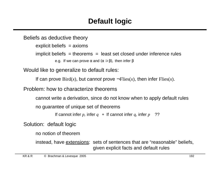# **Default logic**

Beliefs as deductive theory explicit beliefs = axioms implicit beliefs  $=$  theorems  $=$  least set closed under inference rules e.g. If we can prove  $\alpha$  and  $(\alpha \supset \beta)$ , then infer  $\beta$ 

Would like to generalize to default rules:

```
If can prove Bird(x), but cannot prove \neg Flies(x), then infer Flies(x).
```
Problem: how to characterize theorems

cannot write a derivation, since do not know when to apply default rules

no guarantee of unique set of theorems

```
If cannot infer p, infer q + If cannot infer q, infer p ??
```
Solution: default logic

no notion of theorem

instead, have extensions: sets of sentences that are "reasonable" beliefs, given explicit facts and default rules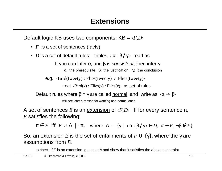Default logic KB uses two components: KB = ‹*F,D*›

- *F* is a set of sentences (facts)
- *D* is a set of <u>default rules</u>: triples  $\langle \alpha : \beta / \gamma \rangle$  read as

If you can infer  $\alpha$ , and  $\beta$  is *consistent*, then infer γ

α: the prerequisite, β: the justification, γ: the conclusion

e.g. ‹Bird(tweety) : Flies(tweety) **/** Flies(tweety)›

treat  $\langle$ Bird $(x)$ : Flies $(x)$  / Flies $(x)$  as set of rules

Default rules where  $\beta = \gamma$  are called normal and write as  $\langle \alpha \Rightarrow \beta \rangle$ 

will see later a reason for wanting non-normal ones

A set of sentences *E* is an <u>extension</u> of  $\langle F,D \rangle$  iff for every sentence  $\pi$ , *E* satisfies the following:

 $\pi \in E$  iff  $F \cup \Delta \models \pi$ , where  $\Delta = {\gamma \mid \langle \alpha : \beta \mid \gamma \rangle \in D}$ ,  $\alpha \in E$ ,  $\neg \beta \notin E$ 

So, an extension *E* is the set of entailments of  $F \cup \{\gamma\}$ , where the  $\gamma$  are assumptions from *D*.

to check if E is an extension, guess at  $\Delta$  and show that it satisfies the above constraint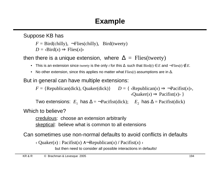Suppose KB has

 $F = Bird(chilly)$ ,  $\lnot$ Flies(chilly), Bird(tweety)

 $D = \langle$ Bird $(x) \Rightarrow$ Flies $(x)$ 

then there is a unique extension, where  $\Delta =$  Flies(tweety)

- This is an extension since tweety is the only *t* for this ∆ such that Bird(*t*) ∈ *E* and ¬Flies(*t*) ∉ *E.*
- No other extension, since this applies no matter what Flies(*t*) assumptions are in ∆.

But in general can have multiple extensions:

 $F = \{$ Republican(dick), Quaker(dick) $\}$   $D = \{$   $\langle$ Republican(*x*)  $\Rightarrow$   $\neg$ Pacifist(*x*) $\rangle$ ,  $\langle$ Ouaker(*x*)  $\Rightarrow$  Pacifist(*x*) }

Two extensions:  $E_1$  has  $\Delta = \neg \text{Pacifist(dick)}$ ;  $E_2$  has  $\Delta = \text{Pacifist(dick)}$ 

Which to believe?

credulous: choose an extension arbitrarily

skeptical: believe what is common to all extensions

Can sometimes use non-normal defaults to avoid conflicts in defaults

‹ Quaker(*x*) : Pacifist(*x*) ∧¬Republican(*x*) **/** Pacifist(*x*) ›

but then need to consider all possible interactions in defaults!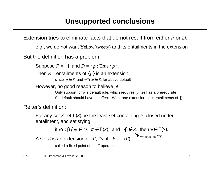Extension tries to eliminate facts that do not result from either *F* or *D*.

e.g., we do not want Yellow(tweety) and its entailments in the extension

But the definition has a problem:

Suppose  $F = \{\}$  and  $D = \langle p : \text{True} \mid p \rangle$ .

Then  $E =$  entailments of  $\{p\}$  is an extension

since  $p \in E$  and  $\neg True \notin E$ , for above default

However, no good reason to believe *p*!

Only support for *p* is default rule, which requires *p* itself as a prerequisite So default should have no effect. Want one extension:  $E =$  entailments of  $\{\}$ 

Reiter's definition:

For any set *S*, let Γ(*S*) be the least set containing *F*, closed under entailment, and satisfying

if 
$$
\langle \alpha : \beta / \gamma \rangle \in D
$$
,  $\alpha \in \Gamma(S)$ , and  $-\beta \notin S$ , then  $\gamma \in \Gamma(S)$ .

A set *E* is an <u>extension</u> of  $\langle F, D \rangle$  iff  $E = \Gamma(E)$ .  $-$  note: not  $\Gamma(S)$ 

called a fixed point of the Γ operator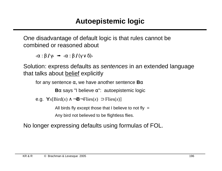One disadvantage of default logic is that rules cannot be combined or reasoned about

 $\langle \alpha : \beta / \gamma \rangle$   $\Rightarrow$   $\langle \alpha : \beta / (\gamma \vee \delta) \rangle$ 

Solution: express defaults as sentences in an extended language that talks about belief explicitly

for any sentence α, we have another sentence **B**α

**B** $\alpha$  says "I believe  $\alpha$ ": autoepistemic logic

e.g. ∀*x*[Bird(*x*) ∧ ¬**B**¬Flies(*x*) ⊃ Flies(*x*)]

All birds fly except those that I believe to not fly  $=$ 

Any bird not believed to be flightless flies.

No longer expressing defaults using formulas of FOL.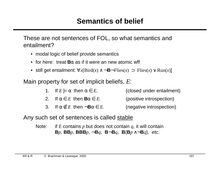These are not sentences of FOL, so what semantics and entailment?

- modal logic of belief provide semantics
- for here: treat **B**α as if it were an new atomic wff
- still get entailment:  $\forall x$ [Bird(*x*) ∧ ¬**B**¬Flies(*x*) ⊃ Flies(*x*) ∨ Run(*x*)]

Main property for set of implicit beliefs, *E*:

|  | 1. If $E \models \alpha$ then $\alpha \in E$ . | (closed under entailment) |
|--|------------------------------------------------|---------------------------|
|--|------------------------------------------------|---------------------------|

- 2. If  $\alpha \in E$  then  $\mathbf{B}\alpha \in E$ . (positive introspection)
- 3. If  $\alpha \notin E$  then  $\neg \mathbf{B} \alpha \in E$ . (negative introspection)

Any such set of sentences is called stable

Note: if *E* contains *p* but does not contain *q*, it will contain **B***p*, **BB***Bp*,  $\neg$ **B***q*, **B** $\neg$ **B***g*, **B** $(Bp \land \neg Bq)$ , *etc.*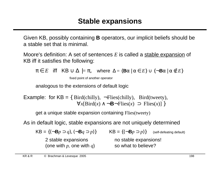Given KB, possibly containing **B** operators, our implicit beliefs should be a stable set that is minimal.

Moore's definition: A set of sentences *E* is called a stable expansion of KB iff it satisfies the following:

 $\pi \in E$  iff  $KB \cup \Delta \models \pi$ , where  $\Delta = \{Ba \mid \alpha \in E\} \cup \{\neg Ba \mid \alpha \notin E\}$ 

fixed point of another operator

analogous to the extensions of default logic

```
Example: for KB = \{ Bird(chilly), \neg Flies(chilly), \text{ Bird}(tweety), \} ∀x[Bird(x) ∧ ¬B¬Flies(x) ⊃ Flies(x)] }
```
get a unique stable expansion containing Flies(tweety)

As in default logic, stable expansions are not uniquely determined

 $KB = {(\neg Bp \supset q), (\neg Bq \supset p)}$   $KB = {(\neg Bp \supset p)}$  (self-defeating default) 2 stable expansions here is no stable expansions! (one with  $p$ , one with  $q$ ) so what to believe?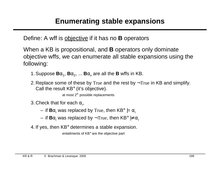Define: A wff is objective if it has no **B** operators

When a KB is propositional, and **B** operators only dominate objective wffs, we can enumerate all stable expansions using the following:

- 1. Suppose  $\mathbf{B}\alpha_1$ ,  $\mathbf{B}\alpha_2$ , ...  $\mathbf{B}\alpha_n$  are all the **B** wffs in KB.
- 2. Replace some of these by True and the rest by  $\neg$ True in KB and simplify. Call the result KB° (it's objective).

at most  $2^n$  possible replacements

3. Check that for each  $\alpha_i$ ,

- $-$  if  $\textbf{B}\alpha_{i}$  was replaced by True, then KB° |=  $\alpha_{i}$
- $-$  if  $\mathbf{B}\alpha_{i}$  was replaced by  $\neg \text{True},$  then KB° |≠  $\alpha_{i}$

4. If yes, then KB° determines a stable expansion.

entailments of KB° are the objective part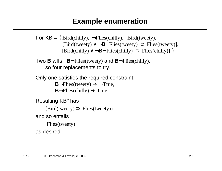# **Example enumeration**

```
For KB = \{ Bird(chilly), \neg Flies(chilly), Bird(tweety),\}[\text{Bird}(tweety) \wedge \neg \mathbf{B} \neg \text{Flies}(tweety)],
                [\text{Bird}(\text{chilly}) \wedge \neg \mathbf{B} \neg \text{Flies}(\text{chilly})]
```
Two **B** wffs: **B**¬Flies(tweety) and **B**¬Flies(chilly), so four replacements to try.

```
Only one satisfies the required constraint:
```

```
B\negFlies(tweety) \rightarrow \negTrue,
```

```
\mathbf{B}-Flies(chilly) \rightarrow True
```

```
Resulting KB° has
```

```
(Bird(tweety) \supset Flies(tweety))
```
and so entails

```
Flies(tweety)
```
as desired.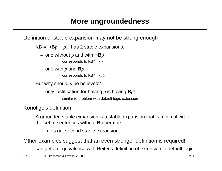Definition of stable expansion may not be strong enough

 $KB = \{(\mathbf{B}p \supset p)\}\$  has 2 stable expansions:

 $-$  one without *p* and with  $\neg$ **B***p* 

corresponds to  $KB^\circ = \{\}$ 

 $-$  one with  $p$  and  $\mathbf{B}p$ .

corresponds to  $KB^\circ = \{p\}$ 

But why should *p* be believed?

only justification for having *p* is having **B***p*!

similar to problem with default logic extension

Konolige's definition:

A grounded stable expansion is a stable expansion that is minimal wrt to the set of sentences without **B** operators.

rules out second stable expansion

Other examples suggest that an even stronger definition is required!

can get an equivalence with Reiter's definition of extension in default logic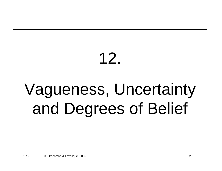# 12.

# Vagueness, Uncertainty and Degrees of Belief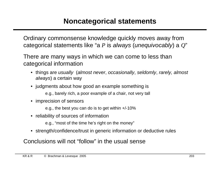Ordinary commonsense knowledge quickly moves away from categorical statements like "a *P* is always (unequivocably) a *Q*"

There are many ways in which we can come to less than categorical information

- things are usually (almost never, occasionally, seldomly, rarely, almost always) a certain way
- judgments about how good an example something is e.g., barely rich, a poor example of a chair, not very tall
- imprecision of sensors

e.g., the best you can do is to get within +/-10%

• reliability of sources of information

e.g., "most of the time he's right on the money"

• strength/confidence/trust in generic information or deductive rules

Conclusions will not "follow" in the usual sense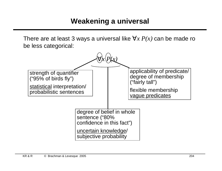There are at least 3 ways a universal like ∀*x P(x)* can be made ro be less categorical:

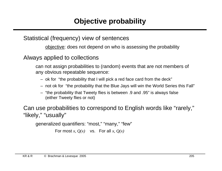## Statistical (frequency) view of sentences

objective: does not depend on who is assessing the probability

Always applied to collections

can not assign probabilities to (random) events that are not members of any obvious repeatable sequence:

- ok for "the probability that I will pick a red face card from the deck"
- not ok for "the probability that the Blue Jays will win the World Series this Fall"
- "the probability that Tweety flies is between .9 and .95" is always false (either Tweety flies or not)

Can use probabilities to correspond to English words like "rarely," "likely," "usually"

generalized quantifiers: "most," "many," "few"

For most  $x$ ,  $Q(x)$  vs. For all  $x$ ,  $Q(x)$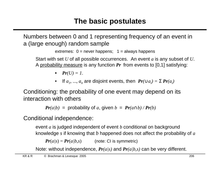Numbers between 0 and 1 representing frequency of an event in a (large enough) random sample

extremes:  $0 =$  never happens;  $1 =$  always happens

Start with set *U* of all possible occurrences. An event *a* is any subset of *U*. A probability measure is any function *Pr* from events to [0,1] satisfying:

•  $Pr(U) = 1$ .

• If  $a_1, ..., a_n$  are disjoint events, then  $\textbf{Pr}(\cup a_i) = \sum \textbf{Pr}(a_i)$ 

Conditioning: the probability of one event may depend on its interaction with others

*Pr*(*a*|*b*) = probability of *a*, given  $b = Pr(a \cap b) / Pr(b)$ 

Conditional independence:

event *a* is judged independent of event *b* conditional on background knowledge *s* if knowing that *b* happened does not affect the probability of *a*

 $Pr(a|s) = Pr(a|b,s)$  (note: CI is symmetric)

Note: without independence, *Pr(a|s)* and *Pr(a|b,s)* can be very different.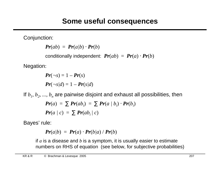Conjunction:

 $Pr(ab) = Pr(a/b) \cdot Pr(b)$ 

conditionally independent:  $Pr(ab) = Pr(a) \cdot Pr(b)$ 

Negation:

 $Pr(\neg s) = 1 - Pr(s)$  $Pr(\neg s/d) = 1 - Pr(s/d)$ 

If  $b_1$ ,  $b_2$ , ...,  $b_n$  are pairwise disjoint and exhaust all possibilities, then

$$
Pr(a) = \sum Pr(ab_i) = \sum Pr(a | b_i) \cdot Pr(b_i)
$$
  

$$
Pr(a | c) = \sum Pr(ab_i | c)
$$

Bayes' rule:

$$
Pr(a|b) = Pr(a) \cdot Pr(b|a) / Pr(b)
$$

if *a* is a disease and *b* is a symptom, it is usually easier to estimate numbers on RHS of equation (see below, for subjective probabilities)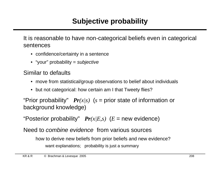It is reasonable to have non-categorical beliefs even in categorical sentences

- confidence/certainty in a sentence
- "your" probability = subjective

Similar to defaults

- move from statistical/group observations to belief about individuals
- but not categorical: how certain am I that Tweety flies?

"Prior probability"  $Pr(x|s)$  ( $s =$  prior state of information or background knowledge)

"Posterior probability"  $Pr(x|E,s)$   $(E = new evidence)$ 

Need to combine evidence from various sources

how to derive new beliefs from prior beliefs and new evidence? want explanations; probability is just a summary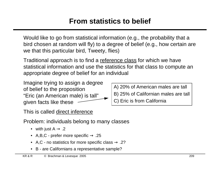# **From statistics to belief**

Would like to go from statistical information (e.g., the probability that a bird chosen at random will fly) to a degree of belief (e.g., how certain are we that this particular bird, Tweety, flies)

Traditional approach is to find a reference class for which we have statistical information and use the statistics for that class to compute an appropriate degree of belief for an individual

Imagine trying to assign a degree of belief to the proposition "Eric (an American male) is tall" given facts like these

A) 20% of American males are tall B) 25% of Californian males are tall C) Eric is from California

This is called direct inference

Problem: individuals belong to many classes

- with just  $A \rightarrow .2$
- A, B, C prefer more specific  $\rightarrow$  .25
- A,C no statistics for more specific class  $\rightarrow$  .2?
- B are Californians a representative sample?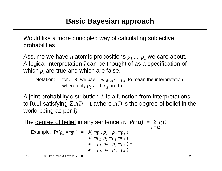Would like a more principled way of calculating subjective probabilities

Assume we have *n* atomic propositions  $p_1$ ,...,  $p_n$  we care about. A logical interpretation I can be thought of as a specification of which  $\overline{p}_i$  are true and which are false.

Notation: for  $n=4$ , we use  $\langle \neg p_1, p_2, p_3, \neg p_4 \rangle$  to mean the interpretation where only  $p_2$  and  $p_3$  are true.

A joint probability distribution *J*, is a function from interpretations to [0,1] satisfying  $\Sigma J(I) = 1$  (where  $J(I)$  is the degree of belief in the world being as per I*)*.

The <u>degree of belief</u> in any sentence  $\alpha$ :  $Pr(\alpha) = \sum J(I)$ Example:  $Pr(p_2 \land \neg p_4) = J(\langle \neg p_1, p_2, p_3, \neg p_4 \rangle) +$  $I \models \alpha$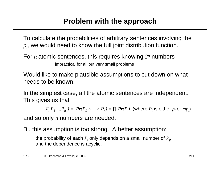To calculate the probabilities of arbitrary sentences involving the  $\boldsymbol{p}_i$ , we would need to know the full joint distribution function.

For *n* atomic sentences, this requires knowing  $2^n$  numbers

impractical for all but very small problems

Would like to make plausible assumptions to cut down on what needs to be known.

In the simplest case, all the atomic sentences are independent. This gives us that

 $J(\langle{P}_1,...,{P}_n\rangle)=\> \> \bm{Pr}( {P}_1 \wedge ...\wedge {P}_n)=\prod \bm{Pr}( {P}_i) \>$  (where  ${P}_i$  is either  ${p}_i$  or  $\neg {p}_i)$ 

and so only *n* numbers are needed.

Bu this assumption is too strong. A better assumption:

the probability of each  $P_i$  only depends on a small number of  $P_j$ , and the dependence is acyclic.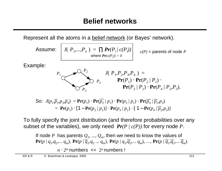Represent all the atoms in a belief network (or Bayes' network).

Assume: 
$$
J(\langle P_1,...,P_n \rangle) = \prod_{\text{where}} Pr(P_i | c(P_i))
$$
  
\nExample:  
\n $P_1$   
\n $\left\{\n\begin{array}{ccc}\n & \mathcal{O} & P_2 \\
\hline\n & \mathcal{O} & \mathcal{O} & P_4\n\end{array}\n\right.\n\left.\n\begin{array}{ccc}\n & J(\langle P_1, P_2, P_3, P_4 \rangle) = \\
 & \mathcal{P} & \mathcal{P} & \mathcal{P} \\
 & \mathcal{P} & \mathcal{P} & \mathcal{P} \\
 & \mathcal{P} & \mathcal{P} & \mathcal{P} \\
 & \mathcal{P} & \mathcal{P} & \mathcal{P} \\
 & \mathcal{P} & \mathcal{P} & \mathcal{P} \\
 & \mathcal{P} & \mathcal{P} & \mathcal{P} \\
 & \mathcal{P} & \mathcal{P} & \mathcal{P} \\
 & \mathcal{P} & \mathcal{P} & \mathcal{P} \\
 & \mathcal{P} & \mathcal{P} & \mathcal{P} \\
 & \mathcal{P} & \mathcal{P} & \mathcal{P} \\
 & \mathcal{P} & \mathcal{P} & \mathcal{P} \\
 & \mathcal{P} & \mathcal{P} & \mathcal{P} & \mathcal{P} \\
 & \mathcal{P} & \mathcal{P} & \mathcal{P} & \mathcal{P} \\
 & \mathcal{P} & \mathcal{P} & \mathcal{P} & \mathcal{P} \\
 & \mathcal{P} & \mathcal{P} & \mathcal{P} & \mathcal{P} \\
 & \mathcal{P} & \mathcal{P} & \mathcal{P} & \mathcal{P} & \mathcal{P} \\
 & \mathcal{P} & \mathcal{P} & \mathcal{P} & \mathcal{P} & \mathcal{P} & \mathcal{P} \\
 & \mathcal{P} & \mathcal{P} & \mathcal{P} & \mathcal{P} & \mathcal{P} & \mathcal{P} & \mathcal{P} \\
 & \mathcal{P} & \mathcal{P} & \mathcal{P} & \mathcal{P} & \mathcal{P} & \mathcal{P} & \mathcal{P} \\
 & \mathcal{P} & \mathcal{P} & \mathcal{P} & \mathcal{P} & \mathcal{P} & \mathcal{P} & \mathcal{P} \\
 & \mathcal{P} & \mathcal{P} & \mathcal{P} & \mathcal$ 

$$
= \mathbf{Pr}(p_1) \cdot [1 - \mathbf{Pr}(p_2 | p_1)] \cdot \mathbf{Pr}(p_3 | p_1) \cdot [1 - \mathbf{Pr}(p_4 | \overline{p_2}, p_3)]
$$

To fully specify the joint distribution (and therefore probabilities over any subset of the variables), we only need  $Pr(P | c(P))$  for every node P.

If node P has parents  $Q_1, ..., Q_m$ , then we need to know the values of  $Pr(p | q_1, q_2, \ldots q_m)$ ,  $Pr(p | \overline{q}_1, q_2 \ldots q_m)$ ,  $Pr(p | q_1, \overline{q}_2, \ldots q_m)$ , ...,  $Pr(p | \overline{q}_1, \overline{q}_2, \ldots \overline{q}_m)$ .

 $n \cdot 2^m$  numbers  $\prec$  2<sup>n</sup> numbers !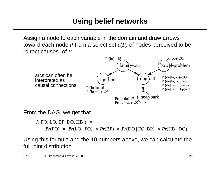Assign a node to each variable in the domain and draw arrows toward each node *P* from a select set *c(P)* of nodes perceived to be "direct causes" of *P*.



From the DAG, we get that

 $J(\langle$ FO, LO, BP, DO, HB $\rangle$ ) =  $Pr(\text{FO}) \times Pr(\text{LO} | \text{FO}) \times Pr(\text{BP}) \times Pr(\text{DO} | \text{FO}, \text{BP}) \times Pr(\text{HB} | \text{DO})$ 

Using this formula and the 10 numbers above, we can calculate the full joint distribution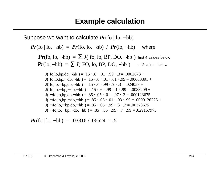Suppose we want to calculate *Pr*(fo | lo, ¬hb)

$$
Pr(\text{fo} | \text{lo}, -\text{hb}) = Pr(\text{fo}, \text{lo}, -\text{hb}) / Pr(\text{lo}, -\text{hb}) \text{ where}
$$
\n
$$
Pr(\text{fo}, \text{lo}, -\text{hb}) = \sum J(\langle \text{fo}, \text{lo}, BP, DO, -\text{hb} \rangle) \text{ first 4 values below}
$$
\n
$$
Pr(\text{lo}, -\text{hb}) = \sum J(\langle \text{FO}, \text{lo}, BP, DO, -\text{hb} \rangle) \text{ all 8 values below}
$$
\n
$$
J(\langle \text{fo}, \text{lo}, \text{bp}, \text{do}, -\text{hb} \rangle) = .15 \cdot .6 \cdot .01 \cdot .99 \cdot .3 = .0002673 +
$$
\n
$$
J(\langle \text{fo}, \text{lo}, \text{bp}, -\text{do}, -\text{hb} \rangle) = .15 \cdot .6 \cdot .01 \cdot .01 \cdot .99 = .00000891 +
$$
\n
$$
J(\langle \text{fo}, \text{lo}, -\text{bp}, \text{do}, -\text{hb} \rangle) = .15 \cdot .6 \cdot .99 \cdot .3 = .024057 +
$$
\n
$$
J(\langle \text{fo}, \text{lo}, -\text{bp}, -\text{do}, -\text{hb} \rangle) = .15 \cdot .6 \cdot .99 \cdot .1 \cdot .99 = .0088209 +
$$
\n
$$
J(\langle -\text{fo}, \text{lo}, \text{bp}, \text{do}, -\text{hb} \rangle) = .85 \cdot .05 \cdot .01 \cdot .97 \cdot .3 = .000123675
$$
\n
$$
J(\langle -\text{fo}, \text{lo}, \text{bp}, -\text{do}, -\text{hb} \rangle) = .85 \cdot .05 \cdot .01 \cdot .03 \cdot .99 = .0000126225 +
$$
\n
$$
J(\langle -\text{fo}, \text{lo}, \text{bp}, -\text{do}, -\text{hb} \rangle) = .85 \cdot .05 \cdot .99 \cdot .3 \cdot .3 = .00378675
$$

 $J(\langle \neg$ fo,lo, $\neg$ bp, $\neg$ do, $\neg$ hb $\rangle$ ) = .85  $\cdot$  .05  $\cdot$  .99  $\cdot$  .7  $\cdot$  .99 = .029157975

*Pr*(fo | lo,  $\neg$ hb) = .03316 / .06624 = .5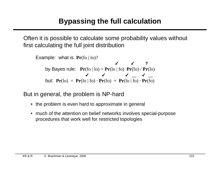Often it is possible to calculate some probability values without first calculating the full joint distribution

```
Example: what is Pr(f_0 | I_0)?
     by Bayes rule: Pr(f_0 | lo) = Pr(lo | fo) \cdot Pr(f_0) / Pr(lo)but: Pr(\text{lo}) = Pr(\text{lo} | \text{fo}) \cdot Pr(\text{fo}) + Pr(\text{lo} | \text{fo}) \cdot Pr(\text{fo})✔ ✔ ?
                            ✔ ✔ ✔ ✔
```
But in general, the problem is NP-hard

- the problem is even hard to approximate in general
- much of the attention on belief networks involves special-purpose procedures that work well for restricted topologies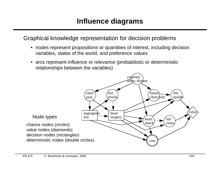### Graphical knowledge representation for decision problems

- nodes represent propositions or quantities of interest, including decision variables, states of the world, and preference values
- arcs represent influence or relevance (probabilistic or deterministic relationships between the variables)

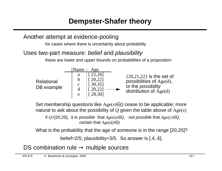Another attempt at evidence-pooling

for cases where there is uncertainty about probability

#### Uses two-part measure: belief and plausibility

these are lower and upper bounds on probabilities of a proposition



Set membership questions like  $Age(x) \in Q$  cease to be applicable; more natural to ask about the possibility of *Q* given the table above of Age(*x*)

if  $Q=[20,25]$ , it is possible that  $Age(a) \in Q$ , not possible that  $Age(c) \in Q$ , certain that *Age(d)*∈*Q*

What is the probability that the age of someone is in the range [20,25]?

belief=2/5; plausibility=3/5. So answer is [.4,.6].

DS combination rule  $\rightarrow$  multiple sources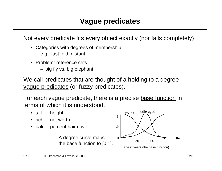Not every predicate fits every object exactly (nor fails completely)

- Categories with degrees of membership e.g., fast, old, distant
- Problem: reference sets
	- big fly vs. big elephant

We call predicates that are thought of a holding to a degree vague predicates (or fuzzy predicates).

For each vague predicate, there is a precise base function in terms of which it is understood.

- tall: height
- rich: net worth
- bald: percent hair cover

A degree curve maps the base function to [0,1].

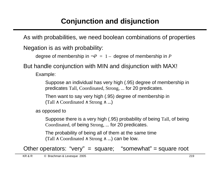As with probabilities, we need boolean combinations of properties

Negation is as with probability:

```
degree of membership in \neg P = 1 - degree of membership in P
```
But handle conjunction with MIN and disjunction with MAX!

Example:

Suppose an individual has very high (.95) degree of membership in predicates Tall*,* Coordinated*,* Strong*, ...* for 20 predicates.

Then want to say very high (.95) degree of membership in (Tall  $\land$  Coordinated  $\land$  Strong  $\land$  ...)

as opposed to

Suppose there is a very high (.95) probability of being Tall*,* of being Coordinated*,* of being Strong*, ...* for 20 predicates.

The probability of being all of them at the same time (Tall  $\land$  Coordinated  $\land$  Strong  $\land$  ...) can be low.

Other operators: "very" = square; "somewhat" = square root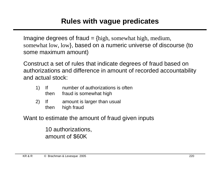Imagine degrees of fraud  $=$  {high, somewhat high, medium, somewhat low, low}, based on a numeric universe of discourse (to some maximum amount)

Construct a set of rules that indicate degrees of fraud based on authorizations and difference in amount of recorded accountability and actual stock:

- 1) If number of authorizations is often then fraud is somewhat high
- 2) If amount is larger than usual then high fraud

Want to estimate the amount of fraud given inputs

10 authorizations, amount of \$60K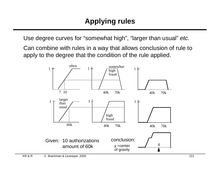Use degree curves for "somewhat high", "larger than usual" etc.

Can combine with rules in a way that allows conclusion of rule to apply to the degree that the condition of the rule applied.

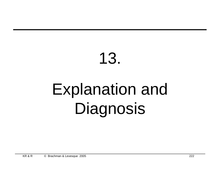# 13. Explanation and Diagnosis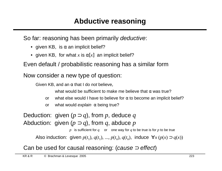So far: reasoning has been primarily deductive:

- given KB, is  $\alpha$  an implicit belief?
- given KB, for what x is  $\alpha[x]$  an implicit belief?

Even default / probabilistic reasoning has a similar form

Now consider a new type of question:

Given KB, and an  $\alpha$  that I do *not* believe,

what would be sufficient to make me believe that  $\alpha$  was true?

- or what else would I have to believe for  $\alpha$  to become an implicit belief?
- or what would explain  $\alpha$  being true?

Deduction: given  $(p \supset q)$ , from p, deduce q Abduction: given  $(p \supset q)$ , from q, abduce p

*p* is sufficient for *q* or one way for *q* to be true is for *p* to be true

Also induction: given  $p(t_1)$ ,  $q(t_1)$ , ...,  $p(t_n)$ ,  $q(t_n)$ , induce  $\forall x (p(x) \supset q(x))$ 

Can be used for causal reasoning: (cause  $\Rightarrow$  effect)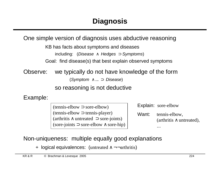One simple version of diagnosis uses abductive reasoning

KB has facts about symptoms and diseases

including: (Disease ∧ Hedges  $\supset$  Symptoms)

Goal: find disease(s) that best explain observed symptoms

Observe: we typically do not have knowledge of the form

(Symptom ∧ ... ⊃ Disease)

so reasoning is not deductive

Example:

(tennis-elbow ⊃ sore-elbow) (tennis-elbow ⊃ tennis-player) (arthritis ∧ untreated ⊃ sore-joints) (sore-joints ⊃ sore-elbow ∧ sore-hip) Explain: sore-elbow

Want: tennis-elbow, (arthritis ∧ untreated), ...

Non-uniqueness: multiple equally good explanations

+ logical equivalences: (untreated  $\land \neg \neg$ arthritis)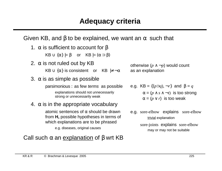Given KB, and  $\beta$  to be explained, we want an  $\alpha$  such that

1.  $\alpha$  is sufficient to account for β

 $KB \cup \{\alpha\} \models \beta$  or  $KB \models (\alpha \supset \beta)$ 

2.  $\alpha$  is not ruled out by KB

 $KB \cup \{\alpha\}$  is consistent or KB  $\neq \neg \alpha$ 

3.  $\alpha$  is as simple as possible

parsimonious: as few terms as possible explanations should not unnecessarily strong or unnecessarily weak

#### 4.  $\alpha$  is in the appropriate vocabulary

atomic sentences of  $\alpha$  should be drawn from **H,** possible hypotheses in terms of which explanations are to be phrased

e.g. diseases, original causes

#### Call such  $\alpha$  an explanation of  $\beta$  wrt KB

otherwise  $(p \land \neg p)$  would count as an explanation

e.g. KB = {
$$
(p \supset q)
$$
,  $\neg r$ } and  $\beta = q$   
 $\alpha = (p \land s \land \neg t)$  is too strong  
 $\alpha = (p \lor r)$  is too weak

e.g. sore-elbow explains sore-elbow trivial explanation

> sore-joints explains sore-elbow may or may not be suitable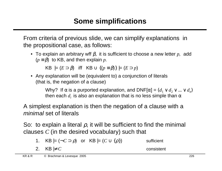From criteria of previous slide, we can simplify explanations in the propositional case, as follows:

• To explain an arbitrary wff β, it is sufficient to choose a new letter *p*, add  $(p \equiv \beta)$  to KB, and then explain *p*.

KB  $\vert = (E \supset \beta)$  iff KB  $\cup \{ (p \equiv \beta) \} \vert = (E \supset p)$ 

• Any explanation will be (equivalent to) a conjunction of literals (that is, the negation of a clause)

> Why? If  $\alpha$  is a purported explanation, and  $\textsf{DNF}[\alpha] = (d_1 \vee d_2 \vee ... \vee d_n)$ then each  $d_i$  is also an explanation that is no less simple than  $\alpha$

A simplest explanation is then the negation of a clause with a minimal set of literals

So: to explain a literal  $\rho$ , it will be sufficient to find the minimal clauses *C* (in the desired vocabulary) such that

1. KB |= 
$$
(\neg C \supset \rho)
$$
 or KB |=  $(C \cup \{\rho\})$  sufficient

2. KB 
$$
\not\vdash C
$$
 consistent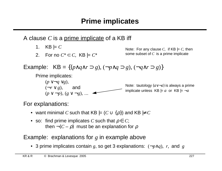A clause *C* is a prime implicate of a KB iff

- 1.  $KB \models C$
- 2. For no  $C^* \subset C$ , KB  $\mid = C^*$

Note: For any clause *C*, if KB |= *C*, then some subset of *C* is a prime implicate

Example: KB = { $(p \land q \land r \supset g)$ ,  $(\neg p \land q \supset g)$ ,  $(\neg q \land r \supset g)$ }

Prime implicates:

$$
(p \lor \neg q \lor g),
$$
  
\n
$$
(\neg r \lor g),
$$
 and  
\n
$$
(p \lor \neg p), (g \lor \neg g), ...
$$
  
\n
$$
(p \lor \neg p), (g \lor \neg g), ...
$$
  
\n
$$
(p \lor \neg p), (g \lor \neg g), ...
$$
  
\n
$$
(p \lor \neg p), (g \lor \neg g), ...
$$

For explanations:

- want minimal *C* such that KB  $\mid = (C \cup \{\rho\})$  and KB  $\mid \neq C$
- so: find prime implicates *C* such that  $\rho \in C$ ; then  $\neg(C - \rho)$  must be an explanation for  $\rho$

#### Example: explanations for *g* in example above

• 3 prime implicates contain *g*, so get 3 explanations: (¬*p*∧*q*), *r,* and *g*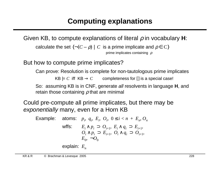Given KB, to compute explanations of literal ρ in vocabulary **H**:

calculate the set  $\{\neg(C - \rho) \mid C$  is a prime implicate and  $\rho \in C\}$ prime implicates containing  $\rho$ 

But how to compute prime implicates?

Can prove: Resolution is complete for non-tautologous prime implicates

 $KB \models C$  iff  $KB \rightarrow C$  completeness for  $\lceil \rceil$  is a special case!

So: assuming KB is in CNF, generate all resolvents in language **H**, and retain those containing  $\rho$  that are minimal

Could pre-compute all prime implicates, but there may be exponentially many, even for a Horn KB

Example: atoms:  $p_i$ ,  $q_i$ ,  $E_i$ ,  $O_i$ ,  $0 \le i < n + E_n$ ,  $O_n$  $E_i \wedge p_i \supset O_{i+1}, \ E_i \wedge q_i \supset E_{i+1},$  $O_i \wedge p_i \supset E_{i+1}, \ O_i \wedge q_i \supset O_{i+1},$  $E_0$ ,  $\neg O_0$ 

explain: *E<sup>n</sup>*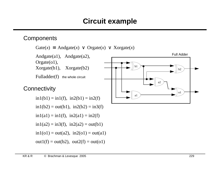#### **Circuit example**

#### **Components**

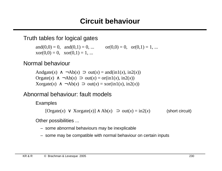Truth tables for logical gates

and(0,0) = 0, and(0,1) = 0, ...  $\text{or}(0,0) = 0$ ,  $\text{or}(0,1) = 1$ , ...  $\text{xor}(0,0) = 0$ ,  $\text{xor}(0,1) = 1$ , ...

#### Normal behaviour

Andgate(*x*)  $\land \neg Ab(x) \supset out(x) = and(in1(x), in2(x))$ Orgate $(x) \land \neg Ab(x) \supset out(x) = or(in1(x), in2(x))$  $X$ orgate $(x) \land \neg Ab(x) \supset out(x) = x$ or $(in1(x), in2(x))$ 

Abnormal behaviour: fault models

Examples

 $[Orgate(x) \vee Xorgate(x)] \wedge Ab(x) \supset out(x) = in2(x)$  (short circuit)

Other possibilities ...

- some abnormal behaviours may be inexplicable
- some may be compatible with normal behaviour on certain inputs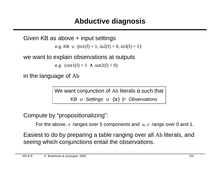#### **Abductive diagnosis**

Given KB as above + input settings e.g. KB ∪  $\{in1(f) = 1, in2(f) = 0, in3(f) = 1\}$ 

we want to explain observations at outputs

e.g.  $(out1(f) = 1 \land out2(f) = 0)$ 

in the language of Ab

We want conjunction of Ab literals  $\alpha$  such that

KB  $\cup$  Settings  $\cup$  { $\alpha$ }  $\models$  Observations

Compute by "propositionalizing":

For the above, *x* ranges over 5 components and *u*, *v* range over 0 and 1.

Easiest to do by preparing a table ranging over all Ab literals, and seeing which conjunctions entail the observations.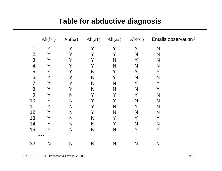|                | Ab(b1) | Ab(b2) | Ab(a1) | Ab(a2) | Ab(01) | <b>Entails observation?</b> |
|----------------|--------|--------|--------|--------|--------|-----------------------------|
| 1 <sub>1</sub> | Y      | Y      | Y      | Y      | Y      | N                           |
| 2.             | Y      | Y      | Y      | Y      | N      | N                           |
| 3.             | Y      | Y      | Y      | N      | Y      | N                           |
| 4.             | Y      | Y      | Y      | N      | N      | N                           |
| 5.             | Y      | Y      | N      | Y      | Y      | Y                           |
| 6.             | Y      | Y      | N      | Y      | N      | N                           |
| 7.             | Y      | Y      | N      | N      | Y      | Y                           |
| 8.             | Y      | Y      | N      | N      | N      | Y                           |
| 9.             | Y      | N      | Y      | Y      | Y      | N                           |
| 10.            | Y      | N      | Y      | Y      | N      | N                           |
| 11.            | Y      | N      | Y      | N      | Y      | N                           |
| 12.            | Y      | N      | Y      | N      | N      | N                           |
| 13.            | Y      | N      | N      | Y      | Y      | Y                           |
| 14.            | Y      | N      | N      | Y      | N      | N                           |
| 15.            | Y      | N      | N      | N      | Y      | Y                           |
|                | .      |        |        |        |        |                             |
| 32.            | N      | N      | N      | N      | N      | N                           |

#### **Table for abductive diagnosis**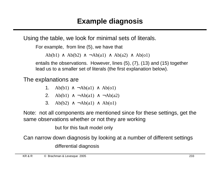Using the table, we look for minimal sets of literals.

```
For example, from line (5), we have that
```
Ab(b1)  $\land$  Ab(b2)  $\land$  ¬Ab(a1)  $\land$  Ab(a2)  $\land$  Ab(o1)

entails the observations. However, lines (5), (7), (13) and (15) together lead us to a smaller set of literals (the first explanation below).

The explanations are

- 1. Ab(b1)  $\land \neg Ab$ (a1)  $\land$  Ab(o1)
- 2. Ab(b1)  $\land \neg Ab(a1) \land \neg Ab(a2)$
- 3. Ab(b2)  $\land \neg Ab(a1) \land Ab(o1)$

Note: not all components are mentioned since for these settings, get the same observations whether or not they are working

but for this fault model only

Can narrow down diagnosis by looking at a number of different settings differential diagnosis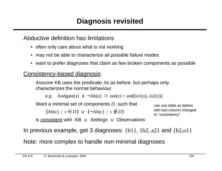Abductive definition has limitations

- often only care about what is not working
- may not be able to characterize all possible failure modes
- want to prefer diagnoses that claim as few broken components as possible

#### Consistency-based diagnosis:

Assume KB uses the predicate Ab as before, but perhaps only characterizes the normal behaviour

e.g. Andgate(*x*) ∧  $\neg Ab(x)$  ⊃ out(*x*) = and(in1(*x*), in2(*x*))

Want a minimal set of components *D*, such that

 $\{Ab(c) \mid c \in D\} \cup \{\neg Ab(c) \mid c \notin D\}$ 

can use table as before with last column changed to "consistency"

is consistent with KB  $\cup$  Settings  $\cup$  Observations

In previous example, get 3 diagnoses:  $\{b1\}$ ,  $\{b2, a2\}$  and  $\{b2, o1\}$ 

Note: more complex to handle non-minimal diagnoses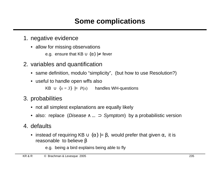# **Some complications**

- 1. negative evidence
	- allow for missing observations

e.g. ensure that  $KB \cup \{\alpha\} \neq \text{fever}$ 

- 2. variables and quantification
	- same definition, modulo "simplicity", (but how to use Resolution?)
	- useful to handle open wffs also

KB ∪  ${x = 3}$   $\vert$  =  $P(x)$  handles WH-questions

- 3. probabilities
	- not all simplest explanations are equally likely
	- also: replace (Disease  $\wedge \dots \supset$  Symptom) by a probabilistic version
- 4. defaults
	- instead of requiring KB  $\cup$  { $\alpha$ }  $\models \beta$ , would prefer that given  $\alpha$ , it is reasonable to believe  $β$

e.g. being a bird explains being able to fly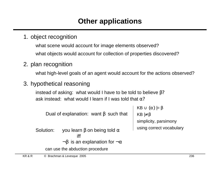# **Other applications**

1. object recognition

what scene would account for image elements observed? what objects would account for collection of properties discovered?

2. plan recognition

what high-level goals of an agent would account for the actions observed?

3. hypothetical reasoning

instead of asking: what would I have to be told to believe  $β$ ? ask instead: what would I learn if I was told that  $\alpha$ ?

Dual of explanation: want  $β$  such that

```
KB \cup {\alpha} |= \betaKB \not\models \betasimplicity, parsimony
using correct vocabulary
```
Solution: you learn  $\beta$  on being told  $\alpha$ iff  $\neg \beta$  is an explanation for  $\neg \alpha$ 

can use the abduction procedure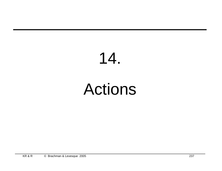# 14.

# Actions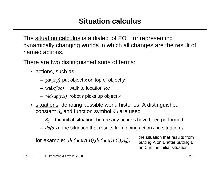The situation calculus is a dialect of FOL for representing dynamically changing worlds in which all changes are the result of named actions.

There are two distinguished sorts of terms:

- actions, such as
	- put*(x,y)* put object *x* on top of object *y*
	- walk*(loc)* walk to location *loc*
	- pickup*(r,x)* robot *r* picks up object *x*
- situations, denoting possible world histories. A distinguished  $\mathop{\mathrm{constant}}\nolimits S_o$  and function symbol  $do$  are used
	- $S_{0}$   $\;$  the initial situation, before any actions have been performed
	- *do(a,s)* the situation that results from doing action *a* in situation s

for example:  $do(put(A,B),do(put(B,C),S_0))$ 

*))* the situation that results from putting A on B after putting B on C in the initial situation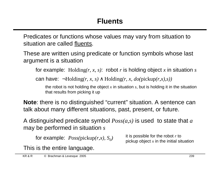Predicates or functions whose values may vary from situation to situation are called fluents.

These are written using predicate or function symbols whose last argument is a situation

for example: Holding*(r, x, s)*: robot *r* is holding object *x* in situation *s*

can have: ¬Holding*(r, x, s)* ∧ Holding*(r, x, do(*pickup*(r,x),s))*

the robot is not holding the object *x* in situation *s*, but is holding it in the situation that results from picking it up

**Note**: there is no distinguished "current" situation. A sentence can talk about many different situations, past, present, or future.

A distinguished predicate symbol *Poss(a,s)* is used to state that *a* may be performed in situation *s*

for example: *Poss(*pickup*(r,x), S<sup>0</sup> )*

it is possible for the robot *r* to pickup object *x* in the initial situation

This is the entire language.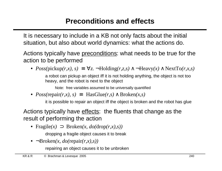# **Preconditions and effects**

It is necessary to include in a KB not only facts about the initial situation, but also about world dynamics: what the actions do.

Actions typically have preconditions: what needs to be true for the action to be performed

•  $Poss(pickup(r, x), s) \equiv \forall z$ .  $\neg Holding(r, z, s) \land \neg Heavy(x) \land NextTo(r, x, s)$ a robot can pickup an object iff it is not holding anything, the object is not too heavy, and the robot is next to the object

Note: free variables assumed to be universally quantified

•  $Poss(repair(r, x), s) \equiv HasGlue(r, s) \wedge Broken(x, s)$ 

it is possible to repair an object iff the object is broken and the robot has glue

Actions typically have effects: the fluents that change as the result of performing the action

• Fragile*(x)* ⊃ Broken*(x, do(*drop*(r,x),s))*

dropping a fragile object causes it to break

• ¬Broken*(x, do(*repair*(r,x),s))*

repairing an object causes it to be unbroken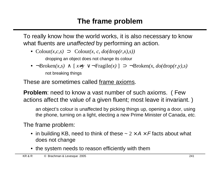## **The frame problem**

To really know how the world works, it is also necessary to know what fluents are unaffected by performing an action.

• Colour*(x,c,s)* ⊃ Colour*(x, c, do(*drop*(r,x),s))*

dropping an object does not change its colour

• ¬Broken*(x,s)* ∧ [ *x*≠*y* ∨ ¬Fragile*(x)* ] ⊃ ¬Broken*(x, do(*drop*(r,y),s)* not breaking things

These are sometimes called frame axioms.

**Problem**: need to know a vast number of such axioms. ( Few actions affect the value of a given fluent; most leave it invariant. )

an object's colour is unaffected by picking things up, opening a door, using the phone, turning on a light, electing a new Prime Minister of Canada, etc.

The frame problem:

- in building KB, need to think of these  $\sim 2 \times A \times F$  facts about what does not change
- the system needs to reason efficiently with them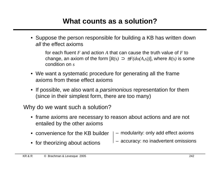### **What counts as a solution?**

• Suppose the person responsible for building a KB has written down all the effect axioms

for each fluent *F* and action *A* that can cause the truth value of *F* to change, an axiom of the form  $[R(s) \supset \pm F(do(A,s))]$ , where  $R(s)$  is some condition on *s*

- We want a systematic procedure for generating all the frame axioms from these effect axioms
- If possible, we also want a *parsimonious* representation for them (since in their simplest form, there are too many)

Why do we want such a solution?

- frame axioms are necessary to reason about actions and are not entailed by the other axioms
- convenience for the KB builder – modularity: only add effect axioms
- for theorizing about actions

– accuracy: no inadvertent omissions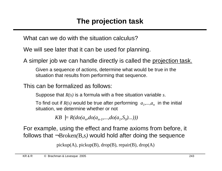What can we do with the situation calculus?

We will see later that it can be used for planning.

A simpler job we can handle directly is called the projection task.

Given a sequence of actions, determine what would be true in the situation that results from performing that sequence.

This can be formalized as follows:

Suppose that *R(s)* is a formula with a free situation variable *s*.

To find out if  $R(s)$  would be true after performing  $\langle a_1,...,a_n\rangle$  in the initial situation, we determine whether or not

 $KB \models R(do(a_n, do(a_{n-1},...,do(a_1, S_0)...)))$ 

For example, using the effect and frame axioms from before, it follows that ¬Broken*(*B*,s)* would hold after doing the sequence

 $\langle \text{pickup}(A), \text{pickup}(B), \text{drop}(B), \text{repair}(B), \text{drop}(A) \rangle$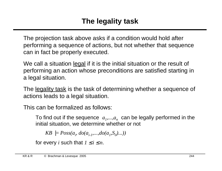The projection task above asks if a condition would hold after performing a sequence of actions, but not whether that sequence can in fact be properly executed.

We call a situation legal if it is the initial situation or the result of performing an action whose preconditions are satisfied starting in a legal situation.

The <u>legality task</u> is the task of determining whether a sequence of actions leads to a legal situation.

This can be formalized as follows:

To find out if the sequence  $\langle a_1,...,a_n \rangle$  can be legally performed in the initial situation, we determine whether or not

*KB*  $|= Poss(a_i, do(a_{i-1},...,do(a_i, S_0)...))$ 

for every *i* such that  $1 \le i \le n$ .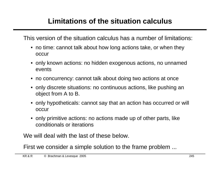# **Limitations of the situation calculus**

This version of the situation calculus has a number of limitations:

- no time: cannot talk about how long actions take, or when they occur
- only known actions: no hidden exogenous actions, no unnamed events
- no concurrency: cannot talk about doing two actions at once
- only discrete situations: no continuous actions, like pushing an object from A to B.
- only hypotheticals: cannot say that an action has occurred or will occur
- only primitive actions: no actions made up of other parts, like conditionals or iterations

We will deal with the last of these below.

First we consider a simple solution to the frame problem ...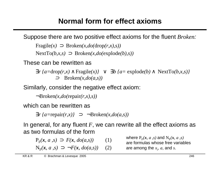# **Normal form for effect axioms**

Suppose there are two positive effect axioms for the fluent *Broken*:

 $\text{Fragile}(x) \supset \text{Broken}(x, do(\text{drop}(r,x),s))$ 

NextTo*(b,x,s)* ⊃Broken*(x,do(*explode*(b),s))*

These can be rewritten as

∃*r {a=*drop*(r,x)* ∧ Fragile*(x)}* ∨∃*b {a=* explode*(b)* ∧ NextTo*(b,x,s)}*  <sup>⊃</sup>Broken*(x,do(a,s))*

Similarly, consider the negative effect axiom:

¬Broken*(x,do(*repair*(r,x),s))*

which can be rewritten as

 $\exists r \{a = \text{repair}(r, x) \} \Rightarrow \neg \text{Broken}(x, do(a, s))$ 

In general, for any fluent *F*, we can rewrite all the effect axioms as as two formulas of the form

$$
P_F(x, a, s) \supset F(x, \text{do}(a, s)) \qquad (1)
$$

 $N_F(x, a, s) \supset \neg F(x, do(a, s))$  (2)

where  $P_F(x, a, s)$  and  $N_F(x, a, s)$ are formulas whose free variables are among the *x<sup>i</sup>* , *a*, and *s*.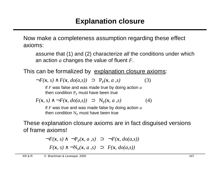Now make a completeness assumption regarding these effect axioms:

assume that (1) and (2) characterize all the conditions under which an action *a* changes the value of fluent *F*.

This can be formalized by explanation closure axioms:

 $\neg F(x, s) \wedge F(x, do(a, s)) \supset P_F(x, a, s)$ (3)

if *F* was false and was made true by doing action *a* then condition  $\mathrm{P_{F}}$  must have been true

 $F(x, s) \wedge \neg F(x, do(a, s)) \supset N_F(x, a, s)$  (4)

if *F* was true and was made false by doing action *a* then condition  $\rm N_F$  must have been true

These explanation closure axioms are in fact disguised versions of frame axioms!

> $\neg F(x, s) \land \neg P_F(x, a, s) \supset \neg F(x, do(a, s))$  $F(x, s) \wedge \neg N_F(x, a, s) \supset F(x, do(a, s))$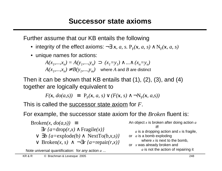Further assume that our KB entails the following

- integrity of the effect axioms: ¬∃ *x, a, s.*  $\mathrm{P_{F}}(x,\,a,\,s) \wedge \mathrm{N_{F}}(x,\,a,\,s)$
- unique names for actions:

$$
A(x_1,...,x_n) = A(y_1,...,y_n) \supset (x_1=y_1) \land ... \land (x_n=y_n)
$$

 $A(x_1,...,x_n) \neq B(y_1,...,y_m)$  where *A* and *B* are distinct

Then it can be shown that KB entails that (1), (2), (3), and (4) together are logically equivalent to

$$
F(\mathbf{x},\,do(a,s)) \equiv \mathbf{P}_{F}(\mathbf{x},\,a,\,s) \vee (F(\mathbf{x},\,s) \wedge \neg \mathbf{N}_{F}(\mathbf{x},\,a,s))
$$

This is called the successor state axiom for *F*.

For example, the successor state axiom for the *Broken* fluent is:

\n
$$
\text{Broken}(x, \, do(a, s)) = \exists r \, \{a = \text{drop}(r, x) \land \text{Fragile}(x)\} \quad \forall \, \exists b \, \{a = \text{explode}(b) \land \text{NextTo}(b, x, s)\} \quad \forall \, \text{Broken}(x, s) \land \neg \exists r \, \{a = \text{repair}(r, x)\}\n \end{aligned}
$$
\n

Note universal quantification: for *any* action  $a \ldots$  a is not the action of repairing it

An object *x* is broken after doing action *a* iff *a* is a dropping action and *x* is fragile, or *a* is a bomb exploding where *x* is next to the bomb, or *x* was already broken and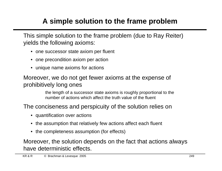# **A simple solution to the frame problem**

This simple solution to the frame problem (due to Ray Reiter) yields the following axioms:

- one successor state axiom per fluent
- one precondition axiom per action
- unique name axioms for actions

#### Moreover, we do not get fewer axioms at the expense of prohibitively long ones

the length of a successor state axioms is roughly proportional to the number of actions which affect the truth value of the fluent

The conciseness and perspicuity of the solution relies on

- quantification over actions
- the assumption that relatively few actions affect each fluent
- the completeness assumption (for effects)

Moreover, the solution depends on the fact that actions always have deterministic effects.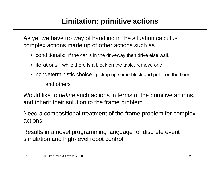# **Limitation: primitive actions**

As yet we have no way of handling in the situation calculus complex actions made up of other actions such as

- conditionals: If the car is in the driveway then drive else walk
- iterations: while there is a block on the table, remove one
- nondeterministic choice: pickup up some block and put it on the floor and others

Would like to *define* such actions in terms of the primitive actions, and inherit their solution to the frame problem

Need a compositional treatment of the frame problem for complex actions

Results in a novel programming language for discrete event simulation and high-level robot control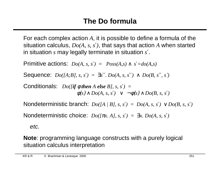For each complex action *A*, it is possible to define a formula of the situation calculus, *Do(A, s, s*′*)*, that says that action *A* when started in situation *s* may legally terminate in situation *s* ′.

Primitive actions:  $Do(A, s, s') = Poss(A, s) \wedge s' = do(A, s)$ 

Sequence:  $Do(IA;B], s, s') = \exists s''.\ Do(A, s, s'') \land Do(B, s'', s')$ 

Conditionals: *Do([if* φ *then A else B], s, s*′*) =*   $\phi(s) \wedge Do(A, s, s') \vee \neg \phi(s) \wedge Do(B, s, s')$ 

Nondeterministic branch:  $Do(A \mid B]$ , s, s') =  $Do(A, s, s') \vee Do(B, s, s')$ 

Nondeterministic choice:  $Do([πx, A], s, s') = \exists x. Do(A, s, s')$ 

etc.

**Note**: programming language constructs with a purely logical situation calculus interpretation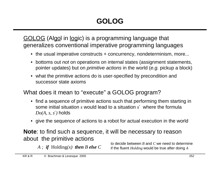GOLOG (Algol in logic) is a programming language that generalizes conventional imperative programming languages

- the usual imperative constructs + concurrency, nondeterminism, more...
- bottoms out *not* on operations on internal states (assignment statements, pointer updates) but on *primitive actions* in the world (e.g. pickup a block)
- what the primitive actions do is user-specified by precondition and successor state axioms

What does it mean to "execute" a GOLOG program?

- find a sequence of primitive actions such that performing them starting in some initial situation *s* would lead to a situation *s* ′ where the formula *Do(A, s, s*′*)* holds
- give the sequence of actions to a robot for actual execution in the world

**Note**: to find such a sequence, it will be necessary to reason about the primitive actions

 $A$ ; *if* Holding(x) *then B else* C

to decide between *B* and *C* we need to determine if the fluent *Holding* would be true after doing *A*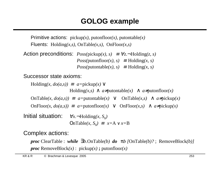## **GOLOG example**

Primitive actions: pickup*(x),* putonfloor*(x),* putontable*(x)* Fluents: Holding*(x,s),* OnTable*(x,s),* OnFloor*(x,s)*

```
Action preconditions: Poss(pickup(x), s) \equiv \forall z. \neg Holding(z, s)Poss(\text{putonfloor}(x), s) \equiv \text{Holding}(x, s)Poss(\text{putontable}(x), s) \equiv \text{Holding}(x, s)
```
Successor state axioms:

```
\text{Holding}(x, \text{do}(a, s)) \equiv a = \text{pickup}(x) \veeHolding(x, s) ∧ a≠putontable(x) ∧ a≠putonfloor(x)
    OnTable(x, do(a, s)) \equiv a = \text{putontable}(x) \lor \text{OnTable}(x, s) \land a \neq \text{pickup}(x)OnFloor(x, do(a,s)) = a=putonfloor(x) \vee OnFloor(x,s) \wedge a\neqpickup(x)
Initial situation:
                            \forall x. \negHolding(x, S<sub>0</sub>)
                              \text{OnTable}(x, S_0) \equiv x = A \vee x = B
```
Complex actions:

*proc* ClearTable : *while* ∃*b*.OnTable*(b) do* π*b [*OnTable*(b)?* ;RemoveBlock*(b)] proc* RemoveBlock $(x)$ : pickup $(x)$ ; putonfloor $(x)$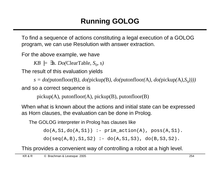To find a sequence of actions constituting a legal execution of a GOLOG program, we can use Resolution with answer extraction.

For the above example, we have

 $KB \models \exists s. Do(ClearTable, S_0, s)$ 

The result of this evaluation yields

*s = do(*putonfloor*(*B*), do(*pickup*(*B*), do(*putonfloor*(*A*), do(*pickup*(*A*),S*<sup>0</sup> *))))* and so a correct sequence is

 $\langle$  pickup(A), putonfloor(A), pickup(B), putonfloor(B) $\rangle$ 

When what is known about the actions and initial state can be expressed as Horn clauses, the evaluation can be done in Prolog.

The GOLOG interpreter in Prolog has clauses like

 $do(A, S1, do(A, S1))$  :- prim\_action(A), poss(A,S1).

 $do(seq(A, B), S1, S2) :- do(A, S1, S3), do(B, S3, S2).$ 

This provides a convenient way of controlling a robot at a high level.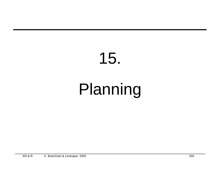# 15. Planning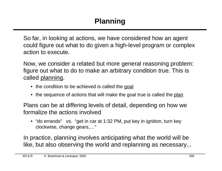So far, in looking at actions, we have considered how an agent could figure out what to do given a high-level program or complex action to execute.

Now, we consider a related but more general reasoning problem: figure out what to do to make an arbitrary condition true. This is called planning.

- the condition to be achieved is called the goal
- the sequence of actions that will make the goal true is called the plan

Plans can be at differing levels of detail, depending on how we formalize the actions involved

• "do errands" vs. "get in car at 1:32 PM, put key in ignition, turn key clockwise, change gears,…"

In practice, planning involves anticipating what the world will be like, but also observing the world and replanning as necessary...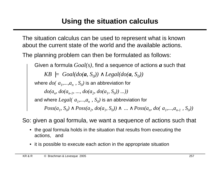## **Using the situation calculus**

The situation calculus can be used to represent what is known about the current state of the world and the available actions.

The planning problem can then be formulated as follows:

Given a formula *Goal(s)*, find a sequence of actions *a* such that  $KB \models \text{Goal}(do(a, S_0)) \land \text{legal}(do(a, S_0))$ where  $do(\langle a_1, \ldots, a_n \rangle, \ S_{0} )$  is an abbreviation for  $do(a_n, do(a_{n-1}, ..., do(a_2, do(a_1, S_0))...))$ and where  $Legal(\langle a_1, ..., a_n \rangle, \ S_0)$  is an abbreviation for  $Poss(a_1, S_0) \wedge Poss(a_2, do(a_1, S_0)) \wedge ... \wedge Poss(a_n, do(\langle a_1,...,a_{n-1} \rangle, S_0))$ 

So: given a goal formula, we want a sequence of actions such that

- the goal formula holds in the situation that results from executing the actions, and
- it is possible to execute each action in the appropriate situation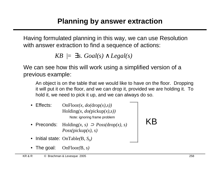Having formulated planning in this way, we can use Resolution with answer extraction to find a sequence of actions:

*KB*  $\models$  ∃*s. Goal(s)*  $\land$  *Legal(s)* 

We can see how this will work using a simplified version of a previous example:

An object is on the table that we would like to have on the floor. Dropping it will put it on the floor, and we can drop it, provided we are holding it. To hold it, we need to pick it up, and we can always do so.

- Effects: OnFloor*(x, do(*drop*(x),s))* Holding*(x, do(*pickup*(x),s))* Note: ignoring frame problem
- Preconds: Holding*(x, s)* ⊃ *Poss(*drop*(x), s) Poss(*pickup*(x), s)*

KB

- Initial state: OnTable(B,  $S_0$ )
- The goal: OnFloor*(*B*, s)*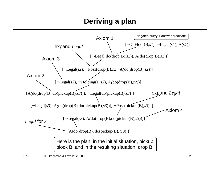## **Deriving a plan**

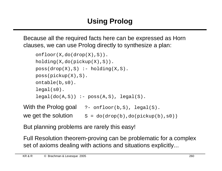Because all the required facts here can be expressed as Horn clauses, we can use Prolog directly to synthesize a plan:

```
onfloor(X,do(drop(X),S)).
    holding(X,do(pickup(X),S)).
    poss(drop(X),S) :- holding(X,S).poss(pickup(X),S).
    ontable(b,s0).
    legal(s0).
    legal(do(A, S)) :- poss(A, S), legal(S).With the Prolog goal ?- onfloor(b,S), legal(S).
```
we get the solution  $S = do(drop(b), do(pickup(b), s0))$ 

But planning problems are rarely this easy!

Full Resolution theorem-proving can be problematic for a complex set of axioms dealing with actions and situations explicitly...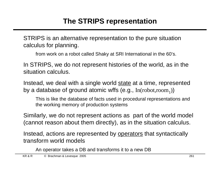## **The STRIPS representation**

STRIPS is an alternative representation to the pure situation calculus for planning.

from work on a robot called Shaky at SRI International in the 60's.

In STRIPS, we do not represent histories of the world, as in the situation calculus.

Instead, we deal with a single world state at a time, represented by a database of ground atomic wffs (e.g.,  $\text{In}(\text{robot},\text{room}_1)$ )

This is like the database of facts used in procedural representations and the working memory of production systems

Similarly, we do not represent actions as part of the world model (cannot reason about them directly), as in the situation calculus.

Instead, actions are represented by operators that syntactically transform world models

An operator takes a DB and transforms it to a new DB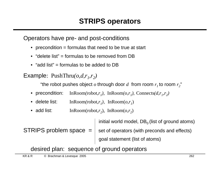Operators have pre- and post-conditions

- precondition  $=$  formulas that need to be true at start
- "delete list" = formulas to be removed from DB
- $\bullet$  "add list" = formulas to be added to DB

Example: PushThru(*o,d,r*<sub>1</sub>,*r*<sub>2</sub>)

"the robot pushes object  $o$  through door  $d$  from room  $r_1$ to room  $r_2$ "

- precondition: *)*, InRoom $(o, r_1)$ , Connects $(d, r_1, r_2)$
- delete list: InRoom(robot, $r_1$ ), InRoom( $o, r_1$ )
- add list: InRoom(robot, $r_2$ ), InRoom( $o, r_2$ )

initial world model,  $DB<sub>0</sub>$  (list of ground atoms) STRIPS problem space  $=$  set of operators (with preconds and effects) goal statement (list of atoms)

desired plan: sequence of ground operators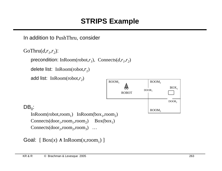## **STRIPS Example**

In addition to PushThru, consider

GoThru $(d, r_1, r_2)$ :

```
precondition: InRoom(robot,r_1), Connects(d, r_1, r_2)
```
delete list: InRoom(robot,*r<sup>1</sup>* )

```
add list: InRoom(robot,r2
)
```


#### $DB_0$ :

 $InRoom(robot,room_1)$   $InRoom(box_1,room_2)$  $Connects(door_1,room_1,room_2)$  $Connects(door<sub>2</sub>,room<sub>2</sub>,room<sub>3</sub>)$  ...

```
Goal: [Box(x) \wedge InRoom(x,room_1)]
```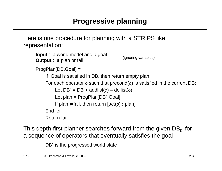Here is one procedure for planning with a STRIPS like representation:

```
Input : a world model and a goal
Output : a plan or fail.
ProgPlan[DB,Goal] =
    If Goal is satisfied in DB, then return empty plan
    For each operator o such that precond(o) is satisfied in the current DB:
         Let DB' = DB + addlist(o) - dellist(o)Let plan = ProgPlan[DB´,Goal]
         If plan \neq fail, then return [act(o); plan]
    End for
    Return fail
                                          (ignoring variables)
```
This depth-first planner searches forward from the given  $DB_0$  for a sequence of operators that eventually satisfies the goal

DB<sup> $\epsilon$ </sup> is the progressed world state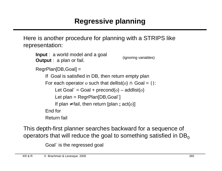Here is another procedure for planning with a STRIPS like representation:

```
Input : a world model and a goal
Output : a plan or fail.
RegrPlan[DB,Goal] =
    If Goal is satisfied in DB, then return empty plan
    For each operator o such that dellist(o) \cap Goal = { }:
         Let Goal´ = Goal + precond(o) – addlist(o)
         Let plan = RegrPlan[DB, Goal<sup>'</sup>]
         If plan ≠ fail, then return [plan ; act(o)] 
    End for
    Return fail
                                            (ignoring variables)
```
This depth-first planner searches backward for a sequence of operators that will reduce the goal to something satisfied in  $DB<sub>o</sub>$ 

Goal´ is the regressed goal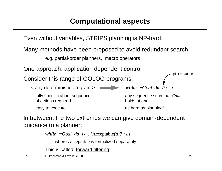Even without variables, STRIPS planning is NP-hard.

Many methods have been proposed to avoid redundant search

e.g. partial-order planners, macro operators

One approach: application dependent control

Consider this range of GOLOG programs:

< any deterministic program > *while* ¬*Goal do* <sup>π</sup>*a . a* fully specific about sequence any sequence such that *Goal* 

of actions required

easy to execute as hard as planning!

holds at end

In between, the two extremes we can give domain-dependent guidance to a planner:

*while*  $\neg$ *Goal do*  $\pi$ *a*. *[Acceptable(a)? ; a]* 

where Acceptable is formalized separately

This is called forward filtering.

pick an action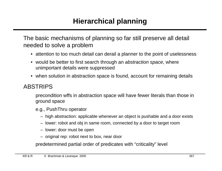## **Hierarchical planning**

The basic mechanisms of planning so far still preserve all detail needed to solve a problem

- attention to too much detail can derail a planner to the point of uselessness
- would be better to first search through an abstraction space, where unimportant details were suppressed
- when solution in abstraction space is found, account for remaining details

#### ABSTRIPS

precondition wffs in abstraction space will have fewer literals than those in ground space

- e.g., PushThru operator
	- high abstraction: applicable whenever an object is pushable and a door exists
	- lower: robot and obj in same room, connected by a door to target room
	- lower: door must be open
	- original rep: robot next to box, near door

predetermined partial order of predicates with "criticality" level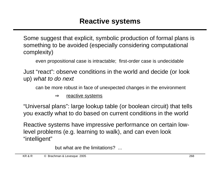Some suggest that explicit, symbolic production of formal plans is something to be avoided (especially considering computational complexity)

even propositional case is intractable; first-order case is undecidable

Just "react": observe conditions in the world and decide (or look up) what to do next

can be more robust in face of unexpected changes in the environment

 $\Rightarrow$  reactive systems

"Universal plans": large lookup table (or boolean circuit) that tells you exactly what to do based on current conditions in the world

Reactive systems have impressive performance on certain lowlevel problems (e.g. learning to walk), and can even look "intelligent"

but what are the limitations? ...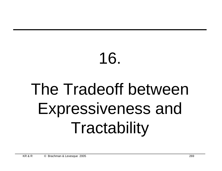## 16. The Tradeoff between Expressiveness and **Tractability**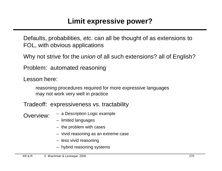## **Limit expressive power?**

Defaults, probabilities, etc. can all be thought of as extensions to FOL, with obvious applications

Why not strive for the *union* of all such extensions? all of English?

Problem: automated reasoning

Lesson here:

reasoning procedures required for more expressive languages may not work very well in practice

Tradeoff: expressiveness vs. tractability

- Overview: a Description Logic example
	- limited languages
	- the problem with cases
	- vivid reasoning as an extreme case
	- less vivid reasoning
	- hybrid reasoning systems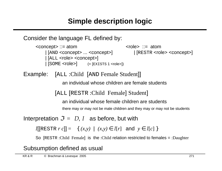```
Consider the language FL defined by:
```
<concept> ::= atom <concept> ::= atom | [AND <concept> ... <concept>] | [RESTR <role> <concept>] | [ALL <role> <concept>]  $\vert$   $[SOME < **role**]$  (=  $[EXISTS 1 < **role**]$ )

Example: [ALL :Child [AND Female Student]]

an individual whose children are female students

[ALL [RESTR :Child Female] Student]

an individual whose female children are students

there may or may not be male children and they may or may not be students

Interpretation  $\mathcal{I} = \langle D, I \rangle$  as before, but with

 $I[$ [RESTR *r c*]] = {  $(x,y) | (x,y) \in I[r]$  and  $y \in I[c]$  }

So [RESTR :Child Female] is the :Child relation restricted to females = :Daughter

Subsumption defined as usual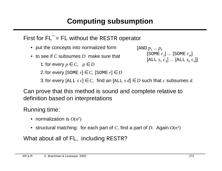## **Computing subsumption**

### First for FL**¯** = FL without the RESTR operator

- put the concepts into normalized form
- to see if *C* subsumes *D* make sure that

1. for every  $p \in C$ ,  $p \in D$ 

2. for every  $[\text{SOME } r] \in C$ ,  $[\text{SOME } r] \in D$ 

```
\left[\text{AND} \ p_{1} \ldots p_{k}\right][SOME r1
] ... [SOME rm
]
                  [\text{ALL } s_1 \ c_1] \dots [\text{ALL } s_n \ c_n]]
```
3. for every  $[\text{ALL } s c] \in C$ , find an  $[\text{ALL } s d] \in D$  such that *c* subsumes *d*.

Can prove that this method is sound and complete relative to definition based on interpretations

Running time:

- normalization is  $O(n^2)$
- structural matching: for each part of *C*, find a part of *D*. Again *O*(*n* 2 )

What about all of FL, including RESTR?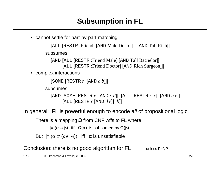## **Subsumption in FL**

• cannot settle for part-by-part matching

```
 [ALL [RESTR :Friend [AND Male Doctor]] [AND Tall Rich]]
subsumes
```
 [AND [ALL [RESTR :Friend Male] [AND Tall Bachelor]] [ALL [RESTR :Friend Doctor] [AND Rich Surgeon]]]

• complex interactions

```
 [SOME [RESTR r [AND a b]]]
```
subsumes

 [AND [SOME [RESTR *r* [AND *c d*]]] [ALL [RESTR *r c*] [AND *a e*]] [ALL [RESTR *r* [AND *d e*]] *b*]]

In general: FL is powerful enough to encode all of propositional logic.

There is a mapping  $\Omega$  from CNF wffs to FL where

 $|=(\alpha \supset \beta)$  iff  $\Omega(\alpha)$  is subsumed by  $\Omega(\beta)$ 

But  $| = (\alpha \supset (p \land \neg p))$  iff  $\alpha$  is unsatisfiable

Conclusion: there is no good algorithm for FL unless P=NP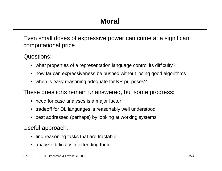Even small doses of expressive power can come at a significant computational price

Questions:

- what properties of a representation language control its difficulty?
- how far can expressiveness be pushed without losing good algorithms
- when is easy reasoning adequate for KR purposes?

These questions remain unanswered, but some progress:

- need for case analyses is a major factor
- tradeoff for DL languages is reasonably well understood
- best addressed (perhaps) by looking at working systems

Useful approach:

- find reasoning tasks that are tractable
- analyze difficulty in extending them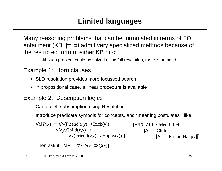Many reasoning problems that can be formulated in terms of FOL entailment (KB  $\equiv^2 \alpha$ ) admit very specialized methods because of the restricted form of either KB or  $\alpha$ 

although problem could be solved using full resolution, there is no need

#### Example 1: Horn clauses

- SLD resolution provides more focussed search
- in propositional case, a linear procedure is available

#### Example 2: Description logics

Can do DL subsumption using Resolution

Introduce predicate symbols for concepts, and "meaning postulates" like

∀*x*[*P*(*x*) ≡ ∀*y*(Friend(*x,y*) ⊃ Rich(*y*)) ∧ ∀*y*(Child(*x,y*) ⊃  $\forall z$ (Friend(*y,z*) ⊃ Happy(*z*)))] [AND [ALL :Friend Rich] [ALL :Child [ALL :Friend Happy]]]

Then ask if MP  $= \forall x [P(x) \supset Q(x)]$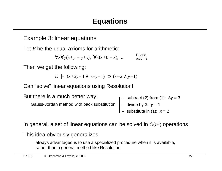#### Example 3: linear equations

Let *E* be the usual axioms for arithmetic:

 $\forall x \forall y(x+y=y+x), \forall x(x+0=x), ...$ Peano axioms

Then we get the following:

*E*  $|z(x+2y=4 \land x-y=1)$  ⊃  $(x=2 \land y=1)$ 

Can "solve" linear equations using Resolution!

| But there is a much better way:            | $ -$ subtract (2) from (1): $3y = 3$ |
|--------------------------------------------|--------------------------------------|
| Gauss-Jordan method with back substitution | $\vert$ – divide by 3: $v = 1$       |
|                                            | $\vert$ – substitute in (1): $x = 2$ |

In general, a set of linear equations can be solved in  $O(n^3)$  operations

This idea obviously generalizes!

always advantageous to use a specialized procedure when it is available, rather than a general method like Resolution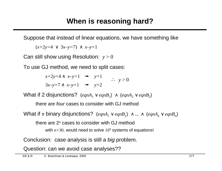Suppose that instead of linear equations, we have something like

(*x+*2*y=*4 ∨ 3*x–y=*7) ∧ *x–y=*1

Can still show using Resolution: *y* > 0

To use GJ method, we need to split cases:

 $x+2y=4 \land x-y=1$   $\implies y=1$  $3x-y=7 \land x-y=1$   $\implies y=2$  $\therefore$   $y > 0$ 

What if 2 disjunctions?  $\text{(eqnA}_1 \vee \text{eqnB}_1) \ \wedge \ \text{(eqnA}_2 \vee \text{eqnB}_2)$ 

there are four cases to consider with GJ method

What if *n* binary disjunctions?  $\text{(eqnA}_1 \vee \text{eqnB}_1) \wedge ... \wedge \text{(eqnA}_n \vee \text{eqnB}_n)$ 

there are 2*<sup>n</sup>* cases to consider with GJ method

with  $n=30$ , would need to solve  $10<sup>9</sup>$  systems of equations!

Conclusion: case analysis is still a big problem.

Question: can we avoid case analyses??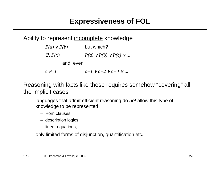## **Expressiveness of FOL**

#### Ability to represent incomplete knowledge

| $P(a) \vee P(b)$ | but which?                             |
|------------------|----------------------------------------|
| $\exists x P(x)$ | $P(a) \vee P(b) \vee P(c) \vee $       |
| and even         |                                        |
| $c \neq 3$       | $c=1$ $\vee$ $c=2$ $\vee$ $c=4$ $\vee$ |

Reasoning with facts like these requires somehow "covering" all the implicit cases

languages that admit efficient reasoning do not allow this type of knowledge to be represented

- Horn clauses,
- description logics,
- linear equations, ...

only limited forms of disjunction, quantification etc.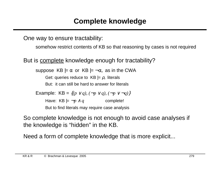One way to ensure tractability:

somehow restrict contents of KB so that reasoning by cases is not required

But is **complete** knowledge enough for tractability?

suppose KB  $|= \alpha$  or KB  $= -\alpha$ , as in the CWA

Get: queries reduce to  $KB \models \rho$ , literals But: it can still be hard to answer for literals

Example:  $KB = \{(p \lor q), (\neg p \lor q), (\neg p \lor \neg q)\}$ Have:  $KB \models \neg p \land q$  complete!

But to find literals may require case analysis

So complete knowledge is not enough to avoid case analyses if the knowledge is "hidden" in the KB.

Need a form of complete knowledge that is more explicit...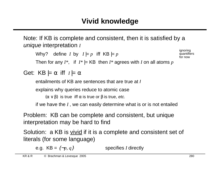Note: If KB is complete and consistent, then it is satisfied by a unique interpretation *I*

Why? define *I* by  $I \models p$  iff  $KB \models p$ ignoring

quantifiers for now

Then for any  $I^*$ , if  $I^*$   $=$  KB then  $I^*$  agrees with *I* on all atoms  $p$ 

```
Get: KB \models \alpha iff I \models \alpha
```
entailments of KB are sentences that are true at I

explains why queries reduce to atomic case

 $(\alpha \vee \beta)$  is true iff  $\alpha$  is true or  $\beta$  is true, etc.

if we have the *I* , we can easily determine what is or is not entailed

Problem: KB can be complete and consistent, but unique interpretation may be hard to find

Solution: a KB is vivid if it is a complete and consistent set of literals (for some language)

e.g.  $KB = \{\neg p, q\}$  specifies *I* directly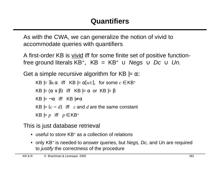As with the CWA, we can generalize the notion of vivid to accommodate queries with quantifiers

A first-order KB is vivid iff for some finite set of positive functionfree ground literals KB<sup>+</sup>, KB = KB<sup>+</sup>  $\cup$  Negs  $\cup$  Dc  $\cup$  Un.

Get a simple recursive algorithm for KB  $= \alpha$ .

 $KB \models \exists x \cdot \alpha$  if  $KB \models \alpha[x/c]$ , for some  $c \in KB^+$  $KB \models (\alpha \vee \beta)$  iff  $KB \models \alpha$  or  $KB \models \beta$  $KB \models \neg \alpha$  iff  $KB \not\models \alpha$  $KB \models (c = d)$  iff *c* and *d* are the same constant  $KB \models p$  iff  $p \in KB^+$ 

This is just database retrieval

- useful to store KB<sup>+</sup> as a collection of relations
- only KB<sup>+</sup> is needed to answer queries, but Negs, Dc, and Un are required to *justify* the correctness of the procedure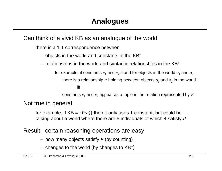#### Can think of a vivid KB as an analogue of the world

there is a 1-1 correspondence between

- $-$  objects in the world and constants in the KB<sup>+</sup>
- relationships in the world and syntactic relationships in the KB<sup>+</sup>

for example, if constants  $c_1$  and  $c_2$  stand for objects in the world  $o_1$  and  $o_2$ 

there is a relationship  $R$  holding between objects  $o_1$  and  $o_2$  in the world

iff

constants  $c_1$  and  $c_2$  appear as a tuple in the relation represented by  $R$ 

Not true in general

for example, if  $KB = {P(a)}$  then it only uses 1 constant, but could be talking about a world where there are 5 individuals of which 4 satisfy *P*

Result: certain reasoning operations are easy

- how many objects satisfy *P* (by counting)
- $-$  changes to the world (by changes to  $KB<sup>+</sup>$ )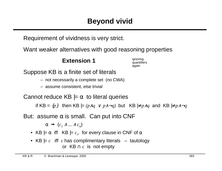Requirement of vividness is very strict.

Want weaker alternatives with good reasoning properties

#### **Extension 1**

ignoring quantifiers again

Suppose KB is a finite set of literals

- not necessarily a complete set (no CWA)
- assume consistent, else trivial

Cannot reduce  $KB \models \alpha$  to literal queries

if KB = {*p*} then KB |= *(p*∧*q* ∨ *p*∧¬*q)* but KB |≠ *p*∧*q* and KB |≠ *p*∧¬*q*

But: assume  $\alpha$  is small. Can put into CNF

 $\alpha \rightarrow (c_1 \wedge ... \wedge c_n)$ 

- KB  $\models \alpha$  iff KB  $\models c_i$ , for every clause in CNF of  $\alpha$
- KB  $\mid = c$  iff *c* has complimentary literals tautology or  $KB \cap c$  is not empty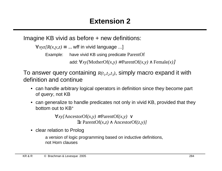Imagine KB vivid as before + new definitions:

 $\forall xyz/R(x,y,z) \equiv ...$  wff in vivid language ...]

Example: have vivid KB using predicate ParentOf

add: ∀*xy[*MotherOf*(x,y)* ≡ ParentOf*(x,y)* ∧ Female*(x)*]

To answer query containing  $R(t_1, t_2, t_3)$ , simply macro expand it with definition and continue

- can handle arbitrary logical operators in definition since they become part of query, not KB
- can generalize to handle predicates not only in vivid KB, provided that they bottom out to KB<sup>+</sup>

∀*xy[*AncestorOf*(x,y)* ≡ ParentOf*(x,y)* ∨ ∃*z* ParentOf*(x,z)* ∧ AncestorOf*(z,y)]*

• clear relation to Prolog

a version of logic programming based on inductive definitions, not Horn clauses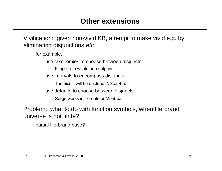Vivification: given non-vivid KB, attempt to make vivid e.g. by eliminating disjunctions etc.

for example,

– use taxonomies to choose between disjuncts

Flipper is a whale or a dolphin.

– use intervals to encompass disjuncts

The picnic will be on June 2, 3,or 4th.

– use defaults to choose between disjuncts

Serge works in Toronto or Montreal.

Problem: what to do with function symbols, when Herbrand universe is not finite?

partial Herbrand base?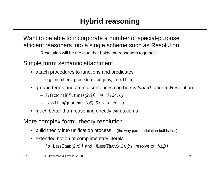Want to be able to incorporate a number of special-purpose efficient reasoners into a single scheme such as Resolution

Resolution will be the glue that holds the reasoners together

#### Simple form: semantic attachment

• attach procedures to functions and predicates

e.g. numbers: procedures on plus, LessThan, ...

- ground terms and atomic sentences can be evaluated prior to Resolution
	- *P(*factorial*(4),* times*(2,3))* ➟ *P(24, 6)*
	- $-$  LessThan(quotient(36,6), 5)  $\vee$  α  $\rightarrow \alpha$
- much better than reasoning directly with axioms

#### More complex form: theory resolution

- build theory into unification process (the way paramodulation builds in =)
- extended notion of complimentary literals

 $\{\alpha, \text{LessThan}(2, x)\}\$ and  $\{\text{LessThan}(x,1), \beta\}$  resolve to  $\{\alpha, \beta\}$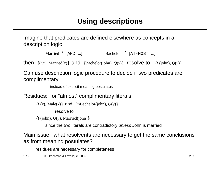Imagine that predicates are defined elsewhere as concepts in a description logic

```
Married \triangleq [AND ...] Bachelor \triangleq [AT-MOST ...]
```
then  $\{P(x), \text{Married}(x)\}$  and  $\{\text{Bachelor}(john), Q(y)\}$  resolve to  $\{P(john), Q(y)\}$ 

Can use description logic procedure to decide if two predicates are complimentary

instead of explicit meaning postulates

Residues: for "almost" complimentary literals

 ${P(x), \text{Male}(x)}$  and  ${\text{-}Backelor(iohn), Q(y)}$ 

resolve to

 ${P($ iohn),  $Q(y)$ , Married(john) $}$ 

since the two literals are contradictory unless John is married

Main issue: what resolvents are necessary to get the same conclusions as from meaning postulates?

residues are necessary for completeness